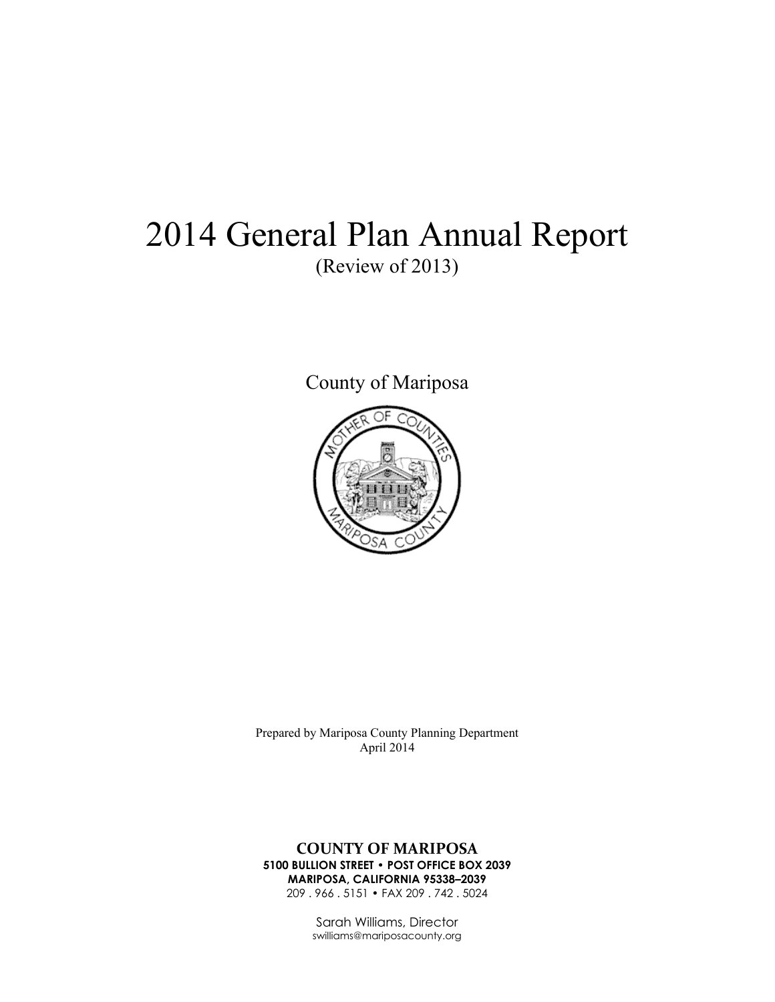# 2014 General Plan Annual Report (Review of 2013)

County of Mariposa



Prepared by Mariposa County Planning Department April 2014

#### **COUNTY OF MARIPOSA 5100 BULLION STREET • POST OFFICE BOX 2039 MARIPOSA, CALIFORNIA 95338–2039**

209 . 966 . 5151 • FAX 209 . 742 . 5024

Sarah Williams, Director swilliams@mariposacounty.org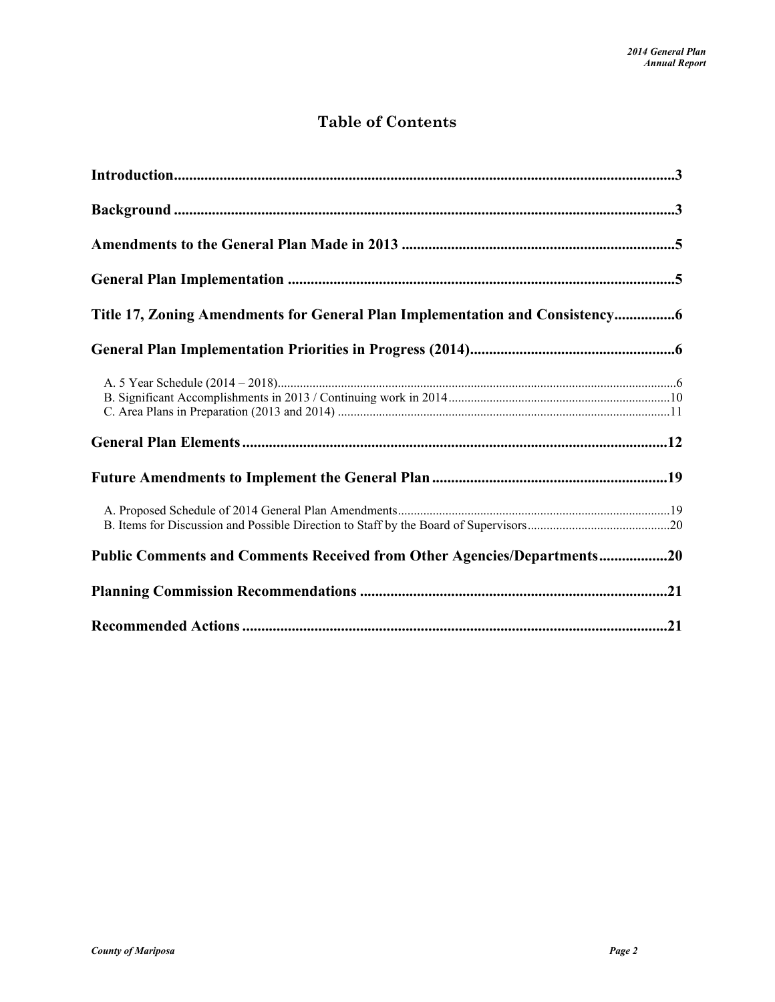## **Table of Contents**

| Title 17, Zoning Amendments for General Plan Implementation and Consistency |  |
|-----------------------------------------------------------------------------|--|
|                                                                             |  |
|                                                                             |  |
|                                                                             |  |
|                                                                             |  |
|                                                                             |  |
| Public Comments and Comments Received from Other Agencies/Departments20     |  |
|                                                                             |  |
|                                                                             |  |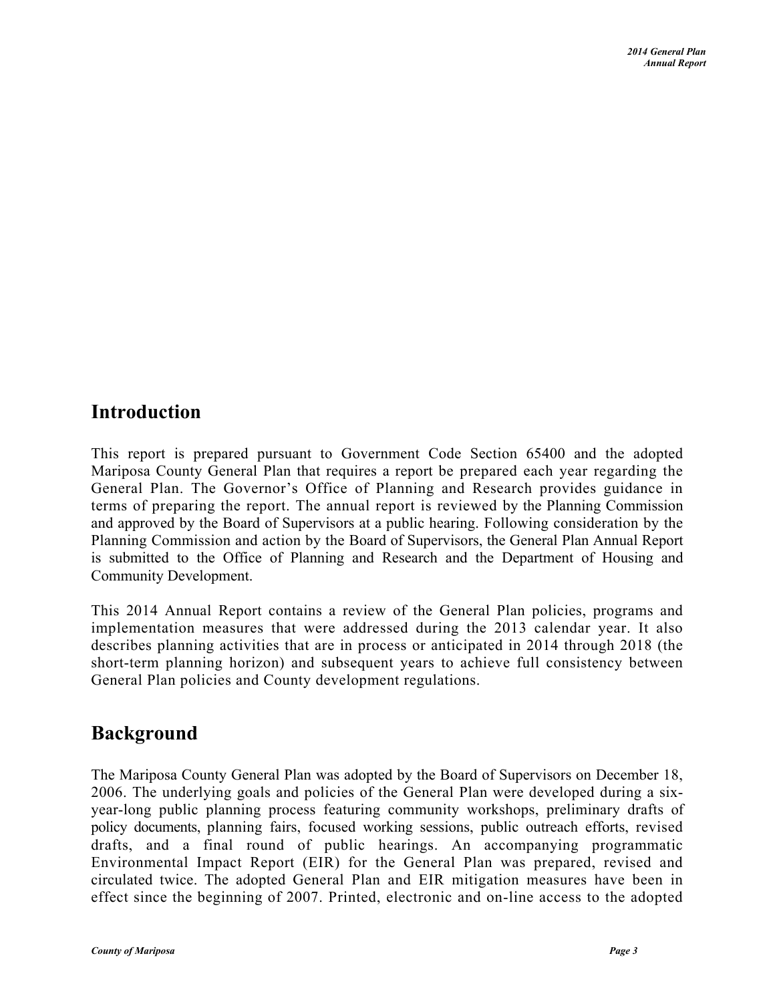## <span id="page-2-0"></span>**Introduction**

This report is prepared pursuant to Government Code Section 65400 and the adopted Mariposa County General Plan that requires a report be prepared each year regarding the General Plan. The Governor's Office of Planning and Research provides guidance in terms of preparing the report. The annual report is reviewed by the Planning Commission and approved by the Board of Supervisors at a public hearing. Following consideration by the Planning Commission and action by the Board of Supervisors, the General Plan Annual Report is submitted to the Office of Planning and Research and the Department of Housing and Community Development.

This 2014 Annual Report contains a review of the General Plan policies, programs and implementation measures that were addressed during the 2013 calendar year. It also describes planning activities that are in process or anticipated in 2014 through 2018 (the short-term planning horizon) and subsequent years to achieve full consistency between General Plan policies and County development regulations.

## <span id="page-2-1"></span>**Background**

The Mariposa County General Plan was adopted by the Board of Supervisors on December 18, 2006. The underlying goals and policies of the General Plan were developed during a sixyear-long public planning process featuring community workshops, preliminary drafts of policy documents, planning fairs, focused working sessions, public outreach efforts, revised drafts, and a final round of public hearings. An accompanying programmatic Environmental Impact Report (EIR) for the General Plan was prepared, revised and circulated twice. The adopted General Plan and EIR mitigation measures have been in effect since the beginning of 2007. Printed, electronic and on-line access to the adopted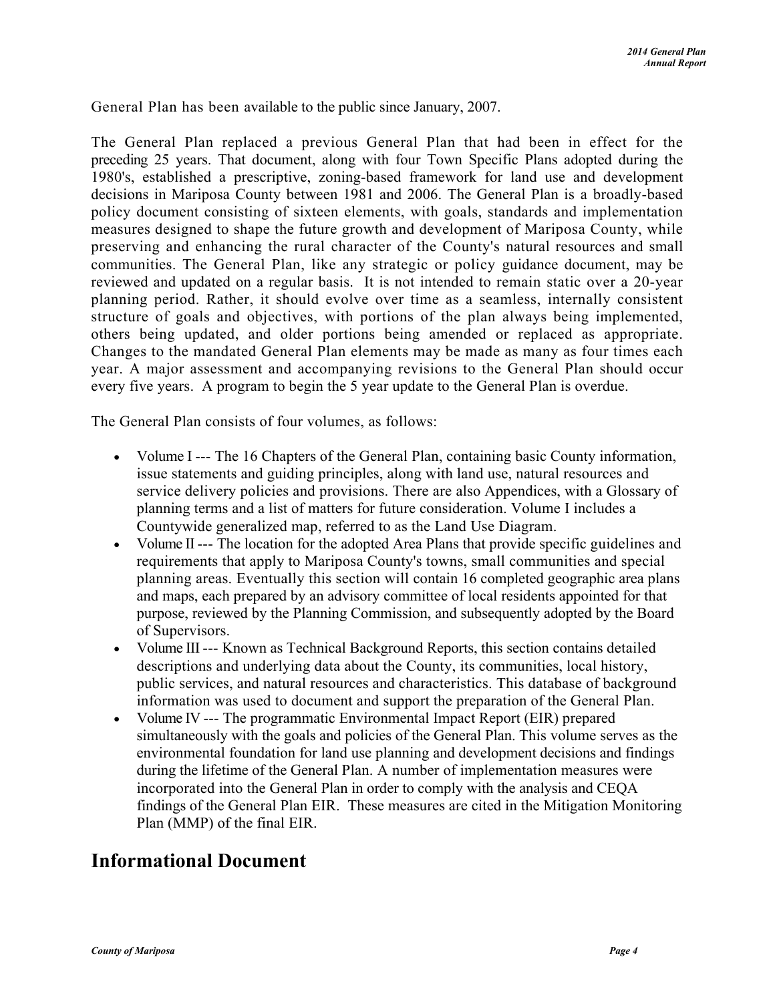General Plan has been available to the public since January, 2007.

The General Plan replaced a previous General Plan that had been in effect for the preceding 25 years. That document, along with four Town Specific Plans adopted during the 1980's, established a prescriptive, zoning-based framework for land use and development decisions in Mariposa County between 1981 and 2006. The General Plan is a broadly-based policy document consisting of sixteen elements, with goals, standards and implementation measures designed to shape the future growth and development of Mariposa County, while preserving and enhancing the rural character of the County's natural resources and small communities. The General Plan, like any strategic or policy guidance document, may be reviewed and updated on a regular basis. It is not intended to remain static over a 20-year planning period. Rather, it should evolve over time as a seamless, internally consistent structure of goals and objectives, with portions of the plan always being implemented, others being updated, and older portions being amended or replaced as appropriate. Changes to the mandated General Plan elements may be made as many as four times each year. A major assessment and accompanying revisions to the General Plan should occur every five years. A program to begin the 5 year update to the General Plan is overdue.

The General Plan consists of four volumes, as follows:

- Volume I --- The 16 Chapters of the General Plan, containing basic County information, issue statements and guiding principles, along with land use, natural resources and service delivery policies and provisions. There are also Appendices, with a Glossary of planning terms and a list of matters for future consideration. Volume I includes a Countywide generalized map, referred to as the Land Use Diagram.
- Volume II --- The location for the adopted Area Plans that provide specific guidelines and requirements that apply to Mariposa County's towns, small communities and special planning areas. Eventually this section will contain 16 completed geographic area plans and maps, each prepared by an advisory committee of local residents appointed for that purpose, reviewed by the Planning Commission, and subsequently adopted by the Board of Supervisors.
- Volume III --- Known as Technical Background Reports, this section contains detailed descriptions and underlying data about the County, its communities, local history, public services, and natural resources and characteristics. This database of background information was used to document and support the preparation of the General Plan.
- Volume IV --- The programmatic Environmental Impact Report (EIR) prepared simultaneously with the goals and policies of the General Plan. This volume serves as the environmental foundation for land use planning and development decisions and findings during the lifetime of the General Plan. A number of implementation measures were incorporated into the General Plan in order to comply with the analysis and CEQA findings of the General Plan EIR. These measures are cited in the Mitigation Monitoring Plan (MMP) of the final EIR.

## **Informational Document**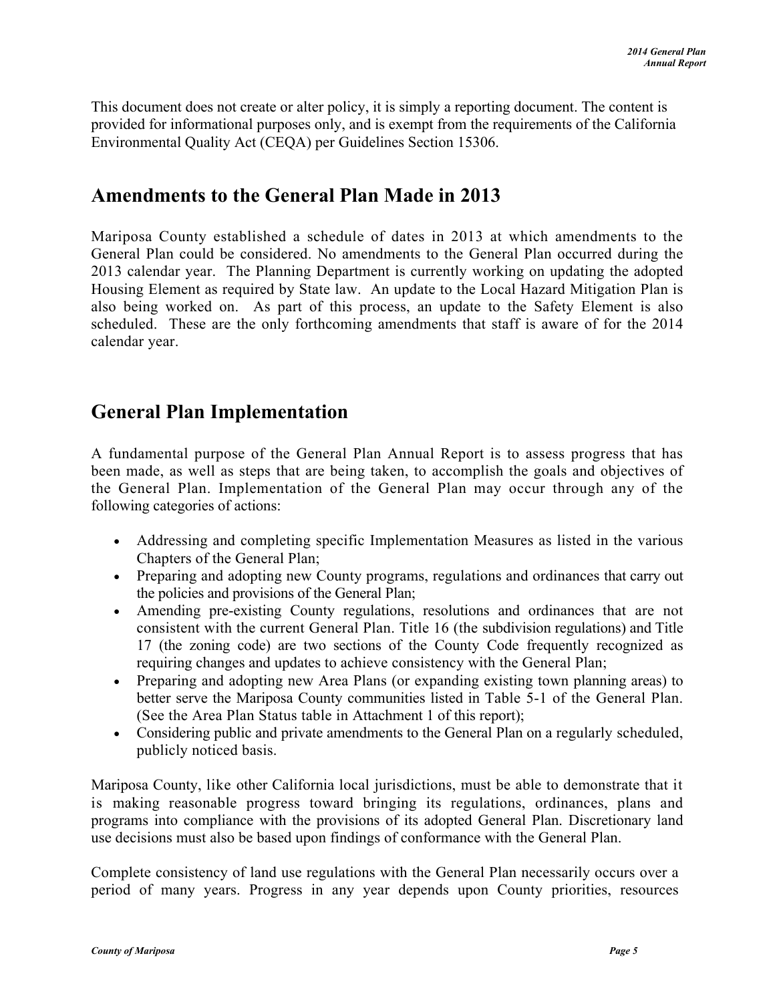This document does not create or alter policy, it is simply a reporting document. The content is provided for informational purposes only, and is exempt from the requirements of the California Environmental Quality Act (CEQA) per Guidelines Section 15306.

## <span id="page-4-0"></span>**Amendments to the General Plan Made in 2013**

Mariposa County established a schedule of dates in 2013 at which amendments to the General Plan could be considered. No amendments to the General Plan occurred during the 2013 calendar year. The Planning Department is currently working on updating the adopted Housing Element as required by State law. An update to the Local Hazard Mitigation Plan is also being worked on. As part of this process, an update to the Safety Element is also scheduled. These are the only forthcoming amendments that staff is aware of for the 2014 calendar year.

## <span id="page-4-1"></span>**General Plan Implementation**

A fundamental purpose of the General Plan Annual Report is to assess progress that has been made, as well as steps that are being taken, to accomplish the goals and objectives of the General Plan. Implementation of the General Plan may occur through any of the following categories of actions:

- Addressing and completing specific Implementation Measures as listed in the various Chapters of the General Plan;
- Preparing and adopting new County programs, regulations and ordinances that carry out the policies and provisions of the General Plan;
- Amending pre-existing County regulations, resolutions and ordinances that are not consistent with the current General Plan. Title 16 (the subdivision regulations) and Title 17 (the zoning code) are two sections of the County Code frequently recognized as requiring changes and updates to achieve consistency with the General Plan;
- Preparing and adopting new Area Plans (or expanding existing town planning areas) to better serve the Mariposa County communities listed in Table 5-1 of the General Plan. (See the Area Plan Status table in Attachment 1 of this report);
- Considering public and private amendments to the General Plan on a regularly scheduled, publicly noticed basis.

Mariposa County, like other California local jurisdictions, must be able to demonstrate that it is making reasonable progress toward bringing its regulations, ordinances, plans and programs into compliance with the provisions of its adopted General Plan. Discretionary land use decisions must also be based upon findings of conformance with the General Plan.

Complete consistency of land use regulations with the General Plan necessarily occurs over a period of many years. Progress in any year depends upon County priorities, resources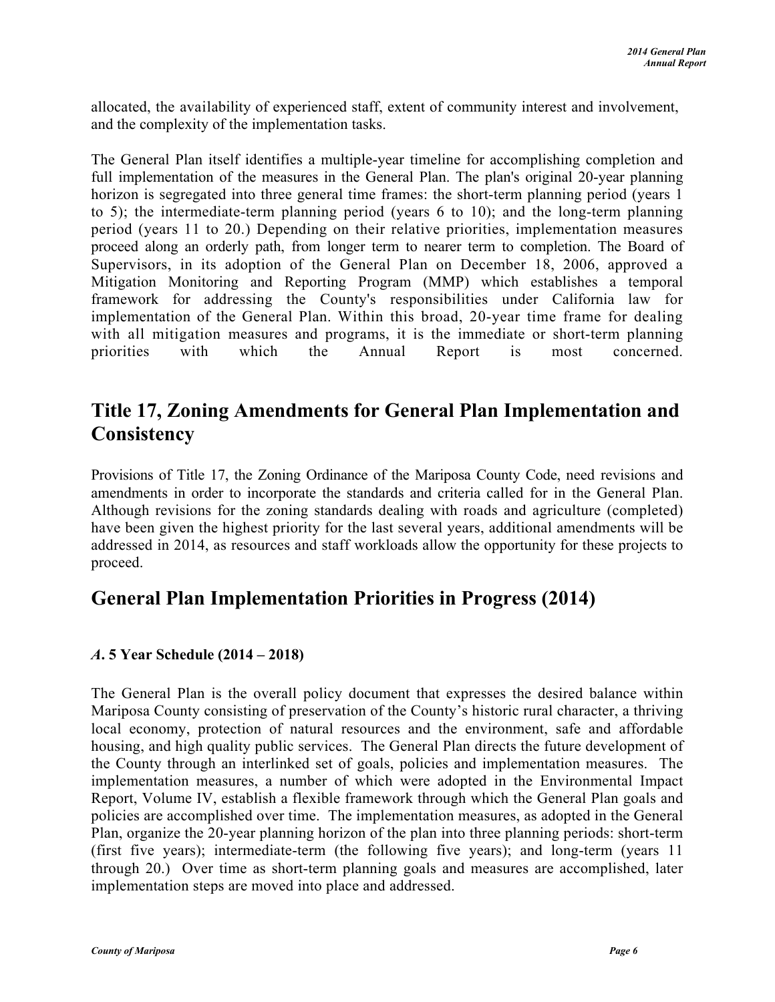allocated, the availability of experienced staff, extent of community interest and involvement, and the complexity of the implementation tasks.

The General Plan itself identifies a multiple-year timeline for accomplishing completion and full implementation of the measures in the General Plan. The plan's original 20-year planning horizon is segregated into three general time frames: the short-term planning period (years 1) to 5); the intermediate-term planning period (years 6 to 10); and the long-term planning period (years 11 to 20.) Depending on their relative priorities, implementation measures proceed along an orderly path, from longer term to nearer term to completion. The Board of Supervisors, in its adoption of the General Plan on December 18, 2006, approved a Mitigation Monitoring and Reporting Program (MMP) which establishes a temporal framework for addressing the County's responsibilities under California law for implementation of the General Plan. Within this broad, 20-year time frame for dealing with all mitigation measures and programs, it is the immediate or short-term planning priorities with which the Annual Report is most concerned.

## <span id="page-5-0"></span>**Title 17, Zoning Amendments for General Plan Implementation and Consistency**

Provisions of Title 17, the Zoning Ordinance of the Mariposa County Code, need revisions and amendments in order to incorporate the standards and criteria called for in the General Plan. Although revisions for the zoning standards dealing with roads and agriculture (completed) have been given the highest priority for the last several years, additional amendments will be addressed in 2014, as resources and staff workloads allow the opportunity for these projects to proceed.

## <span id="page-5-1"></span>**General Plan Implementation Priorities in Progress (2014)**

## <span id="page-5-2"></span>*A***. 5 Year Schedule (2014 – 2018)**

The General Plan is the overall policy document that expresses the desired balance within Mariposa County consisting of preservation of the County's historic rural character, a thriving local economy, protection of natural resources and the environment, safe and affordable housing, and high quality public services. The General Plan directs the future development of the County through an interlinked set of goals, policies and implementation measures. The implementation measures, a number of which were adopted in the Environmental Impact Report, Volume IV, establish a flexible framework through which the General Plan goals and policies are accomplished over time. The implementation measures, as adopted in the General Plan, organize the 20-year planning horizon of the plan into three planning periods: short-term (first five years); intermediate-term (the following five years); and long-term (years 11 through 20.) Over time as short-term planning goals and measures are accomplished, later implementation steps are moved into place and addressed.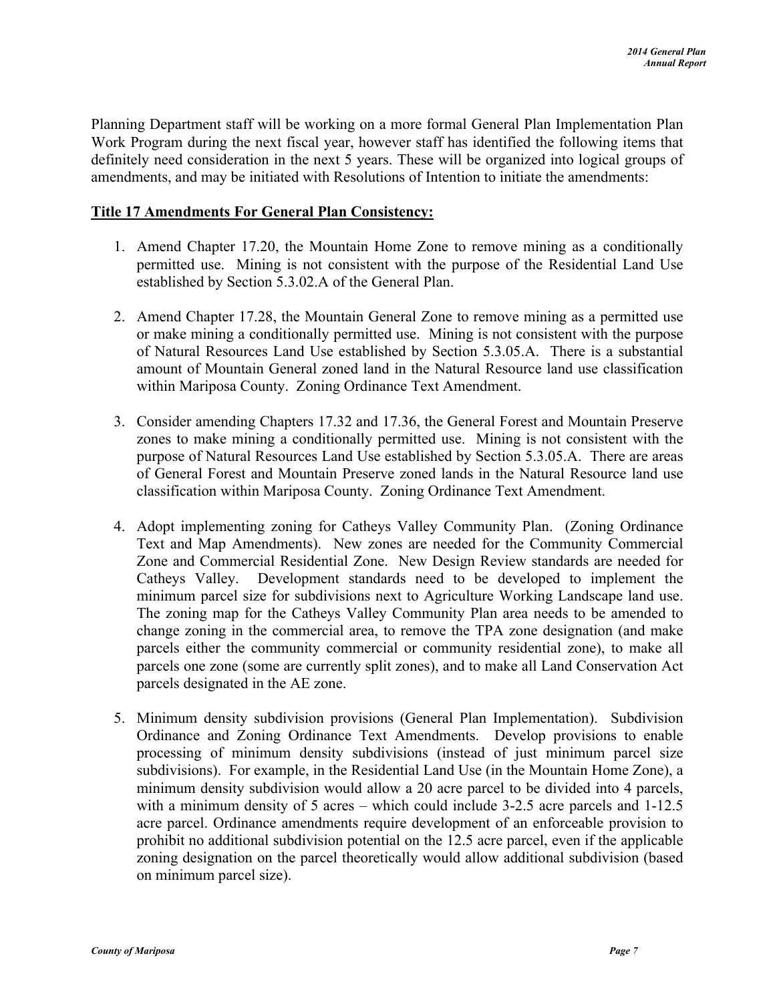Planning Department staff will be working on a more formal General Plan Implementation Plan Work Program during the next fiscal year, however staff has identified the following items that definitely need consideration in the next 5 years. These will be organized into logical groups of amendments, and may be initiated with Resolutions of Intention to initiate the amendments:

#### **Title 17 Amendments For General Plan Consistency:**

- 1. Amend Chapter 17.20, the Mountain Home Zone to remove mining as a conditionally permitted use. Mining is not consistent with the purpose of the Residential Land Use established by Section 5.3.02.A of the General Plan.
- 2. Amend Chapter 17.28, the Mountain General Zone to remove mining as a permitted use or make mining a conditionally permitted use. Mining is not consistent with the purpose of Natural Resources Land Use established by Section 5.3.05.A. There is a substantial amount of Mountain General zoned land in the Natural Resource land use classification within Mariposa County. Zoning Ordinance Text Amendment.
- 3. Consider amending Chapters 17.32 and 17.36, the General Forest and Mountain Preserve zones to make mining a conditionally permitted use. Mining is not consistent with the purpose of Natural Resources Land Use established by Section 5.3.05.A. There are areas of General Forest and Mountain Preserve zoned lands in the Natural Resource land use classification within Mariposa County. Zoning Ordinance Text Amendment.
- 4. Adopt implementing zoning for Catheys Valley Community Plan. (Zoning Ordinance Text and Map Amendments). New zones are needed for the Community Commercial Zone and Commercial Residential Zone. New Design Review standards are needed for Catheys Valley. Development standards need to be developed to implement the minimum parcel size for subdivisions next to Agriculture Working Landscape land use. The zoning map for the Catheys Valley Community Plan area needs to be amended to change zoning in the commercial area, to remove the TPA zone designation (and make parcels either the community commercial or community residential zone), to make all parcels one zone (some are currently split zones), and to make all Land Conservation Act parcels designated in the AE zone.
- 5. Minimum density subdivision provisions (General Plan Implementation). Subdivision Ordinance and Zoning Ordinance Text Amendments. Develop provisions to enable processing of minimum density subdivisions (instead of just minimum parcel size subdivisions). For example, in the Residential Land Use (in the Mountain Home Zone), a minimum density subdivision would allow a 20 acre parcel to be divided into 4 parcels, with a minimum density of 5 acres – which could include 3-2.5 acre parcels and 1-12.5 acre parcel. Ordinance amendments require development of an enforceable provision to prohibit no additional subdivision potential on the 12.5 acre parcel, even if the applicable zoning designation on the parcel theoretically would allow additional subdivision (based on minimum parcel size).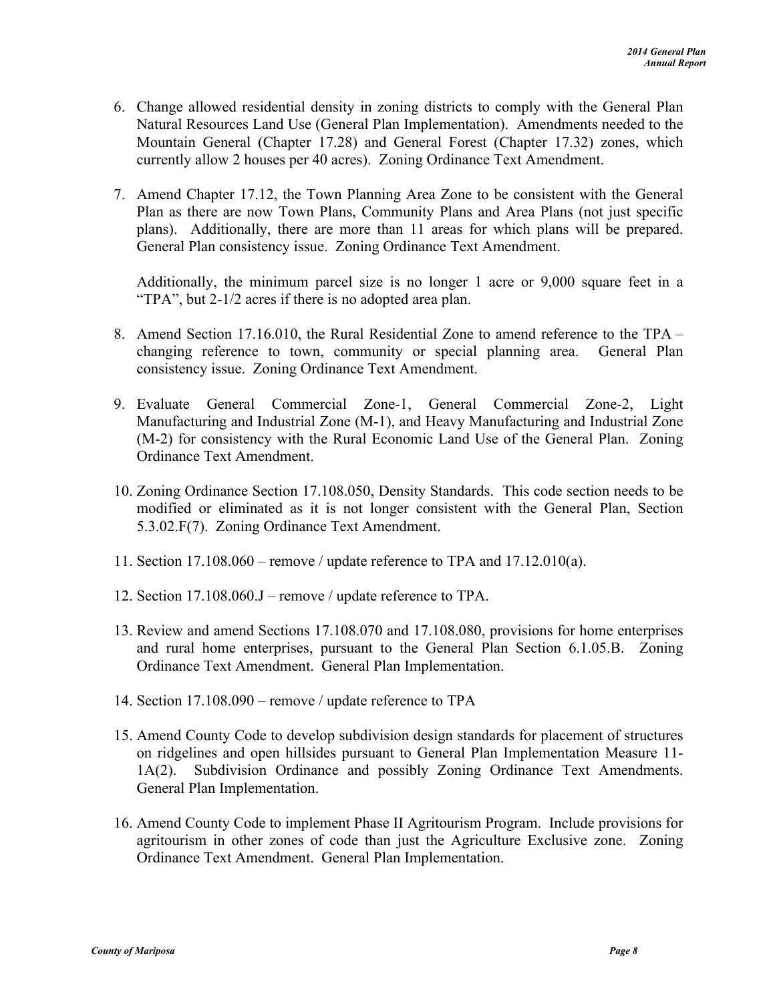- 6. Change allowed residential density in zoning districts to comply with the General Plan Natural Resources Land Use (General Plan Implementation). Amendments needed to the Mountain General (Chapter 17.28) and General Forest (Chapter 17.32) zones, which currently allow 2 houses per 40 acres). Zoning Ordinance Text Amendment.
- 7. Amend Chapter 17.12, the Town Planning Area Zone to be consistent with the General Plan as there are now Town Plans, Community Plans and Area Plans (not just specific plans). Additionally, there are more than 11 areas for which plans will be prepared. General Plan consistency issue. Zoning Ordinance Text Amendment.

Additionally, the minimum parcel size is no longer 1 acre or 9,000 square feet in a "TPA", but 2-1/2 acres if there is no adopted area plan.

- 8. Amend Section 17.16.010, the Rural Residential Zone to amend reference to the TPA changing reference to town, community or special planning area. General Plan consistency issue. Zoning Ordinance Text Amendment.
- 9. Evaluate General Commercial Zone-1, General Commercial Zone-2, Light Manufacturing and Industrial Zone (M-1), and Heavy Manufacturing and Industrial Zone (M-2) for consistency with the Rural Economic Land Use of the General Plan. Zoning Ordinance Text Amendment.
- 10. Zoning Ordinance Section 17.108.050, Density Standards. This code section needs to be modified or eliminated as it is not longer consistent with the General Plan, Section 5.3.02.F(7). Zoning Ordinance Text Amendment.
- 11. Section 17.108.060 remove / update reference to TPA and 17.12.010(a).
- 12. Section 17.108.060.J remove / update reference to TPA.
- 13. Review and amend Sections 17.108.070 and 17.108.080, provisions for home enterprises and rural home enterprises, pursuant to the General Plan Section 6.1.05.B. Zoning Ordinance Text Amendment. General Plan Implementation.
- 14. Section 17.108.090 remove / update reference to TPA
- 15. Amend County Code to develop subdivision design standards for placement of structures on ridgelines and open hillsides pursuant to General Plan Implementation Measure 11- 1A(2). Subdivision Ordinance and possibly Zoning Ordinance Text Amendments. General Plan Implementation.
- 16. Amend County Code to implement Phase II Agritourism Program. Include provisions for agritourism in other zones of code than just the Agriculture Exclusive zone. Zoning Ordinance Text Amendment. General Plan Implementation.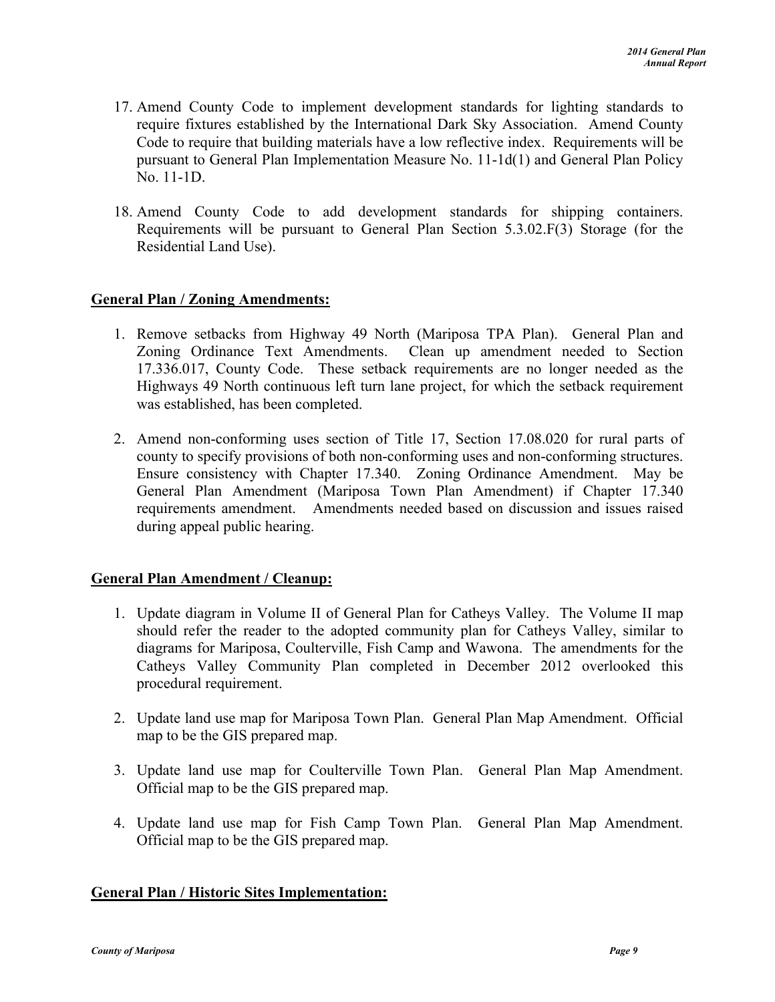- 17. Amend County Code to implement development standards for lighting standards to require fixtures established by the International Dark Sky Association. Amend County Code to require that building materials have a low reflective index. Requirements will be pursuant to General Plan Implementation Measure No. 11-1d(1) and General Plan Policy No. 11-1D.
- 18. Amend County Code to add development standards for shipping containers. Requirements will be pursuant to General Plan Section 5.3.02.F(3) Storage (for the Residential Land Use).

#### **General Plan / Zoning Amendments:**

- 1. Remove setbacks from Highway 49 North (Mariposa TPA Plan). General Plan and Zoning Ordinance Text Amendments. Clean up amendment needed to Section 17.336.017, County Code. These setback requirements are no longer needed as the Highways 49 North continuous left turn lane project, for which the setback requirement was established, has been completed.
- 2. Amend non-conforming uses section of Title 17, Section 17.08.020 for rural parts of county to specify provisions of both non-conforming uses and non-conforming structures. Ensure consistency with Chapter 17.340. Zoning Ordinance Amendment. May be General Plan Amendment (Mariposa Town Plan Amendment) if Chapter 17.340 requirements amendment. Amendments needed based on discussion and issues raised during appeal public hearing.

#### **General Plan Amendment / Cleanup:**

- 1. Update diagram in Volume II of General Plan for Catheys Valley. The Volume II map should refer the reader to the adopted community plan for Catheys Valley, similar to diagrams for Mariposa, Coulterville, Fish Camp and Wawona. The amendments for the Catheys Valley Community Plan completed in December 2012 overlooked this procedural requirement.
- 2. Update land use map for Mariposa Town Plan. General Plan Map Amendment. Official map to be the GIS prepared map.
- 3. Update land use map for Coulterville Town Plan. General Plan Map Amendment. Official map to be the GIS prepared map.
- 4. Update land use map for Fish Camp Town Plan. General Plan Map Amendment. Official map to be the GIS prepared map.

#### **General Plan / Historic Sites Implementation:**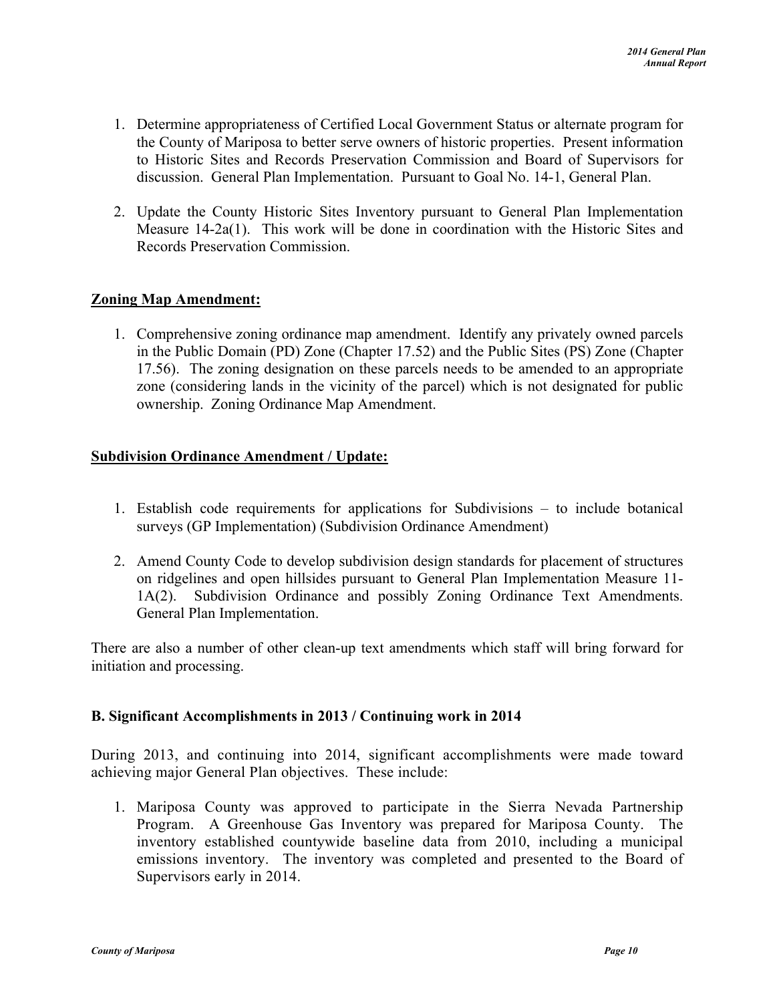- 1. Determine appropriateness of Certified Local Government Status or alternate program for the County of Mariposa to better serve owners of historic properties. Present information to Historic Sites and Records Preservation Commission and Board of Supervisors for discussion. General Plan Implementation. Pursuant to Goal No. 14-1, General Plan.
- 2. Update the County Historic Sites Inventory pursuant to General Plan Implementation Measure 14-2a(1). This work will be done in coordination with the Historic Sites and Records Preservation Commission.

#### **Zoning Map Amendment:**

1. Comprehensive zoning ordinance map amendment. Identify any privately owned parcels in the Public Domain (PD) Zone (Chapter 17.52) and the Public Sites (PS) Zone (Chapter 17.56). The zoning designation on these parcels needs to be amended to an appropriate zone (considering lands in the vicinity of the parcel) which is not designated for public ownership. Zoning Ordinance Map Amendment.

#### **Subdivision Ordinance Amendment / Update:**

- 1. Establish code requirements for applications for Subdivisions to include botanical surveys (GP Implementation) (Subdivision Ordinance Amendment)
- 2. Amend County Code to develop subdivision design standards for placement of structures on ridgelines and open hillsides pursuant to General Plan Implementation Measure 11- 1A(2). Subdivision Ordinance and possibly Zoning Ordinance Text Amendments. General Plan Implementation.

There are also a number of other clean-up text amendments which staff will bring forward for initiation and processing.

#### <span id="page-9-0"></span>**B. Significant Accomplishments in 2013 / Continuing work in 2014**

During 2013, and continuing into 2014, significant accomplishments were made toward achieving major General Plan objectives. These include:

1. Mariposa County was approved to participate in the Sierra Nevada Partnership Program. A Greenhouse Gas Inventory was prepared for Mariposa County. The inventory established countywide baseline data from 2010, including a municipal emissions inventory. The inventory was completed and presented to the Board of Supervisors early in 2014.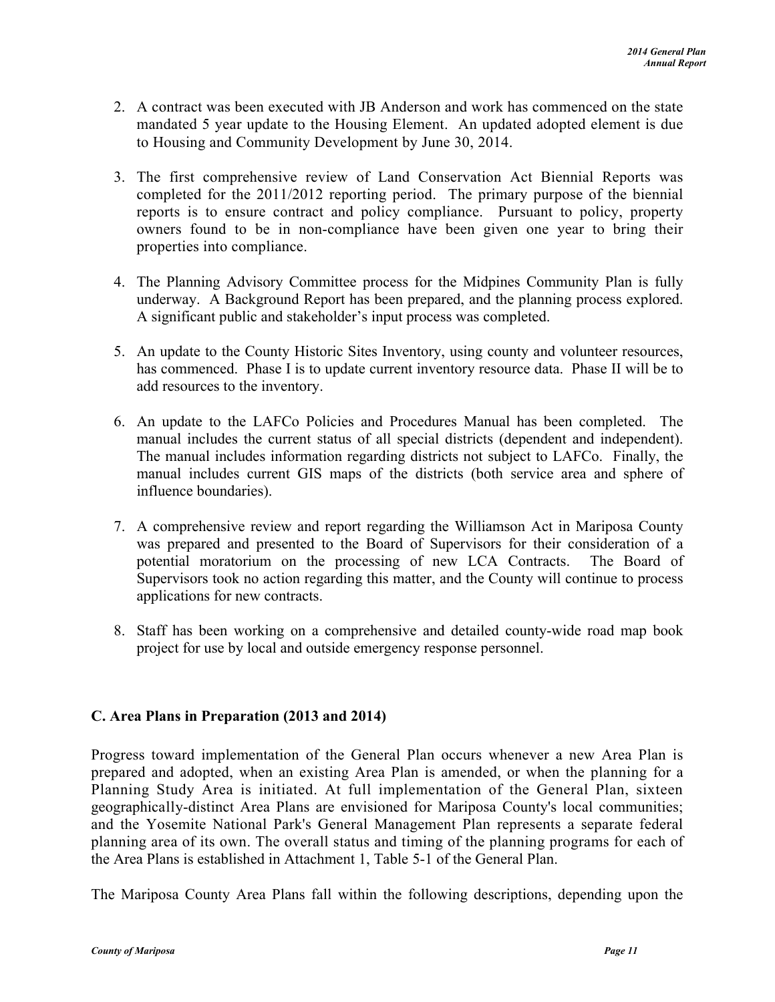- 2. A contract was been executed with JB Anderson and work has commenced on the state mandated 5 year update to the Housing Element. An updated adopted element is due to Housing and Community Development by June 30, 2014.
- 3. The first comprehensive review of Land Conservation Act Biennial Reports was completed for the 2011/2012 reporting period. The primary purpose of the biennial reports is to ensure contract and policy compliance. Pursuant to policy, property owners found to be in non-compliance have been given one year to bring their properties into compliance.
- 4. The Planning Advisory Committee process for the Midpines Community Plan is fully underway. A Background Report has been prepared, and the planning process explored. A significant public and stakeholder's input process was completed.
- 5. An update to the County Historic Sites Inventory, using county and volunteer resources, has commenced. Phase I is to update current inventory resource data. Phase II will be to add resources to the inventory.
- 6. An update to the LAFCo Policies and Procedures Manual has been completed. The manual includes the current status of all special districts (dependent and independent). The manual includes information regarding districts not subject to LAFCo. Finally, the manual includes current GIS maps of the districts (both service area and sphere of influence boundaries).
- 7. A comprehensive review and report regarding the Williamson Act in Mariposa County was prepared and presented to the Board of Supervisors for their consideration of a potential moratorium on the processing of new LCA Contracts. The Board of Supervisors took no action regarding this matter, and the County will continue to process applications for new contracts.
- 8. Staff has been working on a comprehensive and detailed county-wide road map book project for use by local and outside emergency response personnel.

## <span id="page-10-0"></span>**C. Area Plans in Preparation (2013 and 2014)**

Progress toward implementation of the General Plan occurs whenever a new Area Plan is prepared and adopted, when an existing Area Plan is amended, or when the planning for a Planning Study Area is initiated. At full implementation of the General Plan, sixteen geographically-distinct Area Plans are envisioned for Mariposa County's local communities; and the Yosemite National Park's General Management Plan represents a separate federal planning area of its own. The overall status and timing of the planning programs for each of the Area Plans is established in Attachment 1, Table 5-1 of the General Plan.

The Mariposa County Area Plans fall within the following descriptions, depending upon the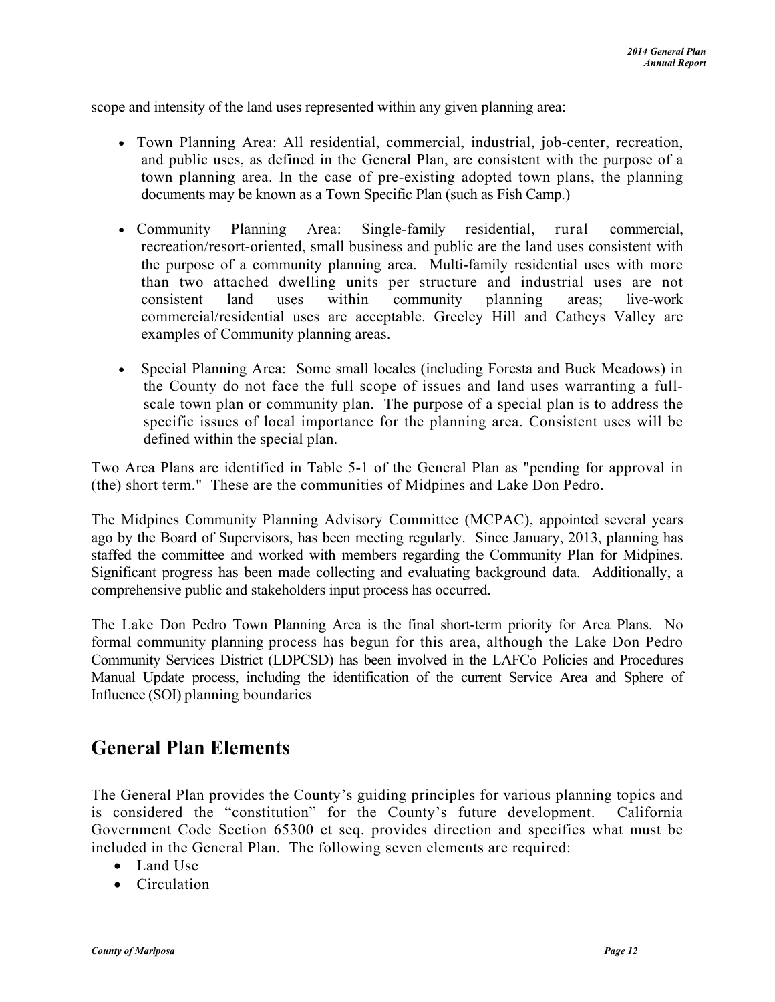scope and intensity of the land uses represented within any given planning area:

- Town Planning Area: All residential, commercial, industrial, job-center, recreation, and public uses, as defined in the General Plan, are consistent with the purpose of a town planning area. In the case of pre-existing adopted town plans, the planning documents may be known as a Town Specific Plan (such as Fish Camp.)
- Community Planning Area: Single-family residential, rural commercial, recreation/resort-oriented, small business and public are the land uses consistent with the purpose of a community planning area. Multi-family residential uses with more than two attached dwelling units per structure and industrial uses are not consistent land uses within community planning areas; live-work commercial/residential uses are acceptable. Greeley Hill and Catheys Valley are examples of Community planning areas.
- Special Planning Area: Some small locales (including Foresta and Buck Meadows) in the County do not face the full scope of issues and land uses warranting a fullscale town plan or community plan. The purpose of a special plan is to address the specific issues of local importance for the planning area. Consistent uses will be defined within the special plan.

Two Area Plans are identified in Table 5-1 of the General Plan as "pending for approval in (the) short term." These are the communities of Midpines and Lake Don Pedro.

The Midpines Community Planning Advisory Committee (MCPAC), appointed several years ago by the Board of Supervisors, has been meeting regularly. Since January, 2013, planning has staffed the committee and worked with members regarding the Community Plan for Midpines. Significant progress has been made collecting and evaluating background data. Additionally, a comprehensive public and stakeholders input process has occurred.

The Lake Don Pedro Town Planning Area is the final short-term priority for Area Plans. No formal community planning process has begun for this area, although the Lake Don Pedro Community Services District (LDPCSD) has been involved in the LAFCo Policies and Procedures Manual Update process, including the identification of the current Service Area and Sphere of Influence (SOI) planning boundaries

## <span id="page-11-0"></span>**General Plan Elements**

The General Plan provides the County's guiding principles for various planning topics and is considered the "constitution" for the County's future development. California Government Code Section 65300 et seq. provides direction and specifies what must be included in the General Plan. The following seven elements are required:

- Land Use
- Circulation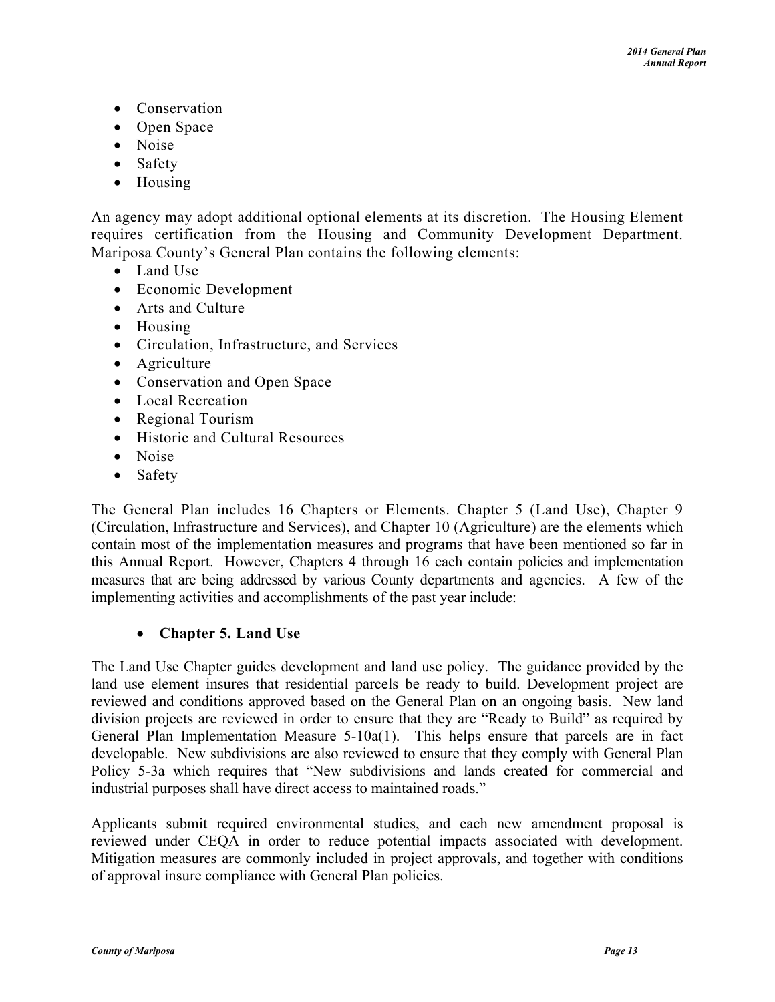- Conservation
- Open Space
- Noise
- Safety
- Housing

An agency may adopt additional optional elements at its discretion. The Housing Element requires certification from the Housing and Community Development Department. Mariposa County's General Plan contains the following elements:

- Land Use
- Economic Development
- Arts and Culture
- Housing
- Circulation, Infrastructure, and Services
- Agriculture
- Conservation and Open Space
- Local Recreation
- Regional Tourism
- Historic and Cultural Resources
- Noise
- Safety

The General Plan includes 16 Chapters or Elements. Chapter 5 (Land Use), Chapter 9 (Circulation, Infrastructure and Services), and Chapter 10 (Agriculture) are the elements which contain most of the implementation measures and programs that have been mentioned so far in this Annual Report. However, Chapters 4 through 16 each contain policies and implementation measures that are being addressed by various County departments and agencies. A few of the implementing activities and accomplishments of the past year include:

## **Chapter 5. Land Use**

The Land Use Chapter guides development and land use policy. The guidance provided by the land use element insures that residential parcels be ready to build. Development project are reviewed and conditions approved based on the General Plan on an ongoing basis. New land division projects are reviewed in order to ensure that they are "Ready to Build" as required by General Plan Implementation Measure 5-10a(1). This helps ensure that parcels are in fact developable. New subdivisions are also reviewed to ensure that they comply with General Plan Policy 5-3a which requires that "New subdivisions and lands created for commercial and industrial purposes shall have direct access to maintained roads."

Applicants submit required environmental studies, and each new amendment proposal is reviewed under CEQA in order to reduce potential impacts associated with development. Mitigation measures are commonly included in project approvals, and together with conditions of approval insure compliance with General Plan policies.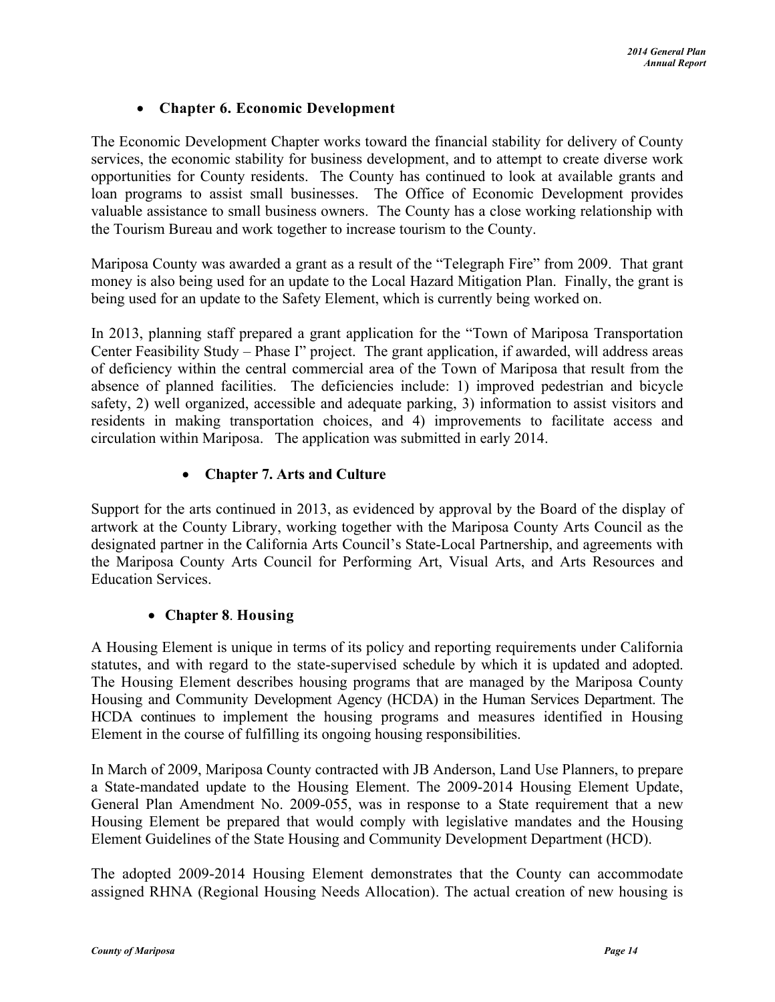## **Chapter 6. Economic Development**

The Economic Development Chapter works toward the financial stability for delivery of County services, the economic stability for business development, and to attempt to create diverse work opportunities for County residents. The County has continued to look at available grants and loan programs to assist small businesses. The Office of Economic Development provides valuable assistance to small business owners. The County has a close working relationship with the Tourism Bureau and work together to increase tourism to the County.

Mariposa County was awarded a grant as a result of the "Telegraph Fire" from 2009. That grant money is also being used for an update to the Local Hazard Mitigation Plan. Finally, the grant is being used for an update to the Safety Element, which is currently being worked on.

In 2013, planning staff prepared a grant application for the "Town of Mariposa Transportation Center Feasibility Study – Phase I" project. The grant application, if awarded, will address areas of deficiency within the central commercial area of the Town of Mariposa that result from the absence of planned facilities. The deficiencies include: 1) improved pedestrian and bicycle safety, 2) well organized, accessible and adequate parking, 3) information to assist visitors and residents in making transportation choices, and 4) improvements to facilitate access and circulation within Mariposa. The application was submitted in early 2014.

## **Chapter 7. Arts and Culture**

Support for the arts continued in 2013, as evidenced by approval by the Board of the display of artwork at the County Library, working together with the Mariposa County Arts Council as the designated partner in the California Arts Council's State-Local Partnership, and agreements with the Mariposa County Arts Council for Performing Art, Visual Arts, and Arts Resources and Education Services.

## **Chapter 8**. **Housing**

A Housing Element is unique in terms of its policy and reporting requirements under California statutes, and with regard to the state-supervised schedule by which it is updated and adopted. The Housing Element describes housing programs that are managed by the Mariposa County Housing and Community Development Agency (HCDA) in the Human Services Department. The HCDA continues to implement the housing programs and measures identified in Housing Element in the course of fulfilling its ongoing housing responsibilities.

In March of 2009, Mariposa County contracted with JB Anderson, Land Use Planners, to prepare a State-mandated update to the Housing Element. The 2009-2014 Housing Element Update, General Plan Amendment No. 2009-055, was in response to a State requirement that a new Housing Element be prepared that would comply with legislative mandates and the Housing Element Guidelines of the State Housing and Community Development Department (HCD).

The adopted 2009-2014 Housing Element demonstrates that the County can accommodate assigned RHNA (Regional Housing Needs Allocation). The actual creation of new housing is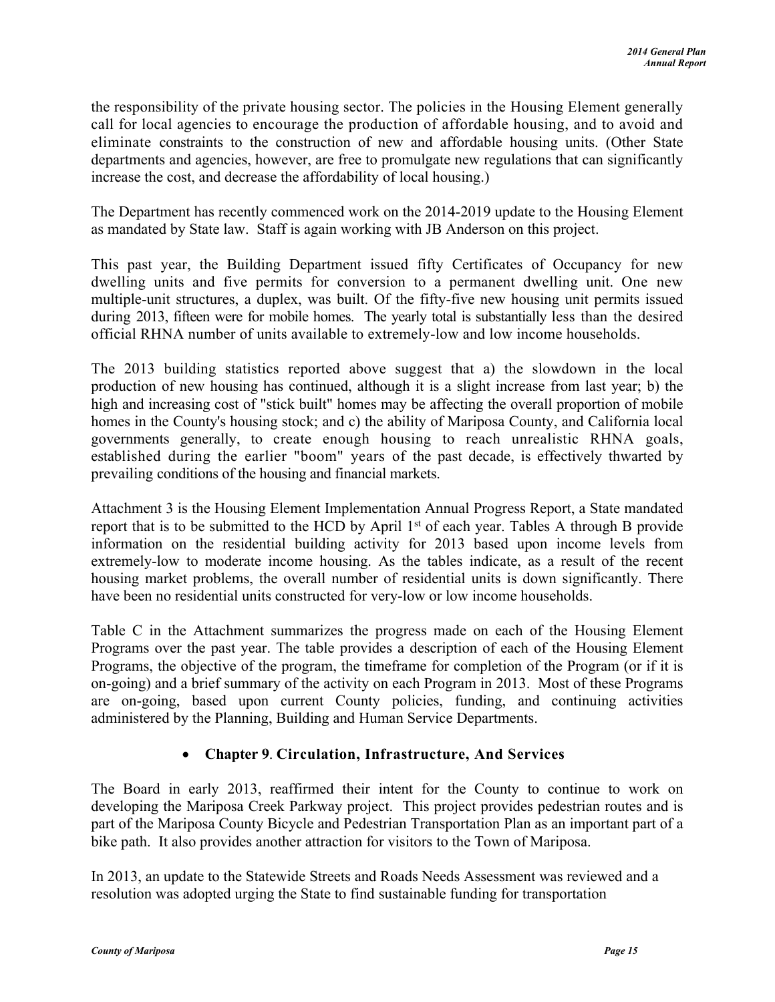the responsibility of the private housing sector. The policies in the Housing Element generally call for local agencies to encourage the production of affordable housing, and to avoid and eliminate constraints to the construction of new and affordable housing units. (Other State departments and agencies, however, are free to promulgate new regulations that can significantly increase the cost, and decrease the affordability of local housing.)

The Department has recently commenced work on the 2014-2019 update to the Housing Element as mandated by State law. Staff is again working with JB Anderson on this project.

This past year, the Building Department issued fifty Certificates of Occupancy for new dwelling units and five permits for conversion to a permanent dwelling unit. One new multiple-unit structures, a duplex, was built. Of the fifty-five new housing unit permits issued during 2013, fifteen were for mobile homes. The yearly total is substantially less than the desired official RHNA number of units available to extremely-low and low income households.

The 2013 building statistics reported above suggest that a) the slowdown in the local production of new housing has continued, although it is a slight increase from last year; b) the high and increasing cost of "stick built" homes may be affecting the overall proportion of mobile homes in the County's housing stock; and c) the ability of Mariposa County, and California local governments generally, to create enough housing to reach unrealistic RHNA goals, established during the earlier "boom" years of the past decade, is effectively thwarted by prevailing conditions of the housing and financial markets.

Attachment 3 is the Housing Element Implementation Annual Progress Report, a State mandated report that is to be submitted to the HCD by April 1st of each year. Tables A through B provide information on the residential building activity for 2013 based upon income levels from extremely-low to moderate income housing. As the tables indicate, as a result of the recent housing market problems, the overall number of residential units is down significantly. There have been no residential units constructed for very-low or low income households.

Table C in the Attachment summarizes the progress made on each of the Housing Element Programs over the past year. The table provides a description of each of the Housing Element Programs, the objective of the program, the timeframe for completion of the Program (or if it is on-going) and a brief summary of the activity on each Program in 2013. Most of these Programs are on-going, based upon current County policies, funding, and continuing activities administered by the Planning, Building and Human Service Departments.

## **Chapter 9**. **Circulation, Infrastructure, And Services**

The Board in early 2013, reaffirmed their intent for the County to continue to work on developing the Mariposa Creek Parkway project. This project provides pedestrian routes and is part of the Mariposa County Bicycle and Pedestrian Transportation Plan as an important part of a bike path. It also provides another attraction for visitors to the Town of Mariposa.

In 2013, an update to the Statewide Streets and Roads Needs Assessment was reviewed and a resolution was adopted urging the State to find sustainable funding for transportation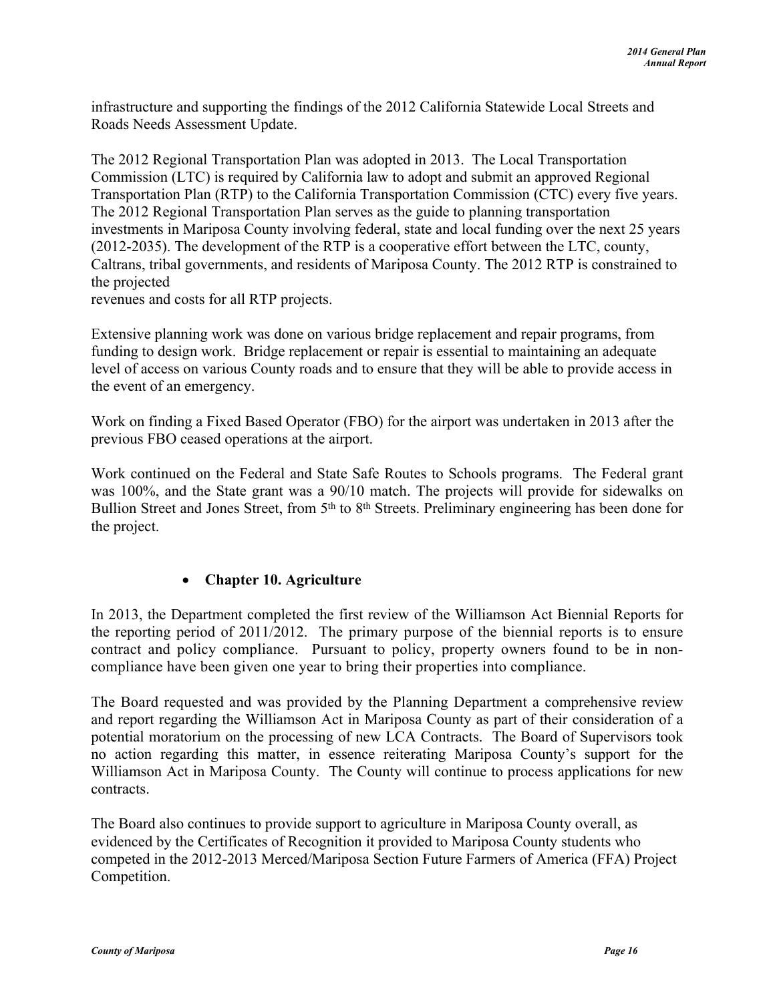infrastructure and supporting the findings of the 2012 California Statewide Local Streets and Roads Needs Assessment Update.

The 2012 Regional Transportation Plan was adopted in 2013. The Local Transportation Commission (LTC) is required by California law to adopt and submit an approved Regional Transportation Plan (RTP) to the California Transportation Commission (CTC) every five years. The 2012 Regional Transportation Plan serves as the guide to planning transportation investments in Mariposa County involving federal, state and local funding over the next 25 years (2012-2035). The development of the RTP is a cooperative effort between the LTC, county, Caltrans, tribal governments, and residents of Mariposa County. The 2012 RTP is constrained to the projected

revenues and costs for all RTP projects.

Extensive planning work was done on various bridge replacement and repair programs, from funding to design work. Bridge replacement or repair is essential to maintaining an adequate level of access on various County roads and to ensure that they will be able to provide access in the event of an emergency.

Work on finding a Fixed Based Operator (FBO) for the airport was undertaken in 2013 after the previous FBO ceased operations at the airport.

Work continued on the Federal and State Safe Routes to Schools programs. The Federal grant was 100%, and the State grant was a 90/10 match. The projects will provide for sidewalks on Bullion Street and Jones Street, from 5<sup>th</sup> to 8<sup>th</sup> Streets. Preliminary engineering has been done for the project.

## **Chapter 10. Agriculture**

In 2013, the Department completed the first review of the Williamson Act Biennial Reports for the reporting period of 2011/2012. The primary purpose of the biennial reports is to ensure contract and policy compliance. Pursuant to policy, property owners found to be in noncompliance have been given one year to bring their properties into compliance.

The Board requested and was provided by the Planning Department a comprehensive review and report regarding the Williamson Act in Mariposa County as part of their consideration of a potential moratorium on the processing of new LCA Contracts. The Board of Supervisors took no action regarding this matter, in essence reiterating Mariposa County's support for the Williamson Act in Mariposa County. The County will continue to process applications for new contracts.

The Board also continues to provide support to agriculture in Mariposa County overall, as evidenced by the Certificates of Recognition it provided to Mariposa County students who competed in the 2012-2013 Merced/Mariposa Section Future Farmers of America (FFA) Project Competition.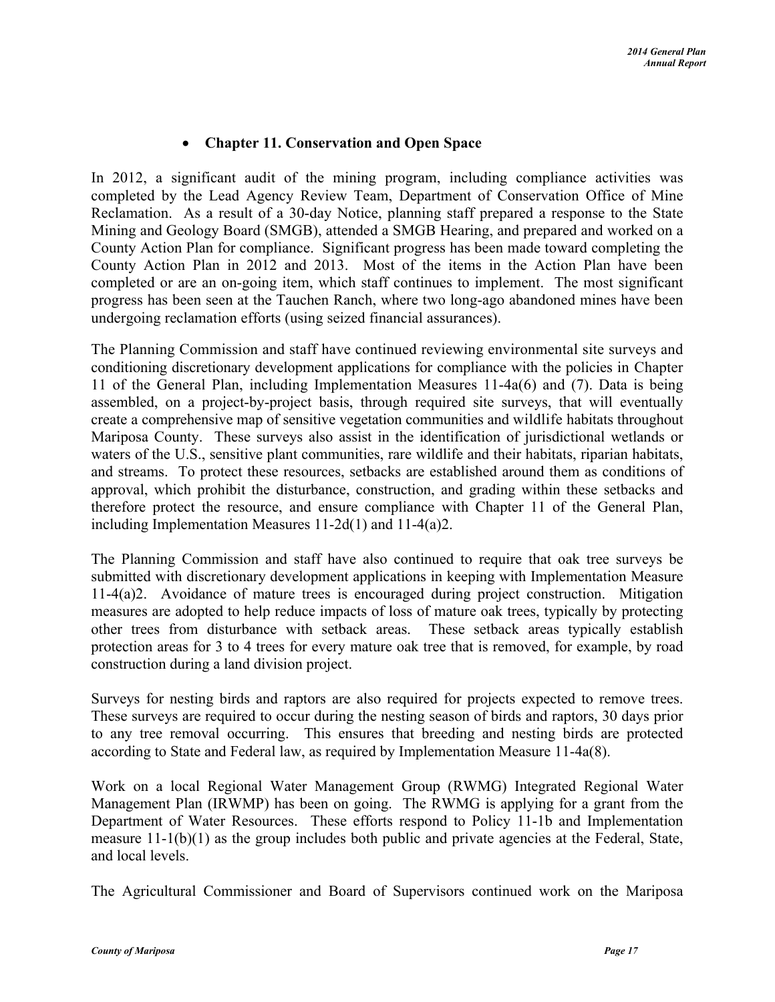## **Chapter 11. Conservation and Open Space**

In 2012, a significant audit of the mining program, including compliance activities was completed by the Lead Agency Review Team, Department of Conservation Office of Mine Reclamation. As a result of a 30-day Notice, planning staff prepared a response to the State Mining and Geology Board (SMGB), attended a SMGB Hearing, and prepared and worked on a County Action Plan for compliance. Significant progress has been made toward completing the County Action Plan in 2012 and 2013. Most of the items in the Action Plan have been completed or are an on-going item, which staff continues to implement. The most significant progress has been seen at the Tauchen Ranch, where two long-ago abandoned mines have been undergoing reclamation efforts (using seized financial assurances).

The Planning Commission and staff have continued reviewing environmental site surveys and conditioning discretionary development applications for compliance with the policies in Chapter 11 of the General Plan, including Implementation Measures 11-4a(6) and (7). Data is being assembled, on a project-by-project basis, through required site surveys, that will eventually create a comprehensive map of sensitive vegetation communities and wildlife habitats throughout Mariposa County. These surveys also assist in the identification of jurisdictional wetlands or waters of the U.S., sensitive plant communities, rare wildlife and their habitats, riparian habitats, and streams. To protect these resources, setbacks are established around them as conditions of approval, which prohibit the disturbance, construction, and grading within these setbacks and therefore protect the resource, and ensure compliance with Chapter 11 of the General Plan, including Implementation Measures 11-2d(1) and 11-4(a)2.

The Planning Commission and staff have also continued to require that oak tree surveys be submitted with discretionary development applications in keeping with Implementation Measure 11-4(a)2. Avoidance of mature trees is encouraged during project construction. Mitigation measures are adopted to help reduce impacts of loss of mature oak trees, typically by protecting other trees from disturbance with setback areas. These setback areas typically establish protection areas for 3 to 4 trees for every mature oak tree that is removed, for example, by road construction during a land division project.

Surveys for nesting birds and raptors are also required for projects expected to remove trees. These surveys are required to occur during the nesting season of birds and raptors, 30 days prior to any tree removal occurring. This ensures that breeding and nesting birds are protected according to State and Federal law, as required by Implementation Measure 11-4a(8).

Work on a local Regional Water Management Group (RWMG) Integrated Regional Water Management Plan (IRWMP) has been on going. The RWMG is applying for a grant from the Department of Water Resources. These efforts respond to Policy 11-1b and Implementation measure 11-1(b)(1) as the group includes both public and private agencies at the Federal, State, and local levels.

The Agricultural Commissioner and Board of Supervisors continued work on the Mariposa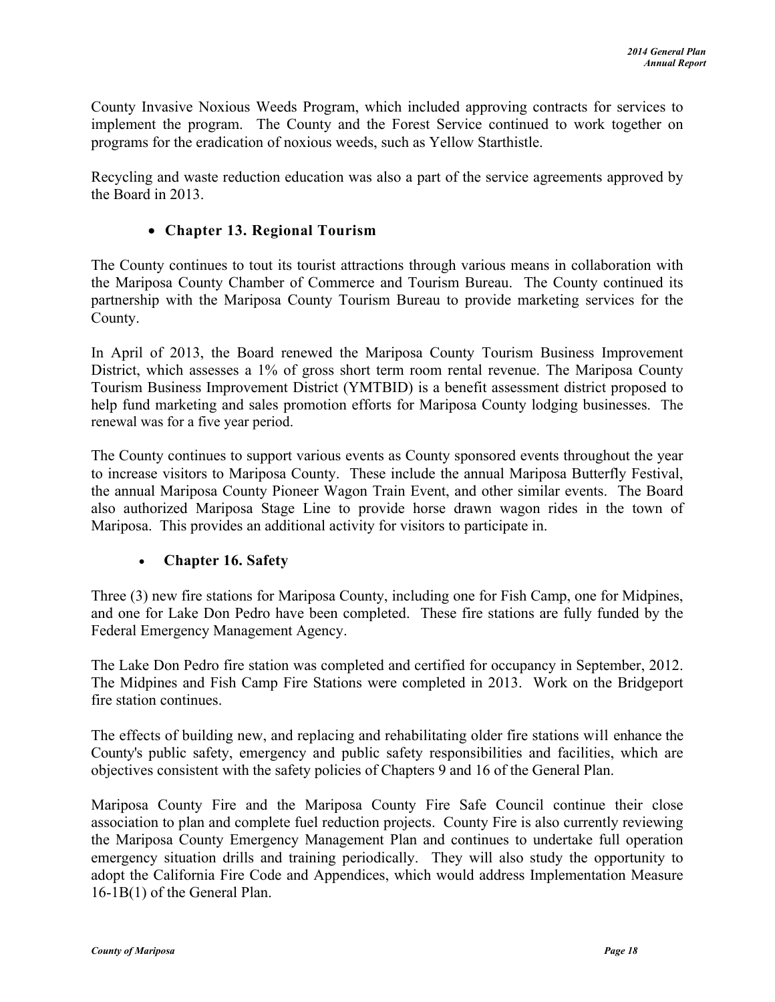County Invasive Noxious Weeds Program, which included approving contracts for services to implement the program. The County and the Forest Service continued to work together on programs for the eradication of noxious weeds, such as Yellow Starthistle.

Recycling and waste reduction education was also a part of the service agreements approved by the Board in 2013.

## **Chapter 13. Regional Tourism**

The County continues to tout its tourist attractions through various means in collaboration with the Mariposa County Chamber of Commerce and Tourism Bureau. The County continued its partnership with the Mariposa County Tourism Bureau to provide marketing services for the County.

In April of 2013, the Board renewed the Mariposa County Tourism Business Improvement District, which assesses a 1% of gross short term room rental revenue. The Mariposa County Tourism Business Improvement District (YMTBID) is a benefit assessment district proposed to help fund marketing and sales promotion efforts for Mariposa County lodging businesses. The renewal was for a five year period.

The County continues to support various events as County sponsored events throughout the year to increase visitors to Mariposa County. These include the annual Mariposa Butterfly Festival, the annual Mariposa County Pioneer Wagon Train Event, and other similar events. The Board also authorized Mariposa Stage Line to provide horse drawn wagon rides in the town of Mariposa. This provides an additional activity for visitors to participate in.

## **Chapter 16. Safety**

Three (3) new fire stations for Mariposa County, including one for Fish Camp, one for Midpines, and one for Lake Don Pedro have been completed. These fire stations are fully funded by the Federal Emergency Management Agency.

The Lake Don Pedro fire station was completed and certified for occupancy in September, 2012. The Midpines and Fish Camp Fire Stations were completed in 2013. Work on the Bridgeport fire station continues.

The effects of building new, and replacing and rehabilitating older fire stations will enhance the County's public safety, emergency and public safety responsibilities and facilities, which are objectives consistent with the safety policies of Chapters 9 and 16 of the General Plan.

Mariposa County Fire and the Mariposa County Fire Safe Council continue their close association to plan and complete fuel reduction projects. County Fire is also currently reviewing the Mariposa County Emergency Management Plan and continues to undertake full operation emergency situation drills and training periodically. They will also study the opportunity to adopt the California Fire Code and Appendices, which would address Implementation Measure 16-1B(1) of the General Plan.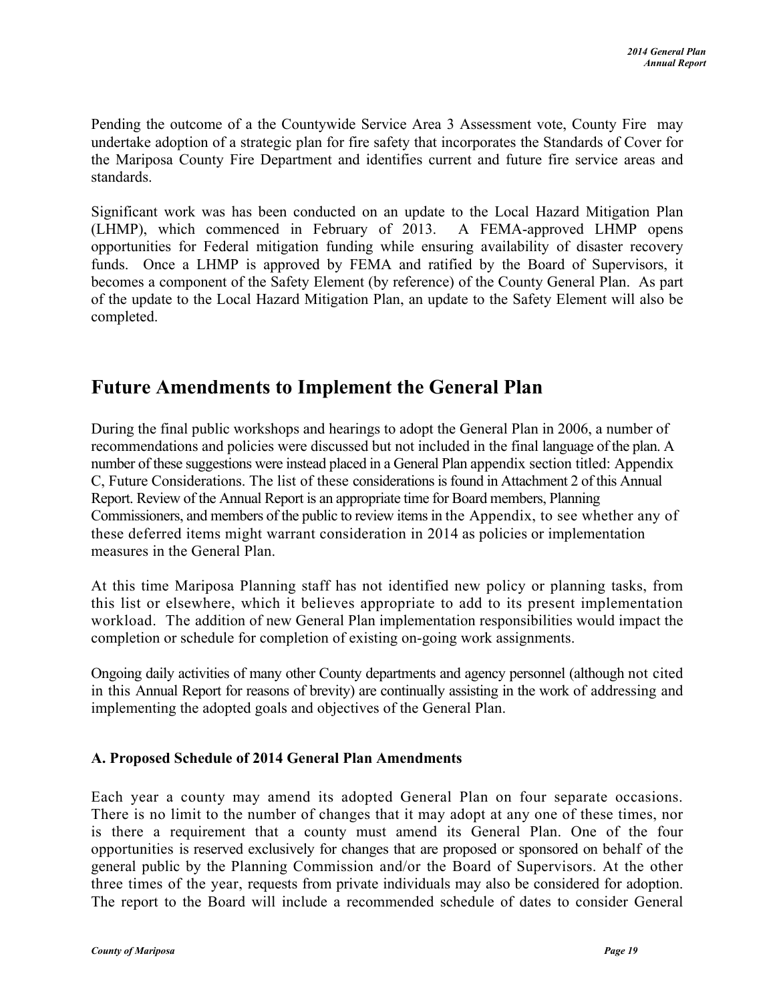Pending the outcome of a the Countywide Service Area 3 Assessment vote, County Fire may undertake adoption of a strategic plan for fire safety that incorporates the Standards of Cover for the Mariposa County Fire Department and identifies current and future fire service areas and standards.

Significant work was has been conducted on an update to the Local Hazard Mitigation Plan (LHMP), which commenced in February of 2013. A FEMA-approved LHMP opens opportunities for Federal mitigation funding while ensuring availability of disaster recovery funds. Once a LHMP is approved by FEMA and ratified by the Board of Supervisors, it becomes a component of the Safety Element (by reference) of the County General Plan. As part of the update to the Local Hazard Mitigation Plan, an update to the Safety Element will also be completed.

## <span id="page-18-0"></span>**Future Amendments to Implement the General Plan**

During the final public workshops and hearings to adopt the General Plan in 2006, a number of recommendations and policies were discussed but not included in the final language of the plan. A number of these suggestions were instead placed in a General Plan appendix section titled: Appendix C, Future Considerations. The list of these considerations is found in Attachment 2 of this Annual Report. Review of the Annual Report is an appropriate time for Board members, Planning Commissioners, and members of the public to review items in the Appendix, to see whether any of these deferred items might warrant consideration in 2014 as policies or implementation measures in the General Plan.

At this time Mariposa Planning staff has not identified new policy or planning tasks, from this list or elsewhere, which it believes appropriate to add to its present implementation workload. The addition of new General Plan implementation responsibilities would impact the completion or schedule for completion of existing on-going work assignments.

Ongoing daily activities of many other County departments and agency personnel (although not cited in this Annual Report for reasons of brevity) are continually assisting in the work of addressing and implementing the adopted goals and objectives of the General Plan.

## <span id="page-18-1"></span>**A. Proposed Schedule of 2014 General Plan Amendments**

Each year a county may amend its adopted General Plan on four separate occasions. There is no limit to the number of changes that it may adopt at any one of these times, nor is there a requirement that a county must amend its General Plan. One of the four opportunities is reserved exclusively for changes that are proposed or sponsored on behalf of the general public by the Planning Commission and/or the Board of Supervisors. At the other three times of the year, requests from private individuals may also be considered for adoption. The report to the Board will include a recommended schedule of dates to consider General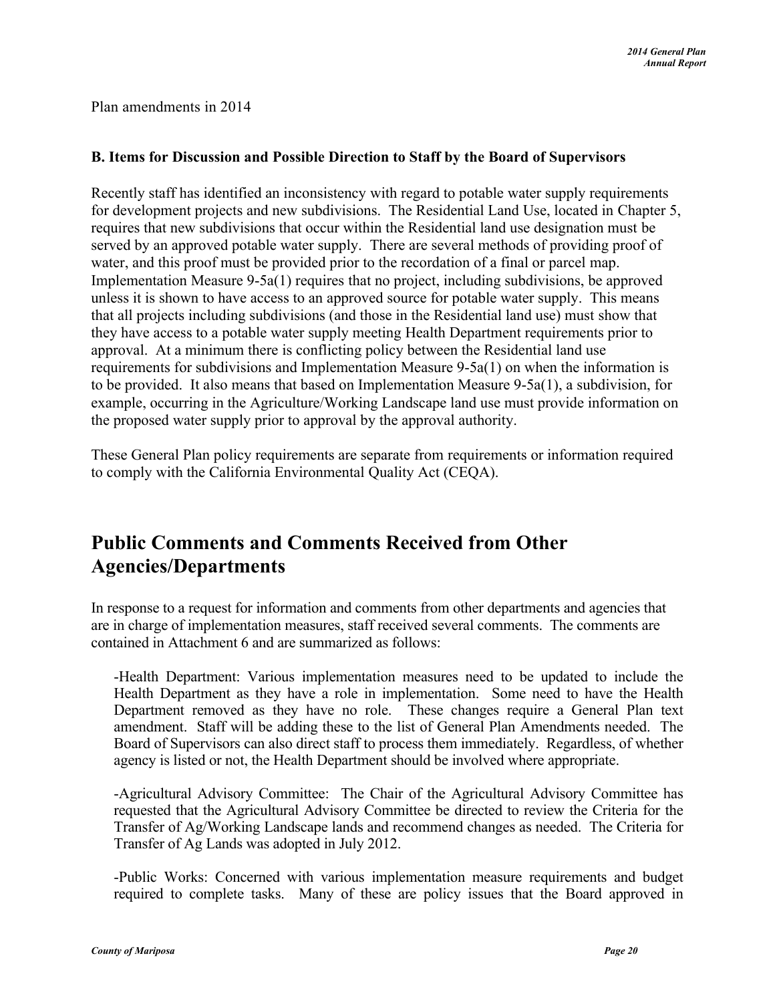Plan amendments in 2014

#### <span id="page-19-0"></span>**B. Items for Discussion and Possible Direction to Staff by the Board of Supervisors**

Recently staff has identified an inconsistency with regard to potable water supply requirements for development projects and new subdivisions. The Residential Land Use, located in Chapter 5, requires that new subdivisions that occur within the Residential land use designation must be served by an approved potable water supply. There are several methods of providing proof of water, and this proof must be provided prior to the recordation of a final or parcel map. Implementation Measure 9-5a(1) requires that no project, including subdivisions, be approved unless it is shown to have access to an approved source for potable water supply. This means that all projects including subdivisions (and those in the Residential land use) must show that they have access to a potable water supply meeting Health Department requirements prior to approval. At a minimum there is conflicting policy between the Residential land use requirements for subdivisions and Implementation Measure 9-5a(1) on when the information is to be provided. It also means that based on Implementation Measure 9-5a(1), a subdivision, for example, occurring in the Agriculture/Working Landscape land use must provide information on the proposed water supply prior to approval by the approval authority.

These General Plan policy requirements are separate from requirements or information required to comply with the California Environmental Quality Act (CEQA).

## <span id="page-19-1"></span>**Public Comments and Comments Received from Other Agencies/Departments**

In response to a request for information and comments from other departments and agencies that are in charge of implementation measures, staff received several comments. The comments are contained in Attachment 6 and are summarized as follows:

-Health Department: Various implementation measures need to be updated to include the Health Department as they have a role in implementation. Some need to have the Health Department removed as they have no role. These changes require a General Plan text amendment. Staff will be adding these to the list of General Plan Amendments needed. The Board of Supervisors can also direct staff to process them immediately. Regardless, of whether agency is listed or not, the Health Department should be involved where appropriate.

-Agricultural Advisory Committee: The Chair of the Agricultural Advisory Committee has requested that the Agricultural Advisory Committee be directed to review the Criteria for the Transfer of Ag/Working Landscape lands and recommend changes as needed. The Criteria for Transfer of Ag Lands was adopted in July 2012.

-Public Works: Concerned with various implementation measure requirements and budget required to complete tasks. Many of these are policy issues that the Board approved in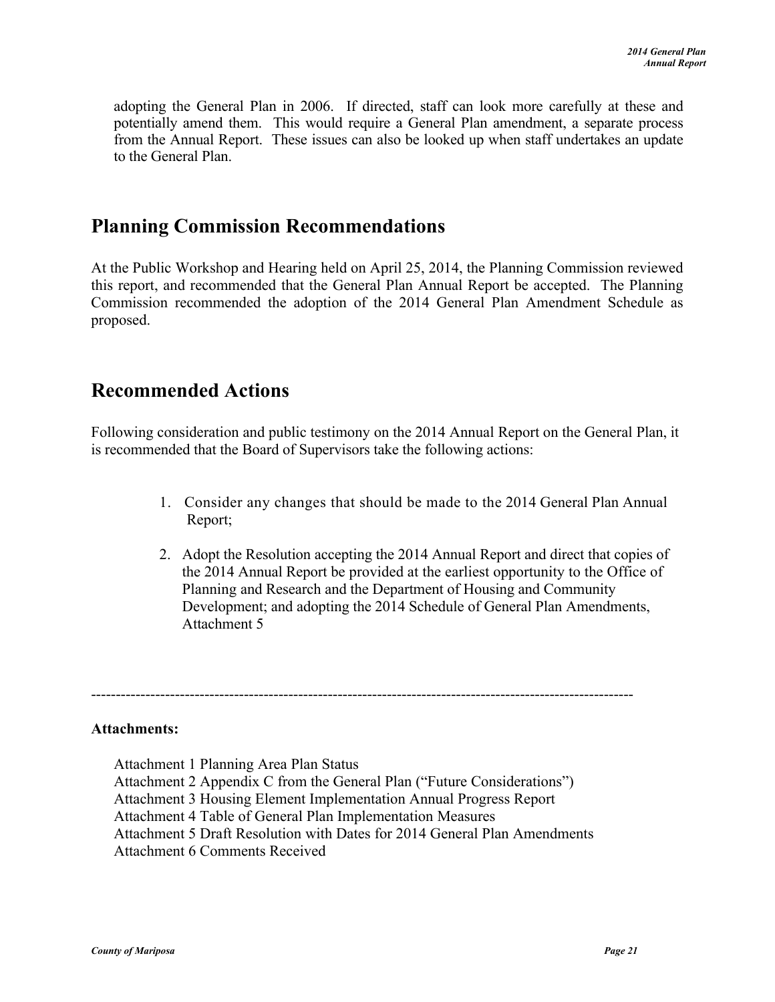adopting the General Plan in 2006. If directed, staff can look more carefully at these and potentially amend them. This would require a General Plan amendment, a separate process from the Annual Report. These issues can also be looked up when staff undertakes an update to the General Plan.

## <span id="page-20-0"></span>**Planning Commission Recommendations**

At the Public Workshop and Hearing held on April 25, 2014, the Planning Commission reviewed this report, and recommended that the General Plan Annual Report be accepted. The Planning Commission recommended the adoption of the 2014 General Plan Amendment Schedule as proposed.

## <span id="page-20-1"></span>**Recommended Actions**

Following consideration and public testimony on the 2014 Annual Report on the General Plan, it is recommended that the Board of Supervisors take the following actions:

- 1. Consider any changes that should be made to the 2014 General Plan Annual Report;
- 2. Adopt the Resolution accepting the 2014 Annual Report and direct that copies of the 2014 Annual Report be provided at the earliest opportunity to the Office of Planning and Research and the Department of Housing and Community Development; and adopting the 2014 Schedule of General Plan Amendments, Attachment 5

--------------------------------------------------------------------------------------------------------------

#### **Attachments:**

Attachment 1 Planning Area Plan Status Attachment 2 Appendix C from the General Plan ("Future Considerations") Attachment 3 Housing Element Implementation Annual Progress Report Attachment 4 Table of General Plan Implementation Measures Attachment 5 Draft Resolution with Dates for 2014 General Plan Amendments Attachment 6 Comments Received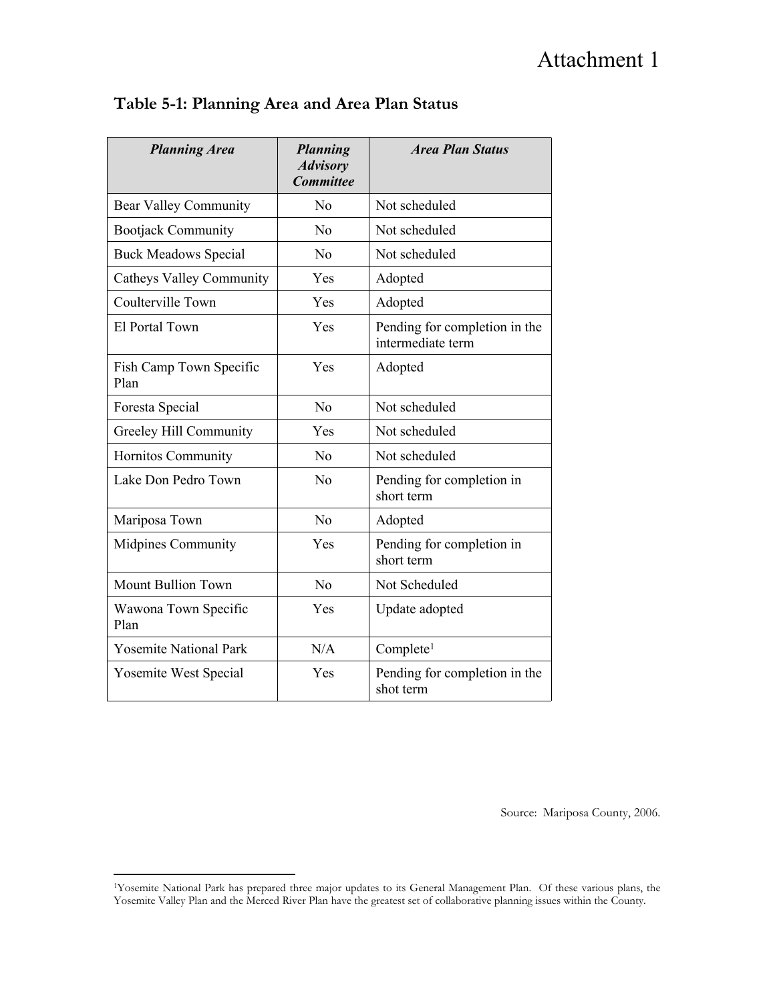# Attachment 1

| <b>Planning Area</b>            | <b>Planning</b><br><b>Advisory</b><br><b>Committee</b> | <b>Area Plan Status</b>                            |
|---------------------------------|--------------------------------------------------------|----------------------------------------------------|
| <b>Bear Valley Community</b>    | No                                                     | Not scheduled                                      |
| <b>Bootjack Community</b>       | No                                                     | Not scheduled                                      |
| <b>Buck Meadows Special</b>     | N <sub>0</sub>                                         | Not scheduled                                      |
| <b>Catheys Valley Community</b> | Yes                                                    | Adopted                                            |
| Coulterville Town               | Yes                                                    | Adopted                                            |
| El Portal Town                  | Yes                                                    | Pending for completion in the<br>intermediate term |
| Fish Camp Town Specific<br>Plan | Yes                                                    | Adopted                                            |
| Foresta Special                 | N <sub>0</sub>                                         | Not scheduled                                      |
| Greeley Hill Community          | Yes                                                    | Not scheduled                                      |
| Hornitos Community              | N <sub>0</sub>                                         | Not scheduled                                      |
| Lake Don Pedro Town             | N <sub>o</sub>                                         | Pending for completion in<br>short term            |
| Mariposa Town                   | N <sub>0</sub>                                         | Adopted                                            |
| Midpines Community              | Yes                                                    | Pending for completion in<br>short term            |
| <b>Mount Bullion Town</b>       | N <sub>0</sub>                                         | Not Scheduled                                      |
| Wawona Town Specific<br>Plan    | Yes                                                    | Update adopted                                     |
| <b>Yosemite National Park</b>   | N/A                                                    | Complete <sup>1</sup>                              |
| <b>Yosemite West Special</b>    | Yes                                                    | Pending for completion in the<br>shot term         |

## **Table 5-1: Planning Area and Area Plan Status**

Source: Mariposa County, 2006.

<sup>1</sup>Yosemite National Park has prepared three major updates to its General Management Plan. Of these various plans, the Yosemite Valley Plan and the Merced River Plan have the greatest set of collaborative planning issues within the County.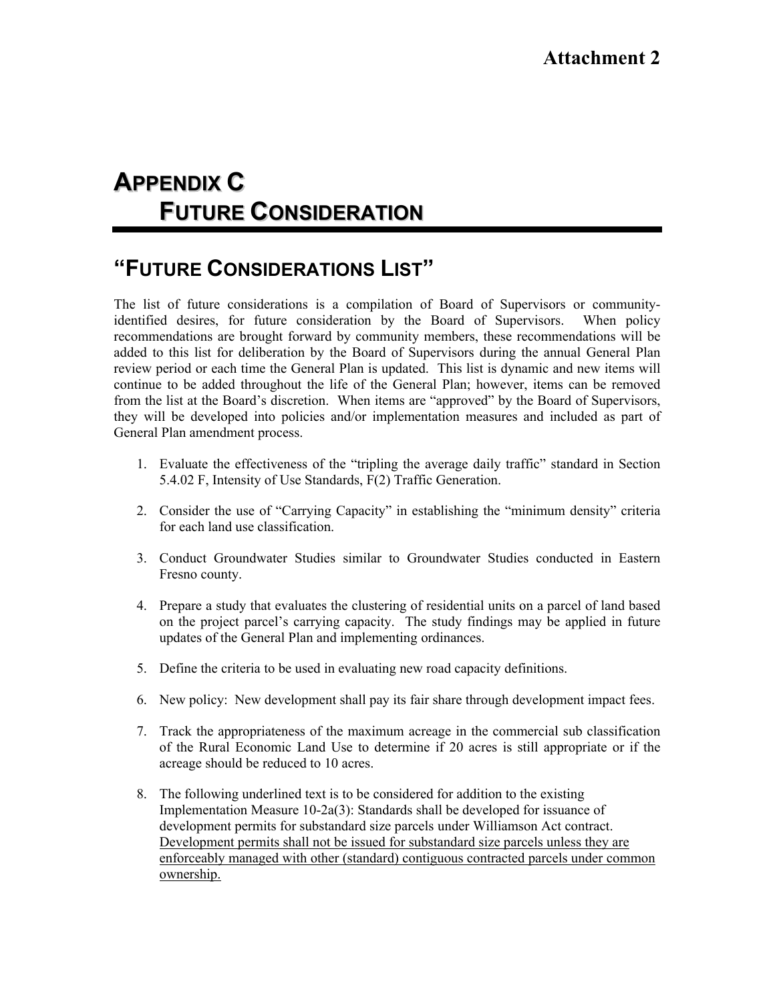# **APPENDIX C FUTURE CONSIDERATION**

# **"FUTURE CONSIDERATIONS LIST"**

The list of future considerations is a compilation of Board of Supervisors or communityidentified desires, for future consideration by the Board of Supervisors. When policy recommendations are brought forward by community members, these recommendations will be added to this list for deliberation by the Board of Supervisors during the annual General Plan review period or each time the General Plan is updated. This list is dynamic and new items will continue to be added throughout the life of the General Plan; however, items can be removed from the list at the Board's discretion. When items are "approved" by the Board of Supervisors, they will be developed into policies and/or implementation measures and included as part of General Plan amendment process.

- 1. Evaluate the effectiveness of the "tripling the average daily traffic" standard in Section 5.4.02 F, Intensity of Use Standards, F(2) Traffic Generation.
- 2. Consider the use of "Carrying Capacity" in establishing the "minimum density" criteria for each land use classification.
- 3. Conduct Groundwater Studies similar to Groundwater Studies conducted in Eastern Fresno county.
- 4. Prepare a study that evaluates the clustering of residential units on a parcel of land based on the project parcel's carrying capacity. The study findings may be applied in future updates of the General Plan and implementing ordinances.
- 5. Define the criteria to be used in evaluating new road capacity definitions.
- 6. New policy: New development shall pay its fair share through development impact fees.
- 7. Track the appropriateness of the maximum acreage in the commercial sub classification of the Rural Economic Land Use to determine if 20 acres is still appropriate or if the acreage should be reduced to 10 acres.
- 8. The following underlined text is to be considered for addition to the existing Implementation Measure 10-2a(3): Standards shall be developed for issuance of development permits for substandard size parcels under Williamson Act contract. Development permits shall not be issued for substandard size parcels unless they are enforceably managed with other (standard) contiguous contracted parcels under common ownership.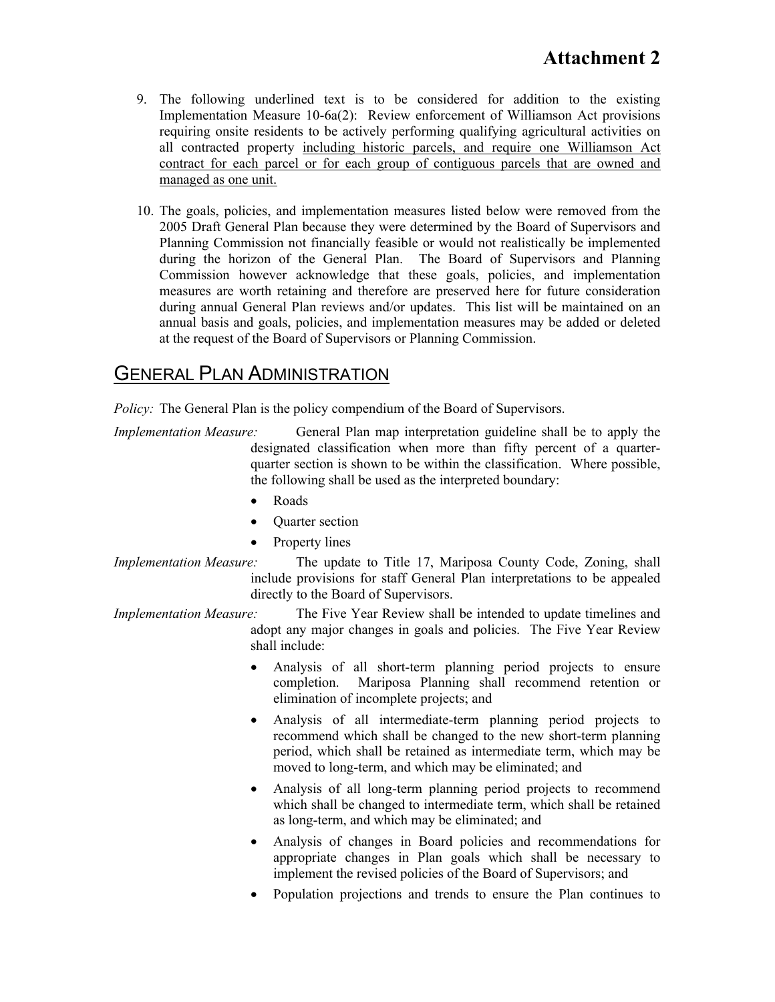- 9. The following underlined text is to be considered for addition to the existing Implementation Measure 10-6a(2): Review enforcement of Williamson Act provisions requiring onsite residents to be actively performing qualifying agricultural activities on all contracted property including historic parcels, and require one Williamson Act contract for each parcel or for each group of contiguous parcels that are owned and managed as one unit.
- 10. The goals, policies, and implementation measures listed below were removed from the 2005 Draft General Plan because they were determined by the Board of Supervisors and Planning Commission not financially feasible or would not realistically be implemented during the horizon of the General Plan. The Board of Supervisors and Planning Commission however acknowledge that these goals, policies, and implementation measures are worth retaining and therefore are preserved here for future consideration during annual General Plan reviews and/or updates. This list will be maintained on an annual basis and goals, policies, and implementation measures may be added or deleted at the request of the Board of Supervisors or Planning Commission.

## GENERAL PLAN ADMINISTRATION

*Policy:* The General Plan is the policy compendium of the Board of Supervisors.

- *Implementation Measure:* General Plan map interpretation guideline shall be to apply the designated classification when more than fifty percent of a quarterquarter section is shown to be within the classification. Where possible, the following shall be used as the interpreted boundary:
	- Roads
	- Quarter section
	- Property lines
- *Implementation Measure:* The update to Title 17, Mariposa County Code, Zoning, shall include provisions for staff General Plan interpretations to be appealed directly to the Board of Supervisors.
- *Implementation Measure:* The Five Year Review shall be intended to update timelines and adopt any major changes in goals and policies. The Five Year Review shall include:
	- Analysis of all short-term planning period projects to ensure completion. Mariposa Planning shall recommend retention or elimination of incomplete projects; and
	- Analysis of all intermediate-term planning period projects to recommend which shall be changed to the new short-term planning period, which shall be retained as intermediate term, which may be moved to long-term, and which may be eliminated; and
	- Analysis of all long-term planning period projects to recommend which shall be changed to intermediate term, which shall be retained as long-term, and which may be eliminated; and
	- Analysis of changes in Board policies and recommendations for appropriate changes in Plan goals which shall be necessary to implement the revised policies of the Board of Supervisors; and
	- Population projections and trends to ensure the Plan continues to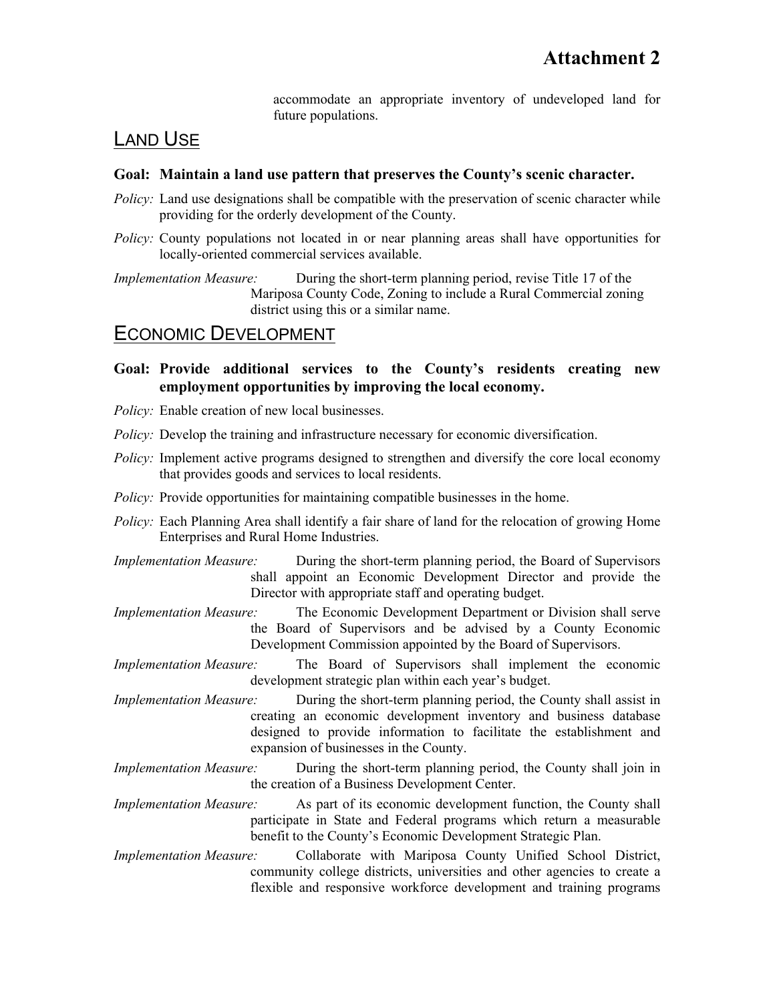accommodate an appropriate inventory of undeveloped land for future populations.

## LAND USE

#### **Goal: Maintain a land use pattern that preserves the County's scenic character.**

- *Policy:* Land use designations shall be compatible with the preservation of scenic character while providing for the orderly development of the County.
- *Policy:* County populations not located in or near planning areas shall have opportunities for locally-oriented commercial services available.

*Implementation Measure:* During the short-term planning period, revise Title 17 of the Mariposa County Code, Zoning to include a Rural Commercial zoning district using this or a similar name.

## ECONOMIC DEVELOPMENT

#### **Goal: Provide additional services to the County's residents creating new employment opportunities by improving the local economy.**

- *Policy:* Enable creation of new local businesses.
- *Policy:* Develop the training and infrastructure necessary for economic diversification.
- *Policy:* Implement active programs designed to strengthen and diversify the core local economy that provides goods and services to local residents.
- *Policy:* Provide opportunities for maintaining compatible businesses in the home.
- *Policy:* Each Planning Area shall identify a fair share of land for the relocation of growing Home Enterprises and Rural Home Industries.
- *Implementation Measure:* During the short-term planning period, the Board of Supervisors shall appoint an Economic Development Director and provide the Director with appropriate staff and operating budget.
- *Implementation Measure:* The Economic Development Department or Division shall serve the Board of Supervisors and be advised by a County Economic Development Commission appointed by the Board of Supervisors.
- *Implementation Measure:* The Board of Supervisors shall implement the economic development strategic plan within each year's budget.
- *Implementation Measure:* During the short-term planning period, the County shall assist in creating an economic development inventory and business database designed to provide information to facilitate the establishment and expansion of businesses in the County.
- *Implementation Measure:* During the short-term planning period, the County shall join in the creation of a Business Development Center.
- *Implementation Measure:* As part of its economic development function, the County shall participate in State and Federal programs which return a measurable benefit to the County's Economic Development Strategic Plan.
- *Implementation Measure:* Collaborate with Mariposa County Unified School District, community college districts, universities and other agencies to create a flexible and responsive workforce development and training programs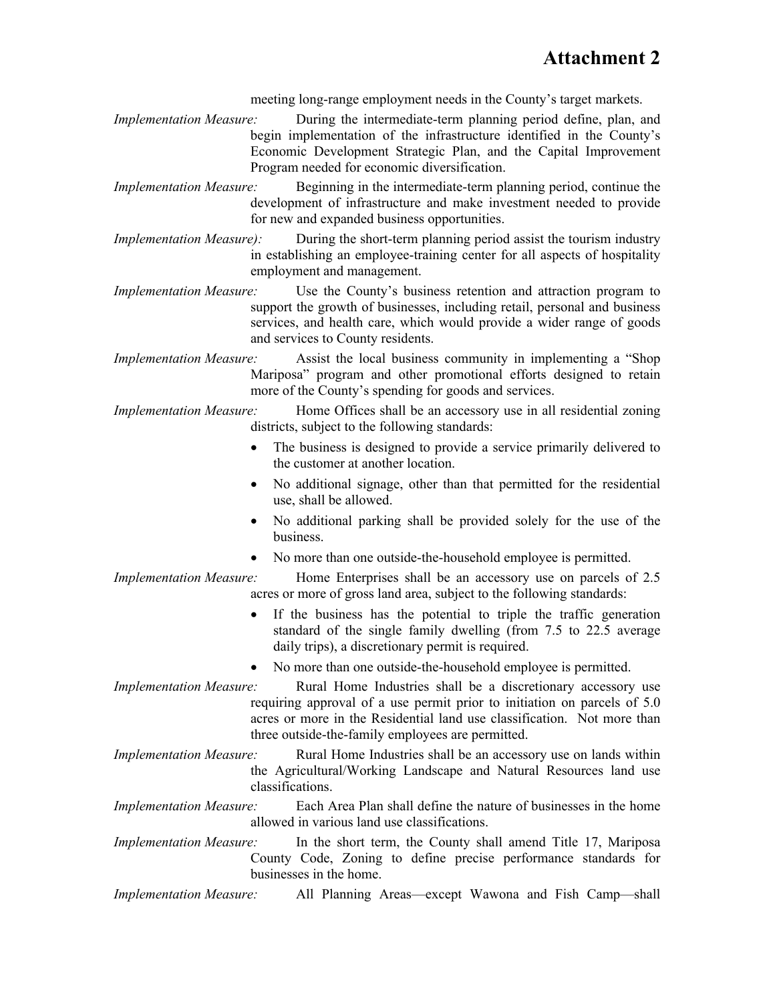meeting long-range employment needs in the County's target markets.

- *Implementation Measure:* During the intermediate-term planning period define, plan, and begin implementation of the infrastructure identified in the County's Economic Development Strategic Plan, and the Capital Improvement Program needed for economic diversification.
- *Implementation Measure:* Beginning in the intermediate-term planning period, continue the development of infrastructure and make investment needed to provide for new and expanded business opportunities.
- *Implementation Measure):* During the short-term planning period assist the tourism industry in establishing an employee-training center for all aspects of hospitality employment and management.
- *Implementation Measure:* Use the County's business retention and attraction program to support the growth of businesses, including retail, personal and business services, and health care, which would provide a wider range of goods and services to County residents.
- *Implementation Measure:* Assist the local business community in implementing a "Shop Mariposa" program and other promotional efforts designed to retain more of the County's spending for goods and services.
- *Implementation Measure:* Home Offices shall be an accessory use in all residential zoning districts, subject to the following standards:
	- The business is designed to provide a service primarily delivered to the customer at another location.
	- No additional signage, other than that permitted for the residential use, shall be allowed.
	- No additional parking shall be provided solely for the use of the business.
	- No more than one outside-the-household employee is permitted.

*Implementation Measure:* Home Enterprises shall be an accessory use on parcels of 2.5 acres or more of gross land area, subject to the following standards:

- If the business has the potential to triple the traffic generation standard of the single family dwelling (from 7.5 to 22.5 average daily trips), a discretionary permit is required.
- No more than one outside-the-household employee is permitted.
- *Implementation Measure:* Rural Home Industries shall be a discretionary accessory use requiring approval of a use permit prior to initiation on parcels of 5.0 acres or more in the Residential land use classification. Not more than three outside-the-family employees are permitted.
- *Implementation Measure:* Rural Home Industries shall be an accessory use on lands within the Agricultural/Working Landscape and Natural Resources land use classifications.
- *Implementation Measure:* Each Area Plan shall define the nature of businesses in the home allowed in various land use classifications.
- *Implementation Measure:* In the short term, the County shall amend Title 17, Mariposa County Code, Zoning to define precise performance standards for businesses in the home.
- *Implementation Measure:* All Planning Areas—except Wawona and Fish Camp—shall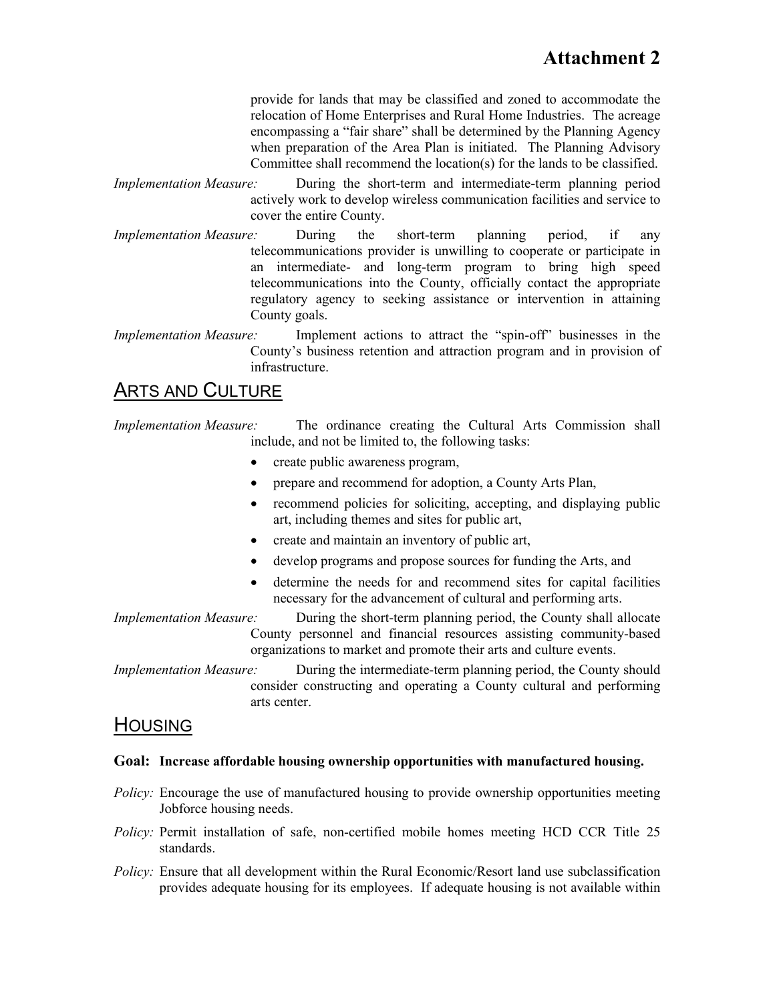provide for lands that may be classified and zoned to accommodate the relocation of Home Enterprises and Rural Home Industries. The acreage encompassing a "fair share" shall be determined by the Planning Agency when preparation of the Area Plan is initiated. The Planning Advisory Committee shall recommend the location(s) for the lands to be classified.

- *Implementation Measure:* During the short-term and intermediate-term planning period actively work to develop wireless communication facilities and service to cover the entire County.
- *Implementation Measure:* During the short-term planning period, if any telecommunications provider is unwilling to cooperate or participate in an intermediate- and long-term program to bring high speed telecommunications into the County, officially contact the appropriate regulatory agency to seeking assistance or intervention in attaining County goals.
- *Implementation Measure:* Implement actions to attract the "spin-off" businesses in the County's business retention and attraction program and in provision of infrastructure.

## ARTS AND CULTURE

- *Implementation Measure:* The ordinance creating the Cultural Arts Commission shall include, and not be limited to, the following tasks:
	- create public awareness program,
	- prepare and recommend for adoption, a County Arts Plan,
	- recommend policies for soliciting, accepting, and displaying public art, including themes and sites for public art,
	- create and maintain an inventory of public art,
	- develop programs and propose sources for funding the Arts, and
	- determine the needs for and recommend sites for capital facilities necessary for the advancement of cultural and performing arts.
- *Implementation Measure:* During the short-term planning period, the County shall allocate County personnel and financial resources assisting community-based organizations to market and promote their arts and culture events.

*Implementation Measure:* During the intermediate-term planning period, the County should consider constructing and operating a County cultural and performing arts center.

## **HOUSING**

#### **Goal: Increase affordable housing ownership opportunities with manufactured housing.**

- *Policy:* Encourage the use of manufactured housing to provide ownership opportunities meeting Jobforce housing needs.
- *Policy:* Permit installation of safe, non-certified mobile homes meeting HCD CCR Title 25 standards.
- *Policy:* Ensure that all development within the Rural Economic/Resort land use subclassification provides adequate housing for its employees. If adequate housing is not available within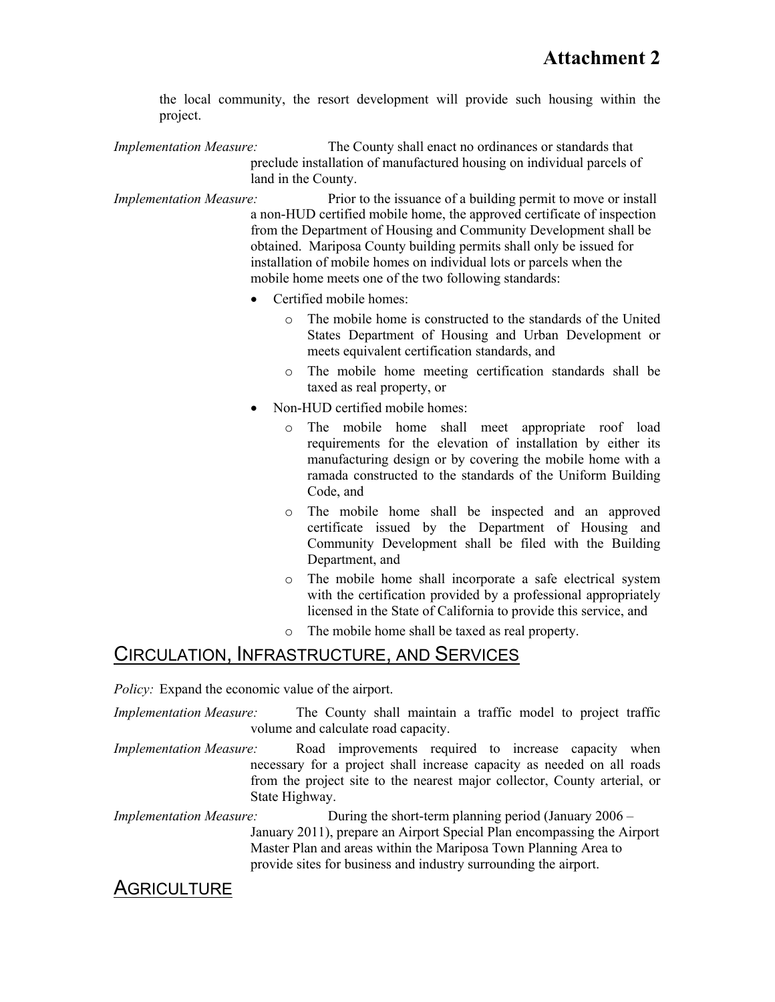the local community, the resort development will provide such housing within the project.

*Implementation Measure:* The County shall enact no ordinances or standards that preclude installation of manufactured housing on individual parcels of land in the County.

*Implementation Measure:* Prior to the issuance of a building permit to move or install a non-HUD certified mobile home, the approved certificate of inspection from the Department of Housing and Community Development shall be obtained. Mariposa County building permits shall only be issued for installation of mobile homes on individual lots or parcels when the mobile home meets one of the two following standards:

- Certified mobile homes:
	- o The mobile home is constructed to the standards of the United States Department of Housing and Urban Development or meets equivalent certification standards, and
	- o The mobile home meeting certification standards shall be taxed as real property, or
- Non-HUD certified mobile homes:
	- o The mobile home shall meet appropriate roof load requirements for the elevation of installation by either its manufacturing design or by covering the mobile home with a ramada constructed to the standards of the Uniform Building Code, and
	- o The mobile home shall be inspected and an approved certificate issued by the Department of Housing and Community Development shall be filed with the Building Department, and
	- o The mobile home shall incorporate a safe electrical system with the certification provided by a professional appropriately licensed in the State of California to provide this service, and
	- o The mobile home shall be taxed as real property.

## CIRCULATION, INFRASTRUCTURE, AND SERVICES

*Policy:* Expand the economic value of the airport.

- *Implementation Measure:* The County shall maintain a traffic model to project traffic volume and calculate road capacity.
- *Implementation Measure:* Road improvements required to increase capacity when necessary for a project shall increase capacity as needed on all roads from the project site to the nearest major collector, County arterial, or State Highway.

*Implementation Measure:* During the short-term planning period (January 2006 – January 2011), prepare an Airport Special Plan encompassing the Airport Master Plan and areas within the Mariposa Town Planning Area to provide sites for business and industry surrounding the airport.

## **AGRICULTURE**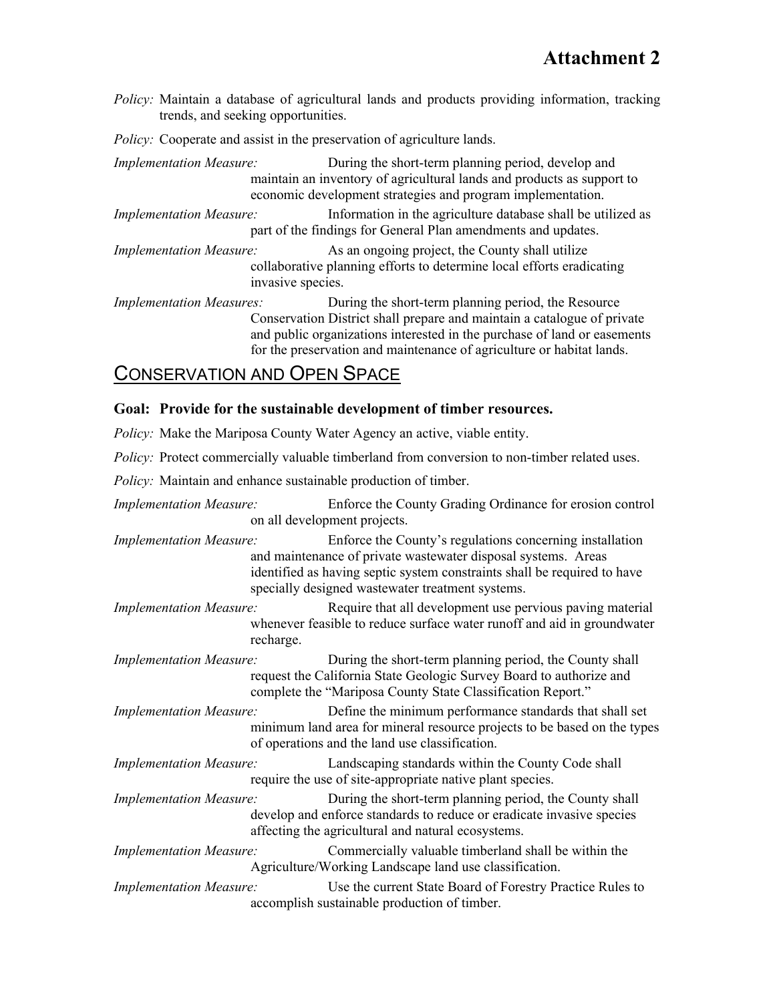*Policy:* Maintain a database of agricultural lands and products providing information, tracking trends, and seeking opportunities.

*Policy:* Cooperate and assist in the preservation of agriculture lands.

*Implementation Measure:* During the short-term planning period, develop and maintain an inventory of agricultural lands and products as support to economic development strategies and program implementation.

*Implementation Measure:* Information in the agriculture database shall be utilized as part of the findings for General Plan amendments and updates.

*Implementation Measure:* As an ongoing project, the County shall utilize collaborative planning efforts to determine local efforts eradicating invasive species.

*Implementation Measures:* During the short-term planning period, the Resource Conservation District shall prepare and maintain a catalogue of private and public organizations interested in the purchase of land or easements for the preservation and maintenance of agriculture or habitat lands.

## CONSERVATION AND OPEN SPACE

#### **Goal: Provide for the sustainable development of timber resources.**

*Policy:* Make the Mariposa County Water Agency an active, viable entity.

*Policy:* Protect commercially valuable timberland from conversion to non-timber related uses.

*Policy:* Maintain and enhance sustainable production of timber.

*Implementation Measure:* Enforce the County Grading Ordinance for erosion control on all development projects.

*Implementation Measure:* Enforce the County's regulations concerning installation and maintenance of private wastewater disposal systems. Areas identified as having septic system constraints shall be required to have specially designed wastewater treatment systems.

*Implementation Measure:* Require that all development use pervious paving material whenever feasible to reduce surface water runoff and aid in groundwater recharge.

*Implementation Measure:* During the short-term planning period, the County shall request the California State Geologic Survey Board to authorize and complete the "Mariposa County State Classification Report."

*Implementation Measure:* Define the minimum performance standards that shall set minimum land area for mineral resource projects to be based on the types of operations and the land use classification.

*Implementation Measure:* Landscaping standards within the County Code shall require the use of site-appropriate native plant species.

*Implementation Measure:* During the short-term planning period, the County shall develop and enforce standards to reduce or eradicate invasive species affecting the agricultural and natural ecosystems.

*Implementation Measure:* Commercially valuable timberland shall be within the Agriculture/Working Landscape land use classification.

*Implementation Measure:* Use the current State Board of Forestry Practice Rules to accomplish sustainable production of timber.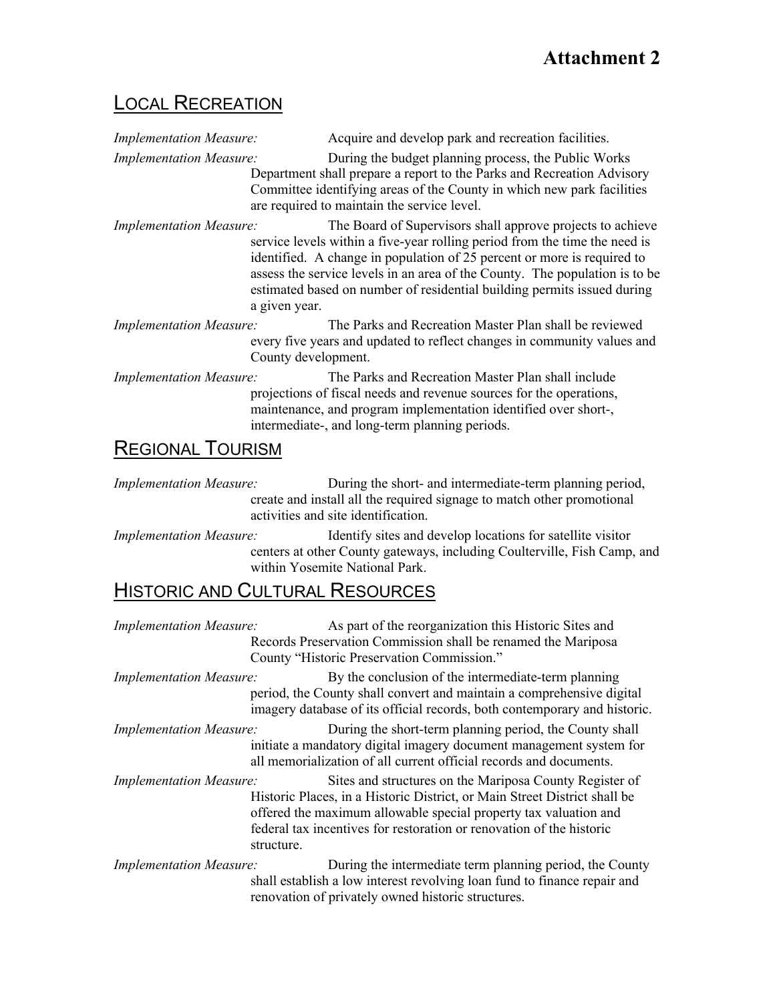## LOCAL RECREATION

| <b>Implementation Measure:</b> | Acquire and develop park and recreation facilities.                                                                                                                                                                                                                                                                                                                                            |
|--------------------------------|------------------------------------------------------------------------------------------------------------------------------------------------------------------------------------------------------------------------------------------------------------------------------------------------------------------------------------------------------------------------------------------------|
| <b>Implementation Measure:</b> | During the budget planning process, the Public Works<br>Department shall prepare a report to the Parks and Recreation Advisory<br>Committee identifying areas of the County in which new park facilities<br>are required to maintain the service level.                                                                                                                                        |
| <b>Implementation Measure:</b> | The Board of Supervisors shall approve projects to achieve<br>service levels within a five-year rolling period from the time the need is<br>identified. A change in population of 25 percent or more is required to<br>assess the service levels in an area of the County. The population is to be<br>estimated based on number of residential building permits issued during<br>a given year. |
| <b>Implementation Measure:</b> | The Parks and Recreation Master Plan shall be reviewed<br>every five years and updated to reflect changes in community values and<br>County development.                                                                                                                                                                                                                                       |
| <b>Implementation Measure:</b> | The Parks and Recreation Master Plan shall include<br>projections of fiscal needs and revenue sources for the operations,<br>maintenance, and program implementation identified over short-,<br>intermediate-, and long-term planning periods.                                                                                                                                                 |
| <b>REGIONAL TOURISM</b>        |                                                                                                                                                                                                                                                                                                                                                                                                |

*Implementation Measure:* During the short- and intermediate-term planning period, create and install all the required signage to match other promotional activities and site identification.

*Implementation Measure:* Identify sites and develop locations for satellite visitor centers at other County gateways, including Coulterville, Fish Camp, and within Yosemite National Park.

# **HISTORIC AND CULTURAL RESOURCES**

| <b>Implementation Measure:</b> | As part of the reorganization this Historic Sites and<br>Records Preservation Commission shall be renamed the Mariposa<br>County "Historic Preservation Commission."                                                                                                                           |
|--------------------------------|------------------------------------------------------------------------------------------------------------------------------------------------------------------------------------------------------------------------------------------------------------------------------------------------|
| <b>Implementation Measure:</b> | By the conclusion of the intermediate-term planning<br>period, the County shall convert and maintain a comprehensive digital<br>imagery database of its official records, both contemporary and historic.                                                                                      |
| <b>Implementation Measure:</b> | During the short-term planning period, the County shall<br>initiate a mandatory digital imagery document management system for<br>all memorialization of all current official records and documents.                                                                                           |
| <b>Implementation Measure:</b> | Sites and structures on the Mariposa County Register of<br>Historic Places, in a Historic District, or Main Street District shall be<br>offered the maximum allowable special property tax valuation and<br>federal tax incentives for restoration or renovation of the historic<br>structure. |
| <b>Implementation Measure:</b> | During the intermediate term planning period, the County<br>shall establish a low interest revolving loan fund to finance repair and<br>renovation of privately owned historic structures.                                                                                                     |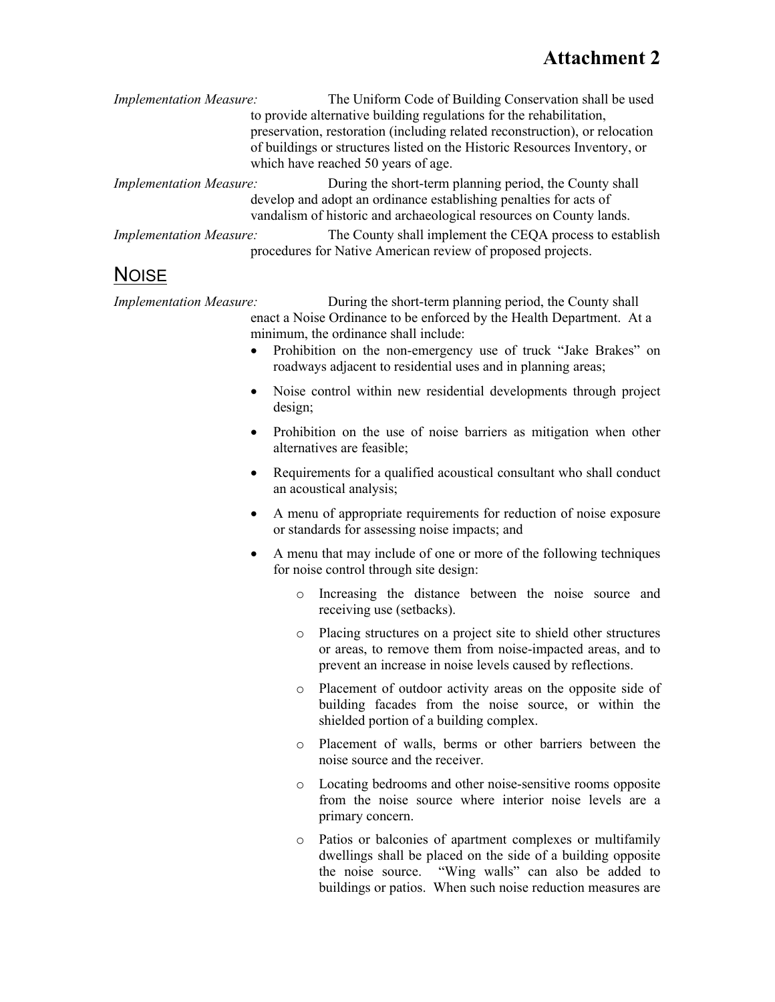# **Attachment 2**

| <b>Implementation Measure:</b> | The Uniform Code of Building Conservation shall be used                                                                 |
|--------------------------------|-------------------------------------------------------------------------------------------------------------------------|
|                                | to provide alternative building regulations for the rehabilitation,                                                     |
|                                | preservation, restoration (including related reconstruction), or relocation                                             |
|                                | of buildings or structures listed on the Historic Resources Inventory, or                                               |
|                                | which have reached 50 years of age.                                                                                     |
| <b>Implementation Measure:</b> | During the short-term planning period, the County shall                                                                 |
|                                | develop and adopt an ordinance establishing penalties for acts of                                                       |
|                                | vandalism of historic and archaeological resources on County lands.                                                     |
| <b>Implementation Measure:</b> | The County shall implement the CEQA process to establish<br>procedures for Native American review of proposed projects. |

## **NOISE**

*Implementation Measure:* During the short-term planning period, the County shall enact a Noise Ordinance to be enforced by the Health Department. At a minimum, the ordinance shall include:

- Prohibition on the non-emergency use of truck "Jake Brakes" on roadways adjacent to residential uses and in planning areas;
- Noise control within new residential developments through project design;
- Prohibition on the use of noise barriers as mitigation when other alternatives are feasible;
- Requirements for a qualified acoustical consultant who shall conduct an acoustical analysis;
- A menu of appropriate requirements for reduction of noise exposure or standards for assessing noise impacts; and
- A menu that may include of one or more of the following techniques for noise control through site design:
	- o Increasing the distance between the noise source and receiving use (setbacks).
	- o Placing structures on a project site to shield other structures or areas, to remove them from noise-impacted areas, and to prevent an increase in noise levels caused by reflections.
	- o Placement of outdoor activity areas on the opposite side of building facades from the noise source, or within the shielded portion of a building complex.
	- o Placement of walls, berms or other barriers between the noise source and the receiver.
	- o Locating bedrooms and other noise-sensitive rooms opposite from the noise source where interior noise levels are a primary concern.
	- o Patios or balconies of apartment complexes or multifamily dwellings shall be placed on the side of a building opposite the noise source. "Wing walls" can also be added to buildings or patios. When such noise reduction measures are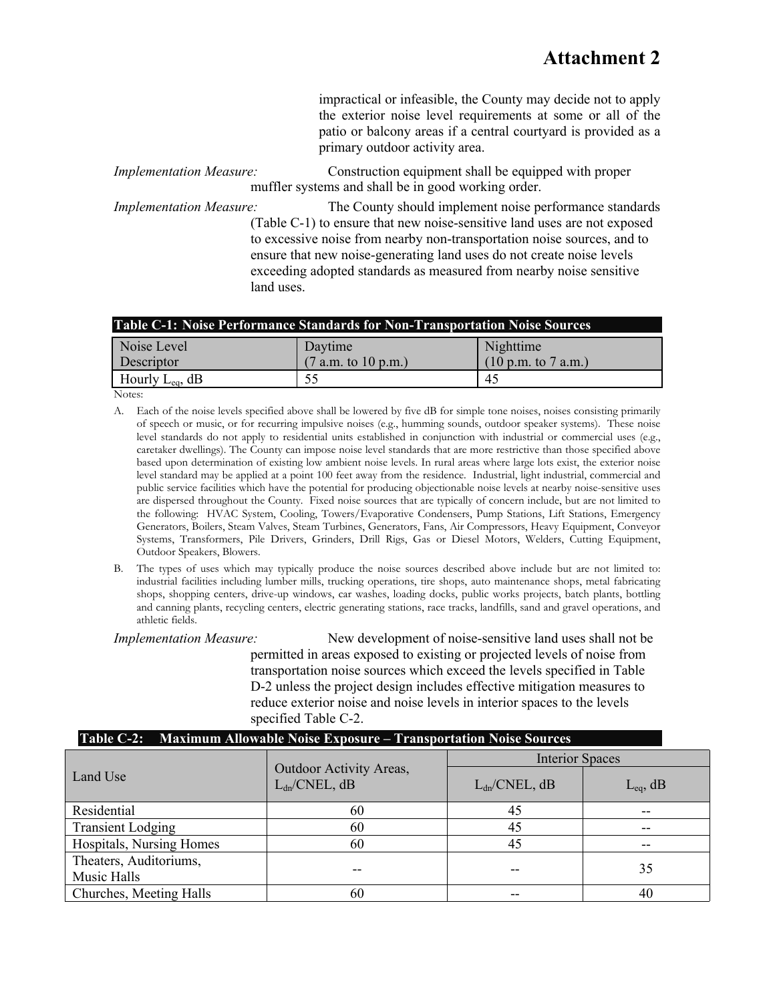impractical or infeasible, the County may decide not to apply the exterior noise level requirements at some or all of the patio or balcony areas if a central courtyard is provided as a primary outdoor activity area.

*Implementation Measure:* Construction equipment shall be equipped with proper muffler systems and shall be in good working order.

*Implementation Measure:* The County should implement noise performance standards (Table C-1) to ensure that new noise-sensitive land uses are not exposed to excessive noise from nearby non-transportation noise sources, and to ensure that new noise-generating land uses do not create noise levels exceeding adopted standards as measured from nearby noise sensitive land uses.

| Table C-1: Noise Performance Standards for Non-Transportation Noise Sources |  |
|-----------------------------------------------------------------------------|--|
|-----------------------------------------------------------------------------|--|

| Noise Level                  | Daytime             | Nighttime                              |
|------------------------------|---------------------|----------------------------------------|
| <b>Descriptor</b>            | (7 a.m. to 10 p.m.) | $(10 \text{ p.m. to } 7 \text{ a.m.})$ |
| $\vert$ Hourly $L_{eq}$ , dB | ن ر                 | 45                                     |

Notes:

- A. Each of the noise levels specified above shall be lowered by five dB for simple tone noises, noises consisting primarily of speech or music, or for recurring impulsive noises (e.g., humming sounds, outdoor speaker systems). These noise level standards do not apply to residential units established in conjunction with industrial or commercial uses (e.g., caretaker dwellings). The County can impose noise level standards that are more restrictive than those specified above based upon determination of existing low ambient noise levels. In rural areas where large lots exist, the exterior noise level standard may be applied at a point 100 feet away from the residence. Industrial, light industrial, commercial and public service facilities which have the potential for producing objectionable noise levels at nearby noise-sensitive uses are dispersed throughout the County. Fixed noise sources that are typically of concern include, but are not limited to the following: HVAC System, Cooling, Towers/Evaporative Condensers, Pump Stations, Lift Stations, Emergency Generators, Boilers, Steam Valves, Steam Turbines, Generators, Fans, Air Compressors, Heavy Equipment, Conveyor Systems, Transformers, Pile Drivers, Grinders, Drill Rigs, Gas or Diesel Motors, Welders, Cutting Equipment, Outdoor Speakers, Blowers.
- B. The types of uses which may typically produce the noise sources described above include but are not limited to: industrial facilities including lumber mills, trucking operations, tire shops, auto maintenance shops, metal fabricating shops, shopping centers, drive-up windows, car washes, loading docks, public works projects, batch plants, bottling and canning plants, recycling centers, electric generating stations, race tracks, landfills, sand and gravel operations, and athletic fields.

*Implementation Measure:* New development of noise-sensitive land uses shall not be permitted in areas exposed to existing or projected levels of noise from transportation noise sources which exceed the levels specified in Table D-2 unless the project design includes effective mitigation measures to reduce exterior noise and noise levels in interior spaces to the levels specified Table C-2.

| <b>Table C-2: Maximum Allowable Noise Exposure – Transportation Noise Sources</b> |                                                     |                        |               |  |  |  |  |  |
|-----------------------------------------------------------------------------------|-----------------------------------------------------|------------------------|---------------|--|--|--|--|--|
|                                                                                   |                                                     | <b>Interior Spaces</b> |               |  |  |  |  |  |
| Land Use                                                                          | <b>Outdoor Activity Areas,</b><br>$L_{dn}/CNEL, dB$ | $L_{dn}/CNEL, dB$      | $L_{eq}$ , dB |  |  |  |  |  |
| Residential                                                                       | 60                                                  | 45                     | --            |  |  |  |  |  |
| <b>Transient Lodging</b>                                                          | 60                                                  | 45                     | $- -$         |  |  |  |  |  |
| Hospitals, Nursing Homes                                                          | 60                                                  | 45                     | --            |  |  |  |  |  |
| Theaters, Auditoriums,<br>Music Halls                                             |                                                     | --                     | 35            |  |  |  |  |  |
| Churches, Meeting Halls                                                           | 60                                                  |                        | 40            |  |  |  |  |  |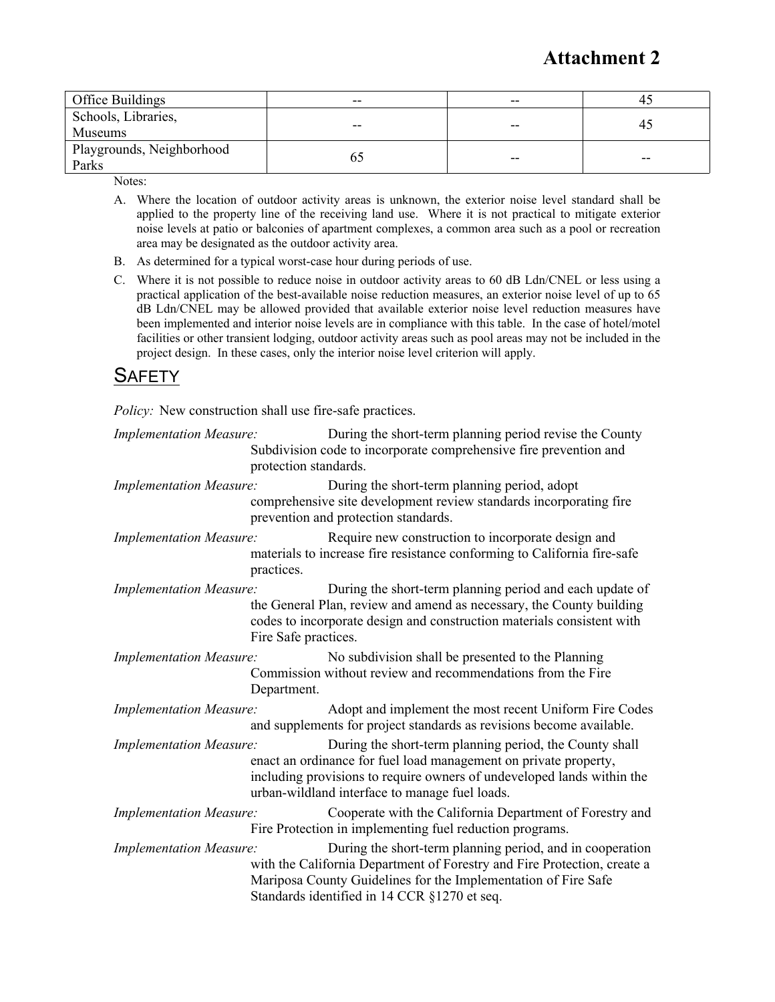# **Attachment 2**

| Office Buildings                      | $- -$ | -- | 4.    |
|---------------------------------------|-------|----|-------|
| Schools, Libraries,<br><b>Museums</b> | $- -$ | -- | 45    |
| Playgrounds, Neighborhood<br>Parks    |       | -- | $- -$ |

Notes:

- A. Where the location of outdoor activity areas is unknown, the exterior noise level standard shall be applied to the property line of the receiving land use. Where it is not practical to mitigate exterior noise levels at patio or balconies of apartment complexes, a common area such as a pool or recreation area may be designated as the outdoor activity area.
- B. As determined for a typical worst-case hour during periods of use.
- C. Where it is not possible to reduce noise in outdoor activity areas to 60 dB Ldn/CNEL or less using a practical application of the best-available noise reduction measures, an exterior noise level of up to 65 dB Ldn/CNEL may be allowed provided that available exterior noise level reduction measures have been implemented and interior noise levels are in compliance with this table. In the case of hotel/motel facilities or other transient lodging, outdoor activity areas such as pool areas may not be included in the project design. In these cases, only the interior noise level criterion will apply.

## **SAFETY**

*Policy:* New construction shall use fire-safe practices.

| <b>Implementation Measure:</b> | protection standards. | During the short-term planning period revise the County<br>Subdivision code to incorporate comprehensive fire prevention and                                                                                                                            |
|--------------------------------|-----------------------|---------------------------------------------------------------------------------------------------------------------------------------------------------------------------------------------------------------------------------------------------------|
| <b>Implementation Measure:</b> |                       | During the short-term planning period, adopt<br>comprehensive site development review standards incorporating fire<br>prevention and protection standards.                                                                                              |
| <b>Implementation Measure:</b> | practices.            | Require new construction to incorporate design and<br>materials to increase fire resistance conforming to California fire-safe                                                                                                                          |
| <b>Implementation Measure:</b> | Fire Safe practices.  | During the short-term planning period and each update of<br>the General Plan, review and amend as necessary, the County building<br>codes to incorporate design and construction materials consistent with                                              |
| <b>Implementation Measure:</b> | Department.           | No subdivision shall be presented to the Planning<br>Commission without review and recommendations from the Fire                                                                                                                                        |
| <b>Implementation Measure:</b> |                       | Adopt and implement the most recent Uniform Fire Codes<br>and supplements for project standards as revisions become available.                                                                                                                          |
| <b>Implementation Measure:</b> |                       | During the short-term planning period, the County shall<br>enact an ordinance for fuel load management on private property,<br>including provisions to require owners of undeveloped lands within the<br>urban-wildland interface to manage fuel loads. |
| <b>Implementation Measure:</b> |                       | Cooperate with the California Department of Forestry and<br>Fire Protection in implementing fuel reduction programs.                                                                                                                                    |
| <b>Implementation Measure:</b> |                       | During the short-term planning period, and in cooperation<br>with the California Department of Forestry and Fire Protection, create a<br>Mariposa County Guidelines for the Implementation of Fire Safe<br>Standards identified in 14 CCR §1270 et seq. |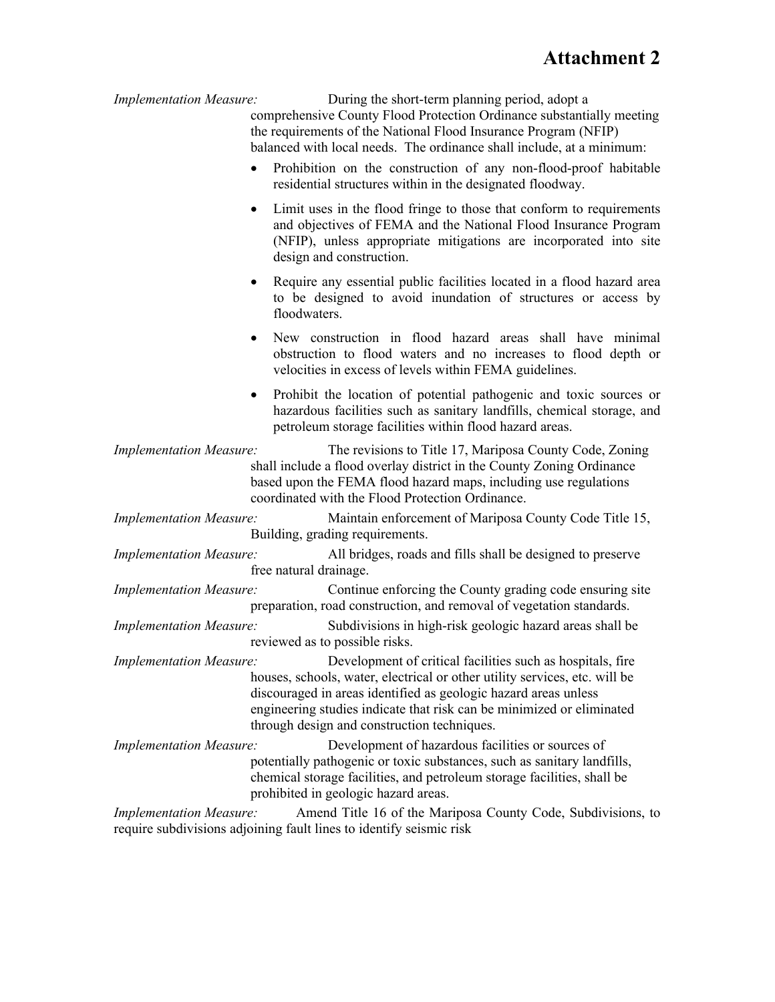*Implementation Measure:* During the short-term planning period, adopt a comprehensive County Flood Protection Ordinance substantially meeting the requirements of the National Flood Insurance Program (NFIP) balanced with local needs. The ordinance shall include, at a minimum: • Prohibition on the construction of any non-flood-proof habitable residential structures within in the designated floodway. Limit uses in the flood fringe to those that conform to requirements and objectives of FEMA and the National Flood Insurance Program (NFIP), unless appropriate mitigations are incorporated into site design and construction. Require any essential public facilities located in a flood hazard area to be designed to avoid inundation of structures or access by floodwaters. New construction in flood hazard areas shall have minimal obstruction to flood waters and no increases to flood depth or velocities in excess of levels within FEMA guidelines. Prohibit the location of potential pathogenic and toxic sources or hazardous facilities such as sanitary landfills, chemical storage, and petroleum storage facilities within flood hazard areas. *Implementation Measure:* The revisions to Title 17, Mariposa County Code, Zoning shall include a flood overlay district in the County Zoning Ordinance based upon the FEMA flood hazard maps, including use regulations coordinated with the Flood Protection Ordinance. *Implementation Measure:* Maintain enforcement of Mariposa County Code Title 15, Building, grading requirements. *Implementation Measure:* All bridges, roads and fills shall be designed to preserve free natural drainage. *Implementation Measure:* Continue enforcing the County grading code ensuring site preparation, road construction, and removal of vegetation standards. *Implementation Measure:* Subdivisions in high-risk geologic hazard areas shall be reviewed as to possible risks. *Implementation Measure:* Development of critical facilities such as hospitals, fire houses, schools, water, electrical or other utility services, etc. will be discouraged in areas identified as geologic hazard areas unless engineering studies indicate that risk can be minimized or eliminated through design and construction techniques. *Implementation Measure:* Development of hazardous facilities or sources of potentially pathogenic or toxic substances, such as sanitary landfills, chemical storage facilities, and petroleum storage facilities, shall be prohibited in geologic hazard areas. *Implementation Measure:* Amend Title 16 of the Mariposa County Code, Subdivisions, to require subdivisions adjoining fault lines to identify seismic risk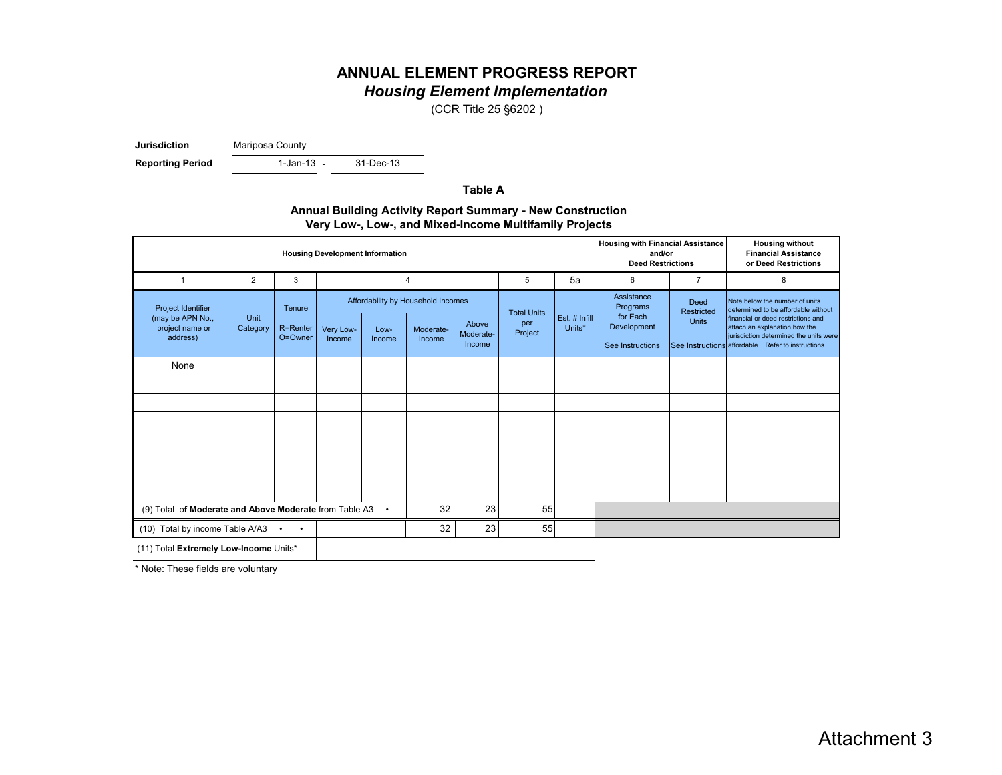## **ANNUAL ELEMENT PROGRESS REPORT** *Housing Element Implementation*

(CCR Title 25 §6202 )

**Jurisdiction** Mariposa County

**Reporting Period** 

1-Jan-13 -

31-Dec-13

**Table A**

| <b>Annual Building Activity Report Summary - New Construction</b> |
|-------------------------------------------------------------------|
| Very Low-, Low-, and Mixed-Income Multifamily Projects            |

| <b>Housing Development Information</b>                 |                |                        |           |                     |                                    |                    | <b>Housing with Financial Assistance</b><br><b>Housing without</b><br><b>Financial Assistance</b><br>and/or<br><b>Deed Restrictions</b><br>or Deed Restrictions |               |                                                                                 |                                                                                                             |                                                     |                                                                         |
|--------------------------------------------------------|----------------|------------------------|-----------|---------------------|------------------------------------|--------------------|-----------------------------------------------------------------------------------------------------------------------------------------------------------------|---------------|---------------------------------------------------------------------------------|-------------------------------------------------------------------------------------------------------------|-----------------------------------------------------|-------------------------------------------------------------------------|
| 1                                                      | $\overline{2}$ | 3                      |           | 5<br>$\overline{4}$ |                                    |                    |                                                                                                                                                                 | 5a            | 6                                                                               | $\overline{7}$                                                                                              | 8                                                   |                                                                         |
| Project Identifier<br>Unit<br>(may be APN No.,         |                | Tenure                 |           |                     | Affordability by Household Incomes |                    | <b>Total Units</b>                                                                                                                                              | Est. # Infill | Assistance<br><b>Deed</b><br>Programs<br>Restricted<br>for Each<br><b>Units</b> | Note below the number of units<br>determined to be affordable without<br>financial or deed restrictions and |                                                     |                                                                         |
| project name or                                        | Category       | R=Renter               | Very Low- | Low-                | Moderate-                          | Above<br>Moderate- | per<br>Project                                                                                                                                                  | Units*        |                                                                                 | Development                                                                                                 |                                                     | attach an explanation how the<br>jurisdiction determined the units were |
| address)                                               |                | O=Owner                | Income    | Income              | Income                             | Income             |                                                                                                                                                                 |               | See Instructions                                                                |                                                                                                             | See Instructions affordable. Refer to instructions. |                                                                         |
| None                                                   |                |                        |           |                     |                                    |                    |                                                                                                                                                                 |               |                                                                                 |                                                                                                             |                                                     |                                                                         |
|                                                        |                |                        |           |                     |                                    |                    |                                                                                                                                                                 |               |                                                                                 |                                                                                                             |                                                     |                                                                         |
|                                                        |                |                        |           |                     |                                    |                    |                                                                                                                                                                 |               |                                                                                 |                                                                                                             |                                                     |                                                                         |
|                                                        |                |                        |           |                     |                                    |                    |                                                                                                                                                                 |               |                                                                                 |                                                                                                             |                                                     |                                                                         |
|                                                        |                |                        |           |                     |                                    |                    |                                                                                                                                                                 |               |                                                                                 |                                                                                                             |                                                     |                                                                         |
|                                                        |                |                        |           |                     |                                    |                    |                                                                                                                                                                 |               |                                                                                 |                                                                                                             |                                                     |                                                                         |
|                                                        |                |                        |           |                     |                                    |                    |                                                                                                                                                                 |               |                                                                                 |                                                                                                             |                                                     |                                                                         |
|                                                        |                |                        |           |                     |                                    |                    |                                                                                                                                                                 |               |                                                                                 |                                                                                                             |                                                     |                                                                         |
| (9) Total of Moderate and Above Moderate from Table A3 |                |                        |           | $\bullet$           | 32                                 | 23                 | 55                                                                                                                                                              |               |                                                                                 |                                                                                                             |                                                     |                                                                         |
| (10) Total by income Table A/A3                        |                | $\bullet$<br>$\bullet$ |           |                     | 32                                 | 23                 | 55                                                                                                                                                              |               |                                                                                 |                                                                                                             |                                                     |                                                                         |
| (11) Total Extremely Low-Income Units*                 |                |                        |           |                     |                                    |                    |                                                                                                                                                                 |               |                                                                                 |                                                                                                             |                                                     |                                                                         |

\* Note: These fields are voluntary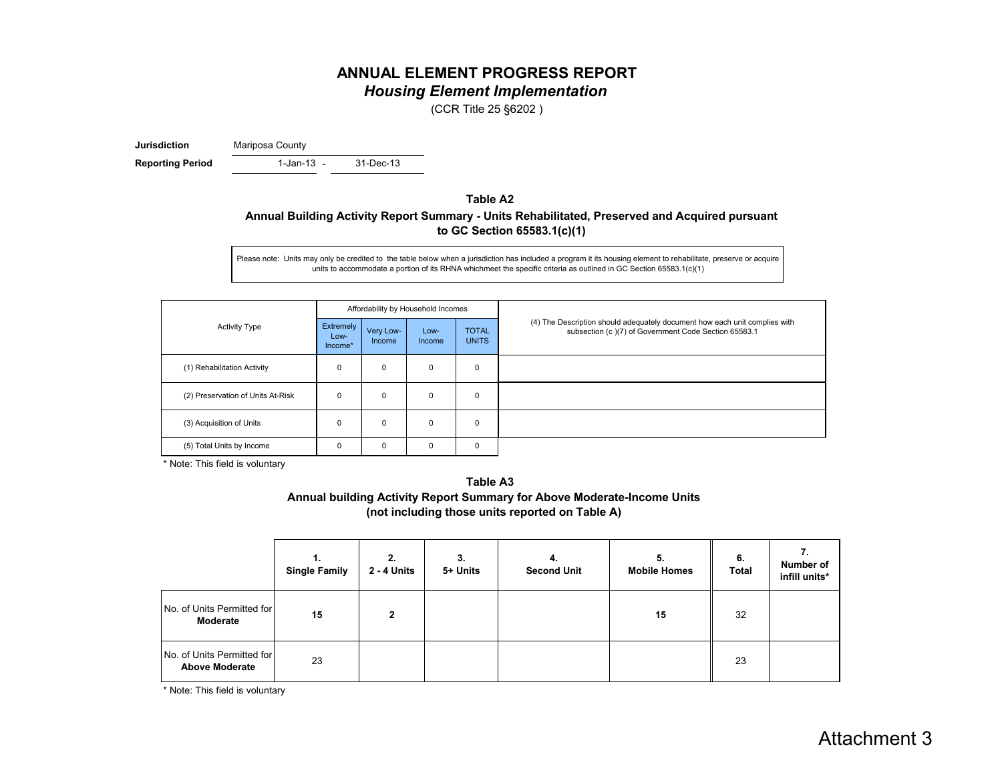#### **ANNUAL ELEMENT PROGRESS REPORT** *Housing Element Implementation*

(CCR Title 25 §6202 )

**Jurisdiction** Mariposa County

- **Reporting Period** 1-Jan-13 - 31-Dec-13

#### **Table A2 Annual Building Activity Report Summary - Units Rehabilitated, Preserved and Acquired pursuant to GC Section 65583.1(c)(1)**

Please note: Units may only be credited to the table below when a jurisdiction has included a program it its housing element to rehabilitate, preserve or acquire units to accommodate a portion of its RHNA whichmeet the specific criteria as outlined in GC Section 65583.1(c)(1)

| <b>Activity Type</b>              | Affordability by Household Incomes |                     |                |                              |                                                                                                                                    |
|-----------------------------------|------------------------------------|---------------------|----------------|------------------------------|------------------------------------------------------------------------------------------------------------------------------------|
|                                   | Extremely<br>Low-<br>Income*       | Very Low-<br>Income | Low-<br>Income | <b>TOTAL</b><br><b>UNITS</b> | (4) The Description should adequately document how each unit complies with<br>subsection (c)(7) of Government Code Section 65583.1 |
| (1) Rehabilitation Activity       | 0                                  | 0                   | 0              | 0                            |                                                                                                                                    |
| (2) Preservation of Units At-Risk | 0                                  | 0                   | 0              | 0                            |                                                                                                                                    |
| (3) Acquisition of Units          | 0                                  | 0                   | $\mathbf 0$    | 0                            |                                                                                                                                    |
| (5) Total Units by Income         | 0                                  | 0                   | 0              | 0                            |                                                                                                                                    |

\* Note: This field is voluntary



|                                                     | <b>Single Family</b> | 2.<br>2 - 4 Units | 3.<br>5+ Units | 4.<br><b>Second Unit</b> | 5.<br><b>Mobile Homes</b> | 6.<br><b>Total</b> | Number of<br>infill units* |
|-----------------------------------------------------|----------------------|-------------------|----------------|--------------------------|---------------------------|--------------------|----------------------------|
| No. of Units Permitted for<br>Moderate              | 15                   | $\mathbf{2}$      |                |                          | 15                        | 32                 |                            |
| No. of Units Permitted for<br><b>Above Moderate</b> | 23                   |                   |                |                          |                           | 23                 |                            |

\* Note: This field is voluntary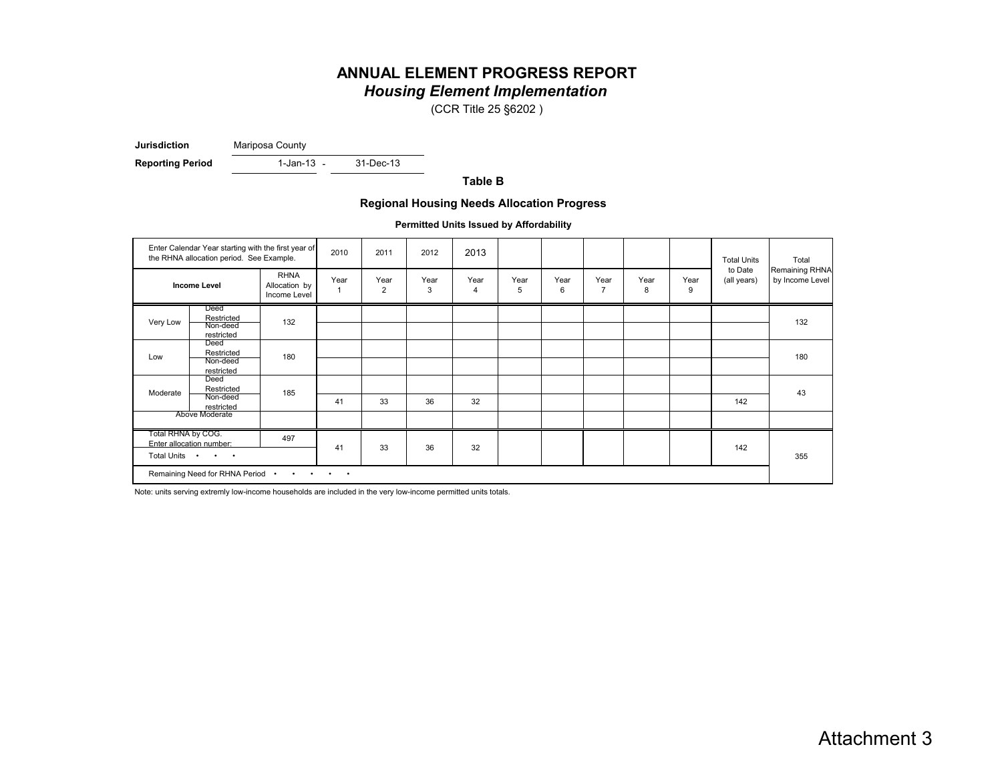# **ANNUAL ELEMENT PROGRESS REPORT** *Housing Element Implementation*

(CCR Title 25 §6202 )

**Jurisdiction** Mariposa County

**Reporting Period** 1-Jan-13 - 31-Dec-13

1-Jan-13 -

**Table B**

#### **Regional Housing Needs Allocation Progress**

**Permitted Units Issued by Affordability**

|                                                                                                                                                     | Enter Calendar Year starting with the first year of<br>the RHNA allocation period. See Example. |                                              | 2010 | 2011      | 2012      | 2013                   |           |           |                        |           |           | <b>Total Units</b>     | Total                             |
|-----------------------------------------------------------------------------------------------------------------------------------------------------|-------------------------------------------------------------------------------------------------|----------------------------------------------|------|-----------|-----------|------------------------|-----------|-----------|------------------------|-----------|-----------|------------------------|-----------------------------------|
|                                                                                                                                                     | <b>Income Level</b>                                                                             | <b>RHNA</b><br>Allocation by<br>Income Level | Year | Year<br>2 | Year<br>3 | Year<br>$\overline{4}$ | Year<br>5 | Year<br>6 | Year<br>$\overline{7}$ | Year<br>8 | Year<br>9 | to Date<br>(all years) | Remaining RHNA<br>by Income Level |
| Very Low                                                                                                                                            | Deed<br>Restricted<br>Non-deed<br>restricted                                                    | 132                                          |      |           |           |                        |           |           |                        |           |           |                        | 132                               |
| Low                                                                                                                                                 | Deed<br>Restricted<br>Non-deed<br>restricted                                                    | 180                                          |      |           |           |                        |           |           |                        |           |           |                        | 180                               |
| Moderate                                                                                                                                            | Deed<br>Restricted<br>Non-deed<br>restricted                                                    | 185                                          | 41   | 33        | 36        | 32                     |           |           |                        |           |           | 142                    | 43                                |
|                                                                                                                                                     | Above Moderate                                                                                  |                                              |      |           |           |                        |           |           |                        |           |           |                        |                                   |
| Total RHNA by COG.                                                                                                                                  | Enter allocation number:<br>Total Units • • •                                                   | 497                                          | 41   | 33        | 36        | 32                     |           |           |                        |           |           | 142                    | 355                               |
| Remaining Need for RHNA Period .<br>$\begin{array}{cccccccccccccc} \bullet & \bullet & \bullet & \bullet & \bullet & \bullet & \bullet \end{array}$ |                                                                                                 |                                              |      |           |           |                        |           |           |                        |           |           |                        |                                   |

Note: units serving extremly low-income households are included in the very low-income permitted units totals.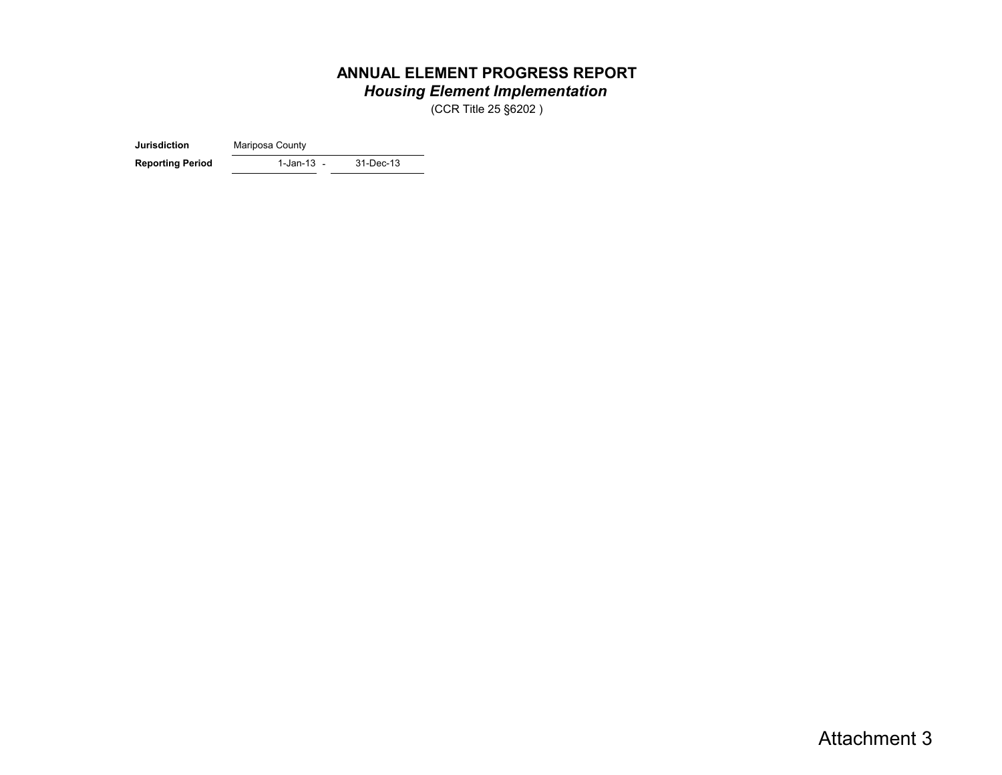# **ANNUAL ELEMENT PROGRESS REPORT** *Housing Element Implementation*

(CCR Title 25 §6202 )

**Jurisdiction** Mariposa County

1-Jan-13 -**Reporting Period** 1-Jan-13 - 31-Dec-13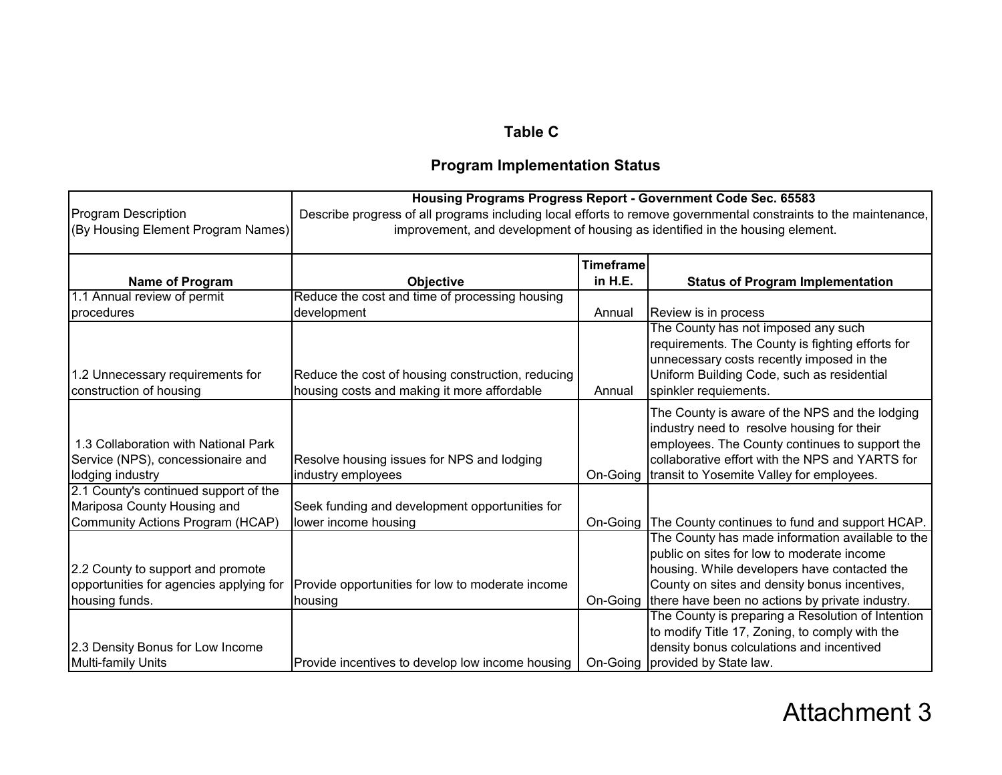# **Table C**

# **Program Implementation Status**

|                                                                                                          |                                                                                                                                                                                                   |                             | Housing Programs Progress Report - Government Code Sec. 65583                                                                                                                                                                                               |  |  |  |
|----------------------------------------------------------------------------------------------------------|---------------------------------------------------------------------------------------------------------------------------------------------------------------------------------------------------|-----------------------------|-------------------------------------------------------------------------------------------------------------------------------------------------------------------------------------------------------------------------------------------------------------|--|--|--|
| <b>Program Description</b><br>(By Housing Element Program Names)                                         | Describe progress of all programs including local efforts to remove governmental constraints to the maintenance,<br>improvement, and development of housing as identified in the housing element. |                             |                                                                                                                                                                                                                                                             |  |  |  |
| Name of Program                                                                                          | Objective                                                                                                                                                                                         | <b>Timeframe</b><br>in H.E. | <b>Status of Program Implementation</b>                                                                                                                                                                                                                     |  |  |  |
| 1.1 Annual review of permit                                                                              | Reduce the cost and time of processing housing                                                                                                                                                    |                             |                                                                                                                                                                                                                                                             |  |  |  |
| procedures                                                                                               | development                                                                                                                                                                                       | Annual                      | Review is in process                                                                                                                                                                                                                                        |  |  |  |
| 1.2 Unnecessary requirements for<br>construction of housing                                              | Reduce the cost of housing construction, reducing<br>housing costs and making it more affordable                                                                                                  | Annual                      | The County has not imposed any such<br>requirements. The County is fighting efforts for<br>unnecessary costs recently imposed in the<br>Uniform Building Code, such as residential<br>spinkler requiements.                                                 |  |  |  |
| 1.3 Collaboration with National Park<br>Service (NPS), concessionaire and<br>lodging industry            | Resolve housing issues for NPS and lodging<br>industry employees                                                                                                                                  | On-Going                    | The County is aware of the NPS and the lodging<br>industry need to resolve housing for their<br>employees. The County continues to support the<br>collaborative effort with the NPS and YARTS for<br>transit to Yosemite Valley for employees.              |  |  |  |
| 2.1 County's continued support of the<br>Mariposa County Housing and<br>Community Actions Program (HCAP) | Seek funding and development opportunities for<br>lower income housing                                                                                                                            | On-Going                    | The County continues to fund and support HCAP.                                                                                                                                                                                                              |  |  |  |
| 2.2 County to support and promote<br>opportunities for agencies applying for<br>housing funds.           | Provide opportunities for low to moderate income<br>housing                                                                                                                                       |                             | The County has made information available to the<br>public on sites for low to moderate income<br>housing. While developers have contacted the<br>County on sites and density bonus incentives,<br>On-Going there have been no actions by private industry. |  |  |  |
| 2.3 Density Bonus for Low Income<br><b>Multi-family Units</b>                                            | Provide incentives to develop low income housing                                                                                                                                                  |                             | The County is preparing a Resolution of Intention<br>to modify Title 17, Zoning, to comply with the<br>density bonus colculations and incentived<br>On-Going provided by State law.                                                                         |  |  |  |

# Attachment 3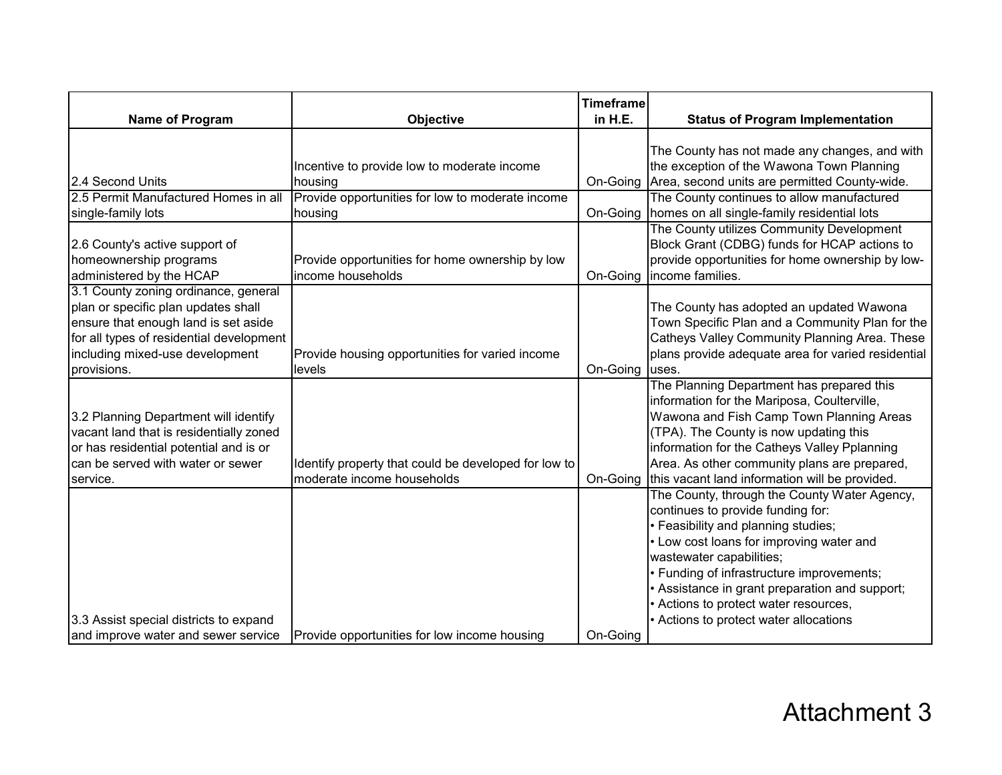|                                                                                                                                                                                                                   |                                                                                    | <b>Timeframe</b> |                                                                                                                                                                                                                                                                                                                                                                              |
|-------------------------------------------------------------------------------------------------------------------------------------------------------------------------------------------------------------------|------------------------------------------------------------------------------------|------------------|------------------------------------------------------------------------------------------------------------------------------------------------------------------------------------------------------------------------------------------------------------------------------------------------------------------------------------------------------------------------------|
| Name of Program                                                                                                                                                                                                   | Objective                                                                          | in H.E.          | <b>Status of Program Implementation</b>                                                                                                                                                                                                                                                                                                                                      |
| 2.4 Second Units                                                                                                                                                                                                  | Incentive to provide low to moderate income<br>housing                             | On-Going         | The County has not made any changes, and with<br>the exception of the Wawona Town Planning<br>Area, second units are permitted County-wide.                                                                                                                                                                                                                                  |
| 2.5 Permit Manufactured Homes in all                                                                                                                                                                              | Provide opportunities for low to moderate income                                   |                  | The County continues to allow manufactured                                                                                                                                                                                                                                                                                                                                   |
| single-family lots                                                                                                                                                                                                | housing                                                                            |                  | On-Going   homes on all single-family residential lots                                                                                                                                                                                                                                                                                                                       |
| 2.6 County's active support of<br>homeownership programs<br>administered by the HCAP                                                                                                                              | Provide opportunities for home ownership by low<br>income households               | On-Going         | The County utilizes Community Development<br>Block Grant (CDBG) funds for HCAP actions to<br>provide opportunities for home ownership by low-<br>income families.                                                                                                                                                                                                            |
| 3.1 County zoning ordinance, general<br>plan or specific plan updates shall<br>ensure that enough land is set aside<br>for all types of residential development<br>including mixed-use development<br>provisions. | Provide housing opportunities for varied income<br>levels                          | On-Going         | The County has adopted an updated Wawona<br>Town Specific Plan and a Community Plan for the<br>Catheys Valley Community Planning Area. These<br>plans provide adequate area for varied residential<br>uses.                                                                                                                                                                  |
| 3.2 Planning Department will identify<br>vacant land that is residentially zoned<br>or has residential potential and is or<br>can be served with water or sewer<br>service.                                       | Identify property that could be developed for low to<br>moderate income households | On-Going         | The Planning Department has prepared this<br>information for the Mariposa, Coulterville,<br>Wawona and Fish Camp Town Planning Areas<br>(TPA). The County is now updating this<br>information for the Catheys Valley Pplanning<br>Area. As other community plans are prepared,<br>this vacant land information will be provided.                                             |
| 3.3 Assist special districts to expand                                                                                                                                                                            |                                                                                    |                  | The County, through the County Water Agency,<br>continues to provide funding for:<br>· Feasibility and planning studies;<br>• Low cost loans for improving water and<br>wastewater capabilities;<br>· Funding of infrastructure improvements;<br>Assistance in grant preparation and support;<br>Actions to protect water resources,<br>Actions to protect water allocations |
| and improve water and sewer service                                                                                                                                                                               | Provide opportunities for low income housing                                       | On-Going         |                                                                                                                                                                                                                                                                                                                                                                              |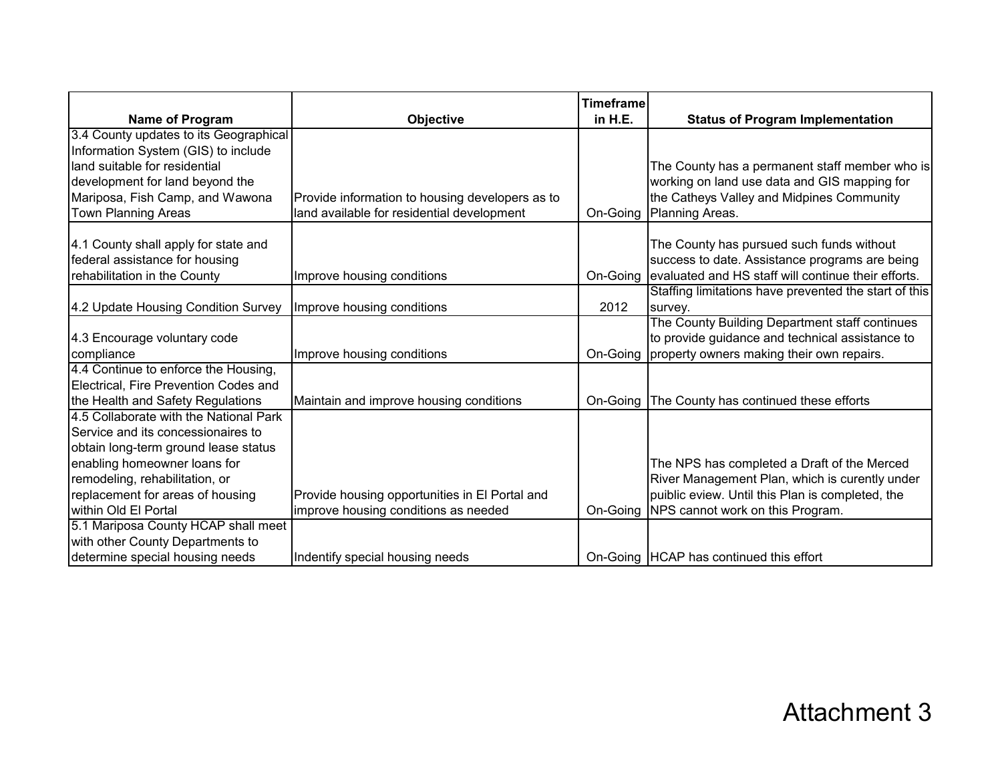|                                                                                                                                                                                                                                                    |                                                                                               | <b>Timeframe</b> |                                                                                                                                                                                                 |
|----------------------------------------------------------------------------------------------------------------------------------------------------------------------------------------------------------------------------------------------------|-----------------------------------------------------------------------------------------------|------------------|-------------------------------------------------------------------------------------------------------------------------------------------------------------------------------------------------|
| Name of Program                                                                                                                                                                                                                                    | Objective                                                                                     | in H.E.          | <b>Status of Program Implementation</b>                                                                                                                                                         |
| 3.4 County updates to its Geographical<br>Information System (GIS) to include<br>land suitable for residential<br>development for land beyond the<br>Mariposa, Fish Camp, and Wawona<br><b>Town Planning Areas</b>                                 | Provide information to housing developers as to<br>land available for residential development |                  | The County has a permanent staff member who is<br>working on land use data and GIS mapping for<br>the Catheys Valley and Midpines Community<br>On-Going   Planning Areas.                       |
| 4.1 County shall apply for state and<br>federal assistance for housing<br>rehabilitation in the County                                                                                                                                             | Improve housing conditions                                                                    |                  | The County has pursued such funds without<br>success to date. Assistance programs are being<br>On-Going levaluated and HS staff will continue their efforts.                                    |
| 4.2 Update Housing Condition Survey                                                                                                                                                                                                                | Improve housing conditions                                                                    | 2012             | Staffing limitations have prevented the start of this<br>survey.                                                                                                                                |
| 4.3 Encourage voluntary code<br>compliance                                                                                                                                                                                                         | Improve housing conditions                                                                    |                  | The County Building Department staff continues<br>to provide guidance and technical assistance to<br>On-Going property owners making their own repairs.                                         |
| 4.4 Continue to enforce the Housing,<br>Electrical, Fire Prevention Codes and<br>the Health and Safety Regulations                                                                                                                                 | Maintain and improve housing conditions                                                       |                  | On-Going The County has continued these efforts                                                                                                                                                 |
| 4.5 Collaborate with the National Park<br>Service and its concessionaires to<br>obtain long-term ground lease status<br>enabling homeowner loans for<br>remodeling, rehabilitation, or<br>replacement for areas of housing<br>within Old El Portal | Provide housing opportunities in El Portal and<br>improve housing conditions as needed        |                  | The NPS has completed a Draft of the Merced<br>River Management Plan, which is curently under<br>puiblic eview. Until this Plan is completed, the<br>On-Going  NPS cannot work on this Program. |
| 5.1 Mariposa County HCAP shall meet<br>with other County Departments to<br>determine special housing needs                                                                                                                                         | Indentify special housing needs                                                               |                  | On-Going  HCAP has continued this effort                                                                                                                                                        |

Attachment 3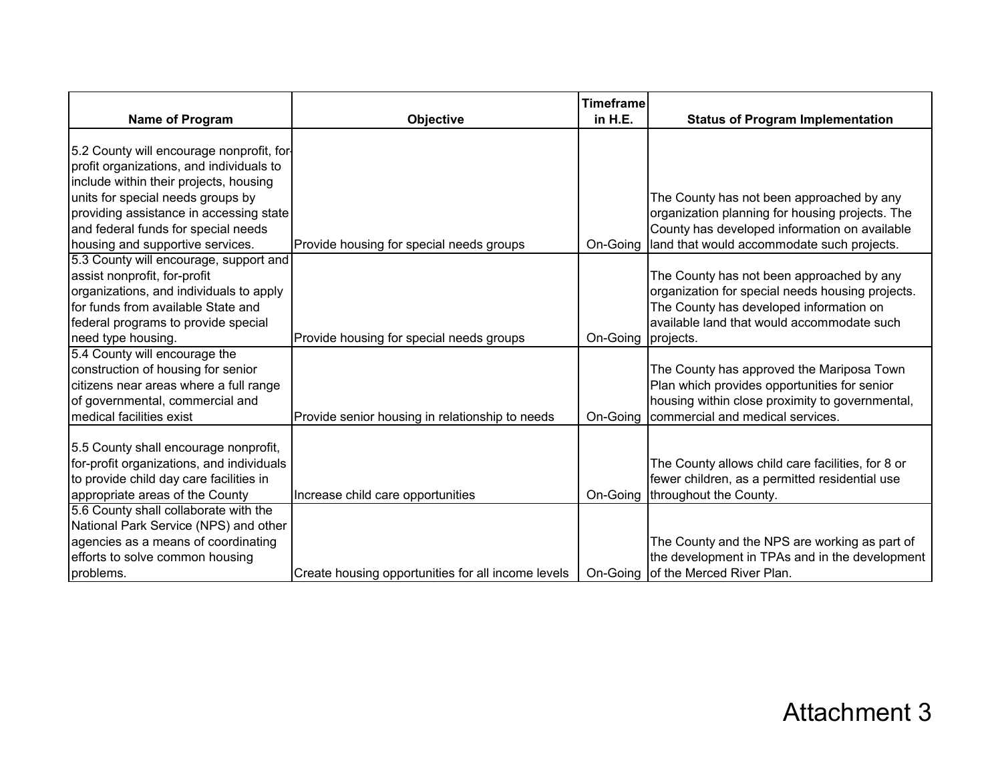|                                                                                                                                                                                                                                                                                            |                                                    | <b>Timeframe</b>   |                                                                                                                                                                                             |
|--------------------------------------------------------------------------------------------------------------------------------------------------------------------------------------------------------------------------------------------------------------------------------------------|----------------------------------------------------|--------------------|---------------------------------------------------------------------------------------------------------------------------------------------------------------------------------------------|
| Name of Program                                                                                                                                                                                                                                                                            | Objective                                          | in H.E.            | <b>Status of Program Implementation</b>                                                                                                                                                     |
| 5.2 County will encourage nonprofit, for-<br>profit organizations, and individuals to<br>include within their projects, housing<br>units for special needs groups by<br>providing assistance in accessing state<br>and federal funds for special needs<br>housing and supportive services. | Provide housing for special needs groups           | On-Going           | The County has not been approached by any<br>organization planning for housing projects. The<br>County has developed information on available<br>land that would accommodate such projects. |
| 5.3 County will encourage, support and<br>assist nonprofit, for-profit<br>organizations, and individuals to apply<br>for funds from available State and<br>federal programs to provide special<br>need type housing.                                                                       | Provide housing for special needs groups           | On-Going projects. | The County has not been approached by any<br>organization for special needs housing projects.<br>The County has developed information on<br>available land that would accommodate such      |
| 5.4 County will encourage the<br>construction of housing for senior<br>citizens near areas where a full range<br>of governmental, commercial and<br>medical facilities exist                                                                                                               | Provide senior housing in relationship to needs    | On-Going           | The County has approved the Mariposa Town<br>Plan which provides opportunities for senior<br>housing within close proximity to governmental,<br>commercial and medical services.            |
| 5.5 County shall encourage nonprofit,<br>for-profit organizations, and individuals<br>to provide child day care facilities in<br>appropriate areas of the County                                                                                                                           | Increase child care opportunities                  |                    | The County allows child care facilities, for 8 or<br>fewer children, as a permitted residential use<br>On-Going throughout the County.                                                      |
| 5.6 County shall collaborate with the<br>National Park Service (NPS) and other<br>agencies as a means of coordinating<br>efforts to solve common housing<br>problems.                                                                                                                      | Create housing opportunities for all income levels |                    | The County and the NPS are working as part of<br>the development in TPAs and in the development<br>On-Going of the Merced River Plan.                                                       |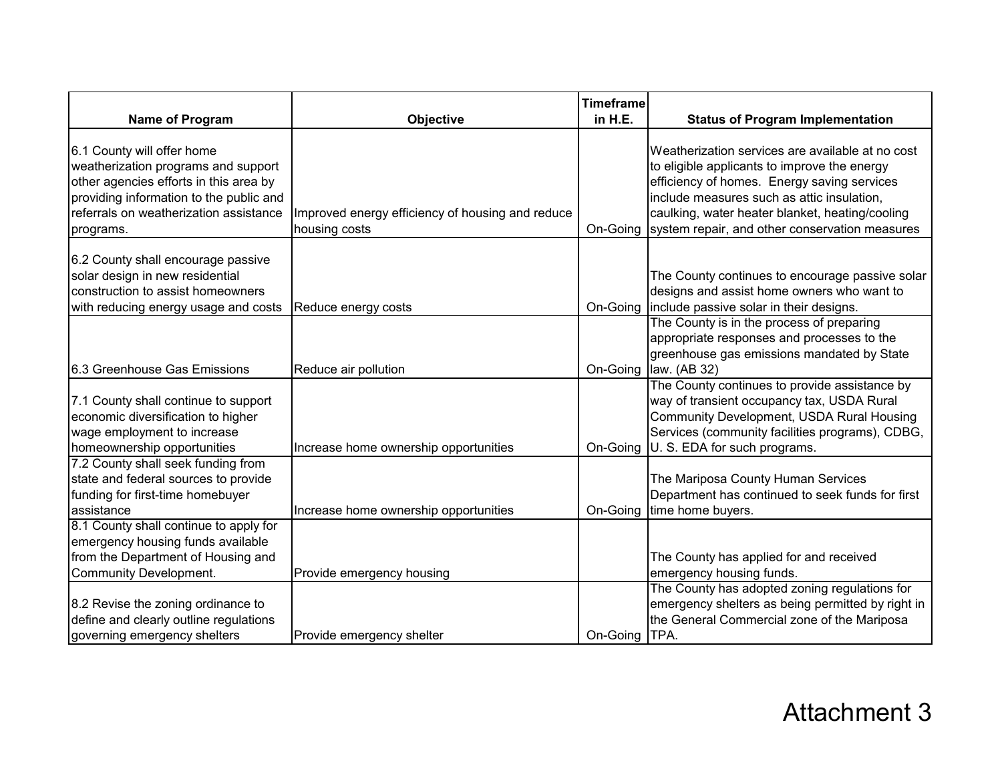| Name of Program                                                                                                                                                                                               | Objective                                                         | Timeframe<br>in H.E. | <b>Status of Program Implementation</b>                                                                                                                                                                                                                                                            |
|---------------------------------------------------------------------------------------------------------------------------------------------------------------------------------------------------------------|-------------------------------------------------------------------|----------------------|----------------------------------------------------------------------------------------------------------------------------------------------------------------------------------------------------------------------------------------------------------------------------------------------------|
|                                                                                                                                                                                                               |                                                                   |                      |                                                                                                                                                                                                                                                                                                    |
| 6.1 County will offer home<br>weatherization programs and support<br>other agencies efforts in this area by<br>providing information to the public and<br>referrals on weatherization assistance<br>programs. | Improved energy efficiency of housing and reduce<br>housing costs | On-Going             | Weatherization services are available at no cost<br>to eligible applicants to improve the energy<br>efficiency of homes. Energy saving services<br>include measures such as attic insulation,<br>caulking, water heater blanket, heating/cooling<br>system repair, and other conservation measures |
| 6.2 County shall encourage passive<br>solar design in new residential                                                                                                                                         |                                                                   |                      | The County continues to encourage passive solar                                                                                                                                                                                                                                                    |
| construction to assist homeowners<br>with reducing energy usage and costs                                                                                                                                     | Reduce energy costs                                               | On-Going             | designs and assist home owners who want to<br>include passive solar in their designs.                                                                                                                                                                                                              |
| 6.3 Greenhouse Gas Emissions                                                                                                                                                                                  | Reduce air pollution                                              | On-Going             | The County is in the process of preparing<br>appropriate responses and processes to the<br>greenhouse gas emissions mandated by State<br>law. (AB 32)                                                                                                                                              |
| 7.1 County shall continue to support<br>economic diversification to higher<br>wage employment to increase<br>homeownership opportunities                                                                      | Increase home ownership opportunities                             | On-Going             | The County continues to provide assistance by<br>way of transient occupancy tax, USDA Rural<br>Community Development, USDA Rural Housing<br>Services (community facilities programs), CDBG,<br>U. S. EDA for such programs.                                                                        |
| 7.2 County shall seek funding from<br>state and federal sources to provide<br>funding for first-time homebuyer<br>assistance                                                                                  | Increase home ownership opportunities                             | On-Going             | The Mariposa County Human Services<br>Department has continued to seek funds for first<br>time home buyers.                                                                                                                                                                                        |
| 8.1 County shall continue to apply for<br>emergency housing funds available<br>from the Department of Housing and<br>Community Development.                                                                   | Provide emergency housing                                         |                      | The County has applied for and received<br>emergency housing funds.                                                                                                                                                                                                                                |
| 8.2 Revise the zoning ordinance to<br>define and clearly outline regulations<br>governing emergency shelters                                                                                                  | Provide emergency shelter                                         | On-Going             | The County has adopted zoning regulations for<br>emergency shelters as being permitted by right in<br>the General Commercial zone of the Mariposa<br>TPA.                                                                                                                                          |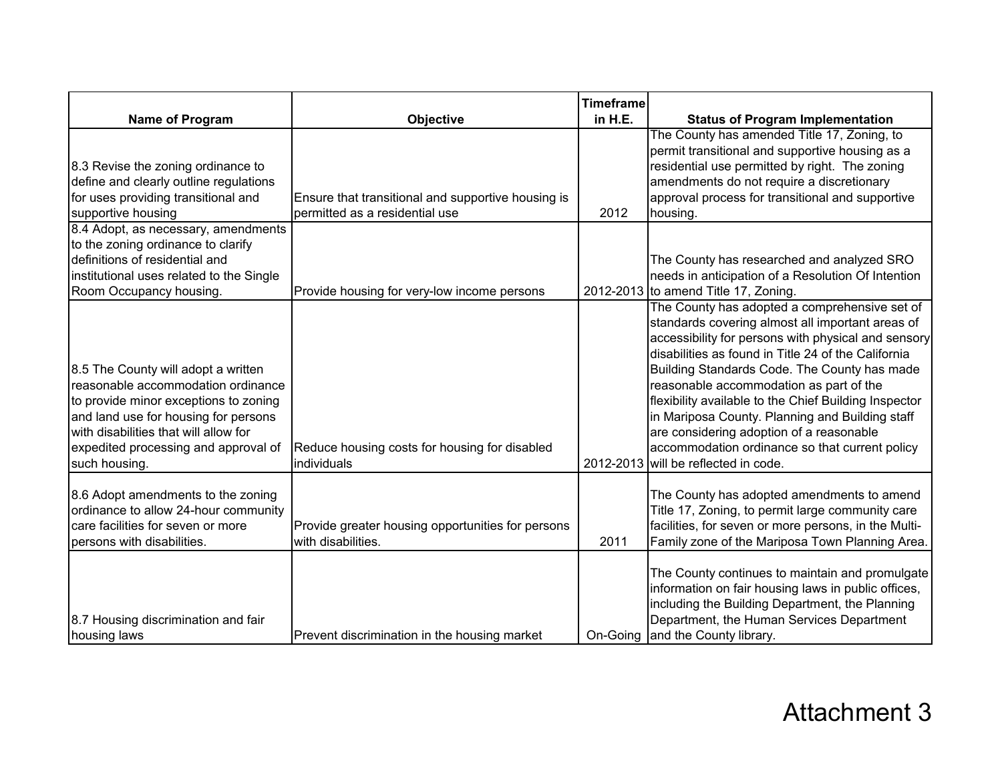|                                                                                                                                                                                                                                                              |                                                                                      | <b>Timeframe</b> |                                                                                                                                                                                                                                                                                                                                                                                                                                                                                                                                                              |
|--------------------------------------------------------------------------------------------------------------------------------------------------------------------------------------------------------------------------------------------------------------|--------------------------------------------------------------------------------------|------------------|--------------------------------------------------------------------------------------------------------------------------------------------------------------------------------------------------------------------------------------------------------------------------------------------------------------------------------------------------------------------------------------------------------------------------------------------------------------------------------------------------------------------------------------------------------------|
| Name of Program                                                                                                                                                                                                                                              | Objective                                                                            | in H.E.          | <b>Status of Program Implementation</b>                                                                                                                                                                                                                                                                                                                                                                                                                                                                                                                      |
| 8.3 Revise the zoning ordinance to<br>define and clearly outline regulations<br>for uses providing transitional and<br>supportive housing                                                                                                                    | Ensure that transitional and supportive housing is<br>permitted as a residential use | 2012             | The County has amended Title 17, Zoning, to<br>permit transitional and supportive housing as a<br>residential use permitted by right. The zoning<br>amendments do not require a discretionary<br>approval process for transitional and supportive<br>housing.                                                                                                                                                                                                                                                                                                |
| 8.4 Adopt, as necessary, amendments<br>to the zoning ordinance to clarify<br>definitions of residential and<br>institutional uses related to the Single<br>Room Occupancy housing.                                                                           | Provide housing for very-low income persons                                          |                  | The County has researched and analyzed SRO<br>needs in anticipation of a Resolution Of Intention<br>2012-2013 to amend Title 17, Zoning.                                                                                                                                                                                                                                                                                                                                                                                                                     |
| 8.5 The County will adopt a written<br>reasonable accommodation ordinance<br>to provide minor exceptions to zoning<br>and land use for housing for persons<br>with disabilities that will allow for<br>expedited processing and approval of<br>such housing. | Reduce housing costs for housing for disabled<br>individuals                         |                  | The County has adopted a comprehensive set of<br>standards covering almost all important areas of<br>accessibility for persons with physical and sensory<br>disabilities as found in Title 24 of the California<br>Building Standards Code. The County has made<br>reasonable accommodation as part of the<br>flexibility available to the Chief Building Inspector<br>in Mariposa County. Planning and Building staff<br>are considering adoption of a reasonable<br>accommodation ordinance so that current policy<br>2012-2013 will be reflected in code. |
| 8.6 Adopt amendments to the zoning<br>ordinance to allow 24-hour community<br>care facilities for seven or more<br>persons with disabilities.                                                                                                                | Provide greater housing opportunities for persons<br>with disabilities.              | 2011             | The County has adopted amendments to amend<br>Title 17, Zoning, to permit large community care<br>facilities, for seven or more persons, in the Multi-<br>Family zone of the Mariposa Town Planning Area.                                                                                                                                                                                                                                                                                                                                                    |
| 8.7 Housing discrimination and fair<br>housing laws                                                                                                                                                                                                          | Prevent discrimination in the housing market                                         |                  | The County continues to maintain and promulgate<br>information on fair housing laws in public offices,<br>including the Building Department, the Planning<br>Department, the Human Services Department<br>On-Going and the County library.                                                                                                                                                                                                                                                                                                                   |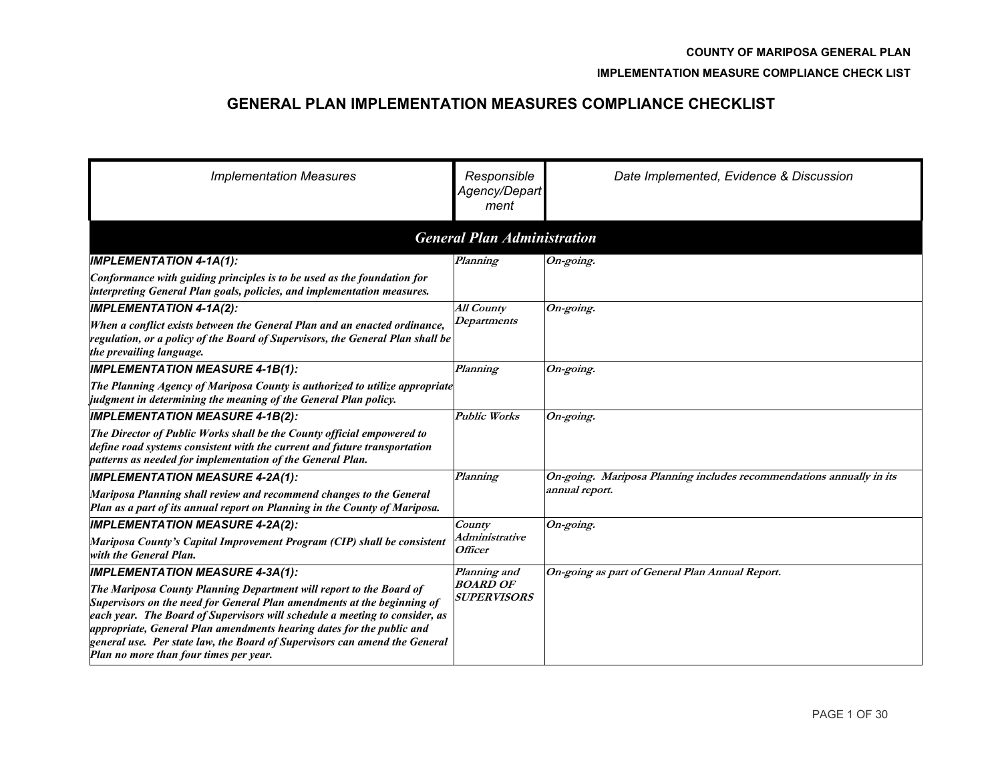#### **IMPLEMENTATION MEASURE COMPLIANCE CHECK LIST**

# **GENERAL PLAN IMPLEMENTATION MEASURES COMPLIANCE CHECKLIST**

| <b>Implementation Measures</b>                                                                                                                                                                                                                                                                                                                                                                                                 | Responsible<br>Agency/Depart<br>ment         | Date Implemented, Evidence & Discussion                              |  |  |  |  |  |  |
|--------------------------------------------------------------------------------------------------------------------------------------------------------------------------------------------------------------------------------------------------------------------------------------------------------------------------------------------------------------------------------------------------------------------------------|----------------------------------------------|----------------------------------------------------------------------|--|--|--|--|--|--|
| <b>General Plan Administration</b>                                                                                                                                                                                                                                                                                                                                                                                             |                                              |                                                                      |  |  |  |  |  |  |
| <b>IMPLEMENTATION 4-1A(1):</b>                                                                                                                                                                                                                                                                                                                                                                                                 | Planning                                     | On-going.                                                            |  |  |  |  |  |  |
| Conformance with guiding principles is to be used as the foundation for<br>interpreting General Plan goals, policies, and implementation measures.                                                                                                                                                                                                                                                                             |                                              |                                                                      |  |  |  |  |  |  |
| <b>IMPLEMENTATION 4-1A(2):</b>                                                                                                                                                                                                                                                                                                                                                                                                 | <b>All County</b>                            | On-going.                                                            |  |  |  |  |  |  |
| When a conflict exists between the General Plan and an enacted ordinance,<br>regulation, or a policy of the Board of Supervisors, the General Plan shall be<br>the prevailing language.                                                                                                                                                                                                                                        | Departments                                  |                                                                      |  |  |  |  |  |  |
| <b>IMPLEMENTATION MEASURE 4-1B(1):</b>                                                                                                                                                                                                                                                                                                                                                                                         | Planning                                     | $On\text{-going}.$                                                   |  |  |  |  |  |  |
| The Planning Agency of Mariposa County is authorized to utilize appropriate<br>judgment in determining the meaning of the General Plan policy.                                                                                                                                                                                                                                                                                 |                                              |                                                                      |  |  |  |  |  |  |
| <b>IMPLEMENTATION MEASURE 4-1B(2):</b>                                                                                                                                                                                                                                                                                                                                                                                         | <b>Public Works</b>                          | On-going.                                                            |  |  |  |  |  |  |
| The Director of Public Works shall be the County official empowered to<br>define road systems consistent with the current and future transportation<br>patterns as needed for implementation of the General Plan.                                                                                                                                                                                                              |                                              |                                                                      |  |  |  |  |  |  |
| <b>IMPLEMENTATION MEASURE 4-2A(1):</b>                                                                                                                                                                                                                                                                                                                                                                                         | Planning                                     | On-going. Mariposa Planning includes recommendations annually in its |  |  |  |  |  |  |
| Mariposa Planning shall review and recommend changes to the General<br>Plan as a part of its annual report on Planning in the County of Mariposa.                                                                                                                                                                                                                                                                              |                                              | annual report.                                                       |  |  |  |  |  |  |
| <b>IMPLEMENTATION MEASURE 4-2A(2):</b>                                                                                                                                                                                                                                                                                                                                                                                         | County                                       | $On\text{-going}.$                                                   |  |  |  |  |  |  |
| Mariposa County's Capital Improvement Program (CIP) shall be consistent<br>with the General Plan.                                                                                                                                                                                                                                                                                                                              | Administrative<br><i><b>Officer</b></i>      |                                                                      |  |  |  |  |  |  |
| <b>IMPLEMENTATION MEASURE 4-3A(1):</b>                                                                                                                                                                                                                                                                                                                                                                                         | Planning and                                 | On-going as part of General Plan Annual Report.                      |  |  |  |  |  |  |
| The Mariposa County Planning Department will report to the Board of<br>Supervisors on the need for General Plan amendments at the beginning of<br>each year. The Board of Supervisors will schedule a meeting to consider, as<br>appropriate, General Plan amendments hearing dates for the public and<br>general use. Per state law, the Board of Supervisors can amend the General<br>Plan no more than four times per year. | <b>BOARD OF</b><br><i><b>SUPERVISORS</b></i> |                                                                      |  |  |  |  |  |  |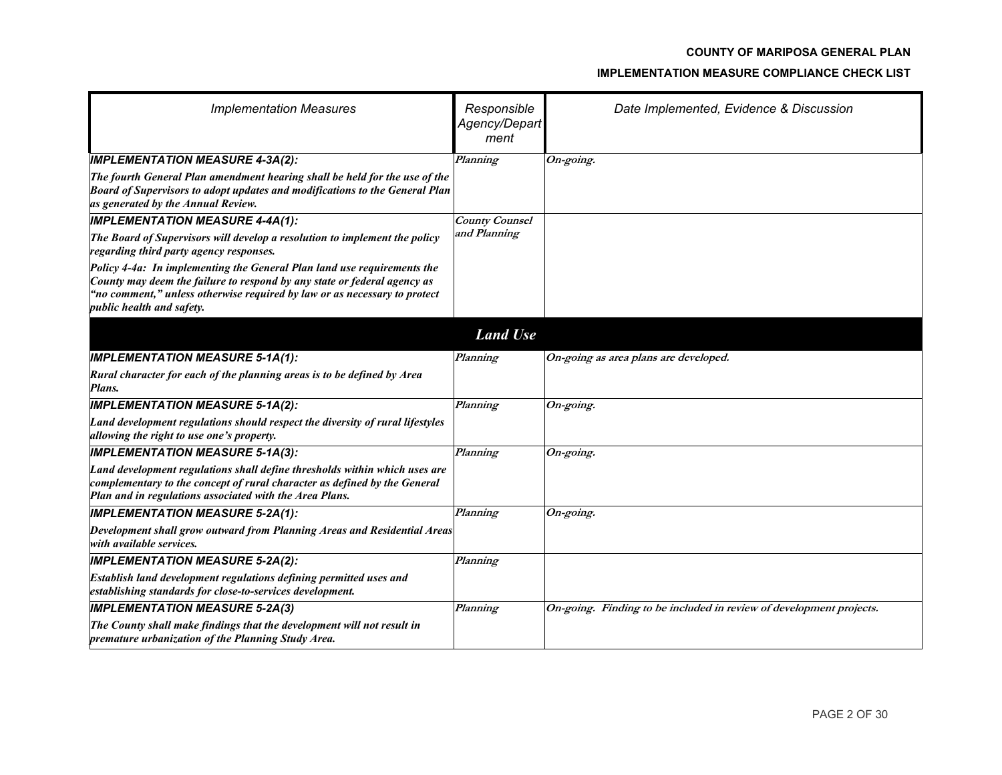| <b>Implementation Measures</b>                                                                                                                                                                                                                                | Responsible<br>Agency/Depart<br>ment | Date Implemented, Evidence & Discussion                             |
|---------------------------------------------------------------------------------------------------------------------------------------------------------------------------------------------------------------------------------------------------------------|--------------------------------------|---------------------------------------------------------------------|
| <b>IMPLEMENTATION MEASURE 4-3A(2):</b>                                                                                                                                                                                                                        | Planning                             | On-going.                                                           |
| The fourth General Plan amendment hearing shall be held for the use of the<br>Board of Supervisors to adopt updates and modifications to the General Plan<br>as generated by the Annual Review.                                                               |                                      |                                                                     |
| <b>IMPLEMENTATION MEASURE 4-4A(1):</b>                                                                                                                                                                                                                        | <b>County Counsel</b>                |                                                                     |
| The Board of Supervisors will develop a resolution to implement the policy<br>regarding third party agency responses.                                                                                                                                         | and Planning                         |                                                                     |
| Policy 4-4a: In implementing the General Plan land use requirements the<br>County may deem the failure to respond by any state or federal agency as<br>"no comment," unless otherwise required by law or as necessary to protect<br>public health and safety. |                                      |                                                                     |
|                                                                                                                                                                                                                                                               | <b>Land Use</b>                      |                                                                     |
| <b>IMPLEMENTATION MEASURE 5-1A(1):</b>                                                                                                                                                                                                                        | Planning                             | On-going as area plans are developed.                               |
| Rural character for each of the planning areas is to be defined by Area<br>Plans.                                                                                                                                                                             |                                      |                                                                     |
| <b>IMPLEMENTATION MEASURE 5-1A(2):</b>                                                                                                                                                                                                                        | Planning                             | On-going.                                                           |
| Land development regulations should respect the diversity of rural lifestyles<br>allowing the right to use one's property.                                                                                                                                    |                                      |                                                                     |
| <b>IMPLEMENTATION MEASURE 5-1A(3):</b>                                                                                                                                                                                                                        | Planning                             | On-going.                                                           |
| Land development regulations shall define thresholds within which uses are<br>complementary to the concept of rural character as defined by the General<br>Plan and in regulations associated with the Area Plans.                                            |                                      |                                                                     |
| <b>IMPLEMENTATION MEASURE 5-2A(1):</b>                                                                                                                                                                                                                        | Planning                             | On-going.                                                           |
| Development shall grow outward from Planning Areas and Residential Areas<br>with available services.                                                                                                                                                          |                                      |                                                                     |
| <b>IMPLEMENTATION MEASURE 5-2A(2):</b>                                                                                                                                                                                                                        | Planning                             |                                                                     |
| Establish land development regulations defining permitted uses and<br>establishing standards for close-to-services development.                                                                                                                               |                                      |                                                                     |
| <b>IMPLEMENTATION MEASURE 5-2A(3)</b>                                                                                                                                                                                                                         | Planning                             | On-going. Finding to be included in review of development projects. |
| The County shall make findings that the development will not result in<br>premature urbanization of the Planning Study Area.                                                                                                                                  |                                      |                                                                     |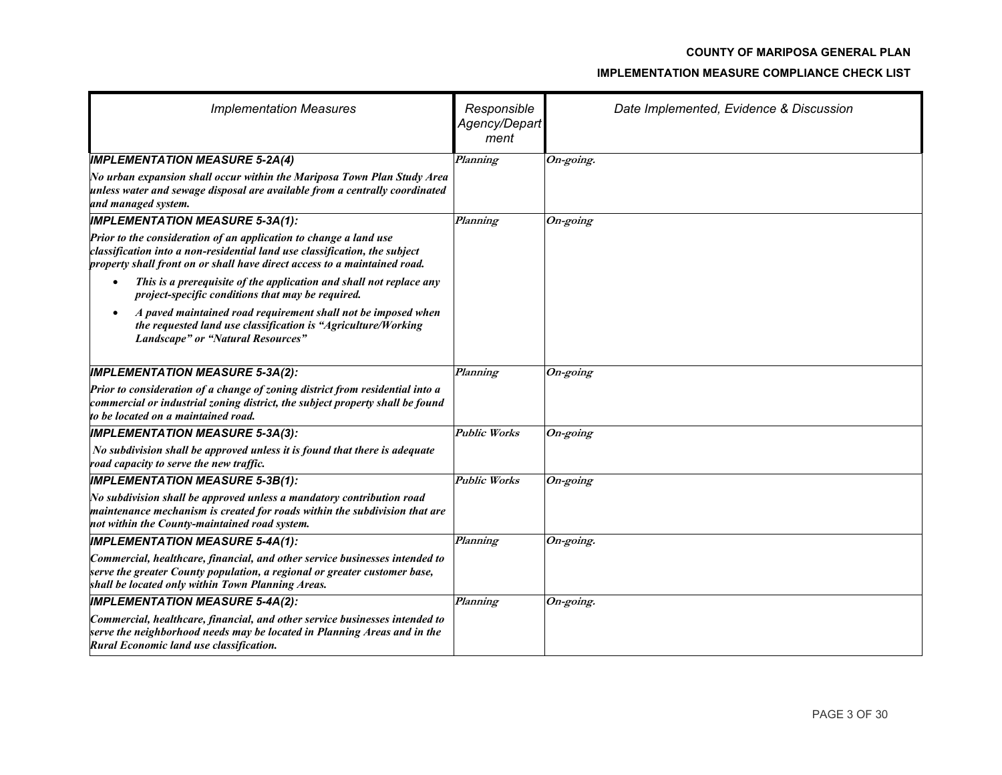| <b>Implementation Measures</b>                                                                                                                                                                                               | Responsible<br>Agency/Depart<br>ment | Date Implemented, Evidence & Discussion |
|------------------------------------------------------------------------------------------------------------------------------------------------------------------------------------------------------------------------------|--------------------------------------|-----------------------------------------|
| <b>IMPLEMENTATION MEASURE 5-2A(4)</b>                                                                                                                                                                                        | Planning                             | On-going.                               |
| No urban expansion shall occur within the Mariposa Town Plan Study Area<br>unless water and sewage disposal are available from a centrally coordinated<br>and managed system.                                                |                                      |                                         |
| <b>IMPLEMENTATION MEASURE 5-3A(1):</b>                                                                                                                                                                                       | Planning                             | On-going                                |
| Prior to the consideration of an application to change a land use<br>classification into a non-residential land use classification, the subject<br>property shall front on or shall have direct access to a maintained road. |                                      |                                         |
| This is a prerequisite of the application and shall not replace any<br>project-specific conditions that may be required.                                                                                                     |                                      |                                         |
| A paved maintained road requirement shall not be imposed when<br>$\bullet$<br>the requested land use classification is "Agriculture/Working<br>Landscape" or "Natural Resources"                                             |                                      |                                         |
| <b>IMPLEMENTATION MEASURE 5-3A(2):</b>                                                                                                                                                                                       | Planning                             | $On\text{-going}$                       |
| Prior to consideration of a change of zoning district from residential into a<br>commercial or industrial zoning district, the subject property shall be found<br>to be located on a maintained road.                        |                                      |                                         |
| <b>IMPLEMENTATION MEASURE 5-3A(3):</b>                                                                                                                                                                                       | <b>Public Works</b>                  | On-going                                |
| No subdivision shall be approved unless it is found that there is adequate<br>road capacity to serve the new traffic.                                                                                                        |                                      |                                         |
| <b>IMPLEMENTATION MEASURE 5-3B(1):</b>                                                                                                                                                                                       | <b>Public Works</b>                  | On-going                                |
| $\sqrt{N}$ subdivision shall be approved unless a mandatory contribution road<br>maintenance mechanism is created for roads within the subdivision that are<br>not within the County-maintained road system.                 |                                      |                                         |
| <b>IMPLEMENTATION MEASURE 5-4A(1):</b>                                                                                                                                                                                       | Planning                             | On-going.                               |
| Commercial, healthcare, financial, and other service businesses intended to<br>serve the greater County population, a regional or greater customer base,<br>shall be located only within Town Planning Areas.                |                                      |                                         |
| <b>IMPLEMENTATION MEASURE 5-4A(2):</b>                                                                                                                                                                                       | Planning                             | On-going.                               |
| Commercial, healthcare, financial, and other service businesses intended to<br>serve the neighborhood needs may be located in Planning Areas and in the<br>Rural Economic land use classification.                           |                                      |                                         |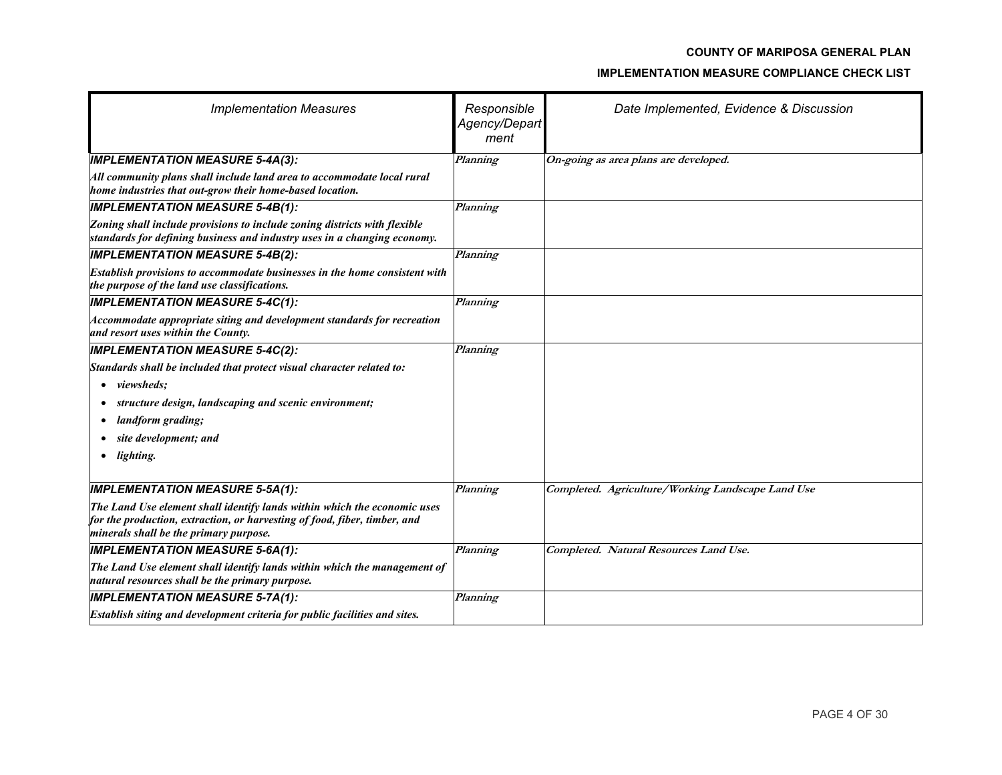| <b>Implementation Measures</b>                                                                                                                                                                  | Responsible<br>Agency/Depart<br>ment | Date Implemented, Evidence & Discussion           |
|-------------------------------------------------------------------------------------------------------------------------------------------------------------------------------------------------|--------------------------------------|---------------------------------------------------|
| <b>IMPLEMENTATION MEASURE 5-4A(3):</b>                                                                                                                                                          | Planning                             | On-going as area plans are developed.             |
| All community plans shall include land area to accommodate local rural<br>home industries that out-grow their home-based location.                                                              |                                      |                                                   |
| <b>IMPLEMENTATION MEASURE 5-4B(1):</b>                                                                                                                                                          | Planning                             |                                                   |
| Zoning shall include provisions to include zoning districts with flexible<br>standards for defining business and industry uses in a changing economy.                                           |                                      |                                                   |
| <b>IMPLEMENTATION MEASURE 5-4B(2):</b>                                                                                                                                                          | Planning                             |                                                   |
| Establish provisions to accommodate businesses in the home consistent with<br>the purpose of the land use classifications.                                                                      |                                      |                                                   |
| <b>IMPLEMENTATION MEASURE 5-4C(1):</b>                                                                                                                                                          | Planning                             |                                                   |
| Accommodate appropriate siting and development standards for recreation<br>and resort uses within the County.                                                                                   |                                      |                                                   |
| <b>IMPLEMENTATION MEASURE 5-4C(2):</b>                                                                                                                                                          | Planning                             |                                                   |
| Standards shall be included that protect visual character related to:                                                                                                                           |                                      |                                                   |
| • viewsheds;                                                                                                                                                                                    |                                      |                                                   |
| structure design, landscaping and scenic environment;                                                                                                                                           |                                      |                                                   |
| landform grading;<br>٠                                                                                                                                                                          |                                      |                                                   |
| site development; and                                                                                                                                                                           |                                      |                                                   |
| lighting.                                                                                                                                                                                       |                                      |                                                   |
| <b>IMPLEMENTATION MEASURE 5-5A(1):</b>                                                                                                                                                          | Planning                             | Completed. Agriculture/Working Landscape Land Use |
| The Land Use element shall identify lands within which the economic uses<br>for the production, extraction, or harvesting of food, fiber, timber, and<br>minerals shall be the primary purpose. |                                      |                                                   |
| <b>IMPLEMENTATION MEASURE 5-6A(1):</b>                                                                                                                                                          | Planning                             | Completed. Natural Resources Land Use.            |
| The Land Use element shall identify lands within which the management of<br>natural resources shall be the primary purpose.                                                                     |                                      |                                                   |
| <b>IMPLEMENTATION MEASURE 5-7A(1):</b>                                                                                                                                                          | Planning                             |                                                   |
| Establish siting and development criteria for public facilities and sites.                                                                                                                      |                                      |                                                   |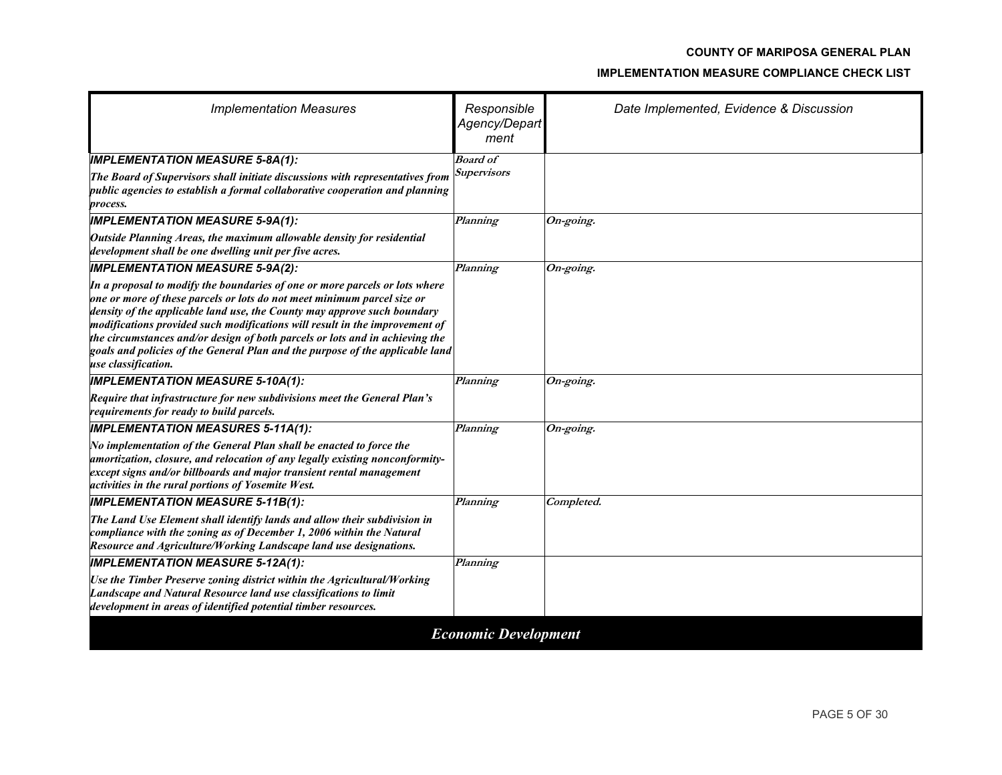| <b>Implementation Measures</b>                                                                                                                                                                                                                                                                                                                                                                                                                                                                            | Responsible<br>Agency/Depart<br>ment | Date Implemented, Evidence & Discussion |
|-----------------------------------------------------------------------------------------------------------------------------------------------------------------------------------------------------------------------------------------------------------------------------------------------------------------------------------------------------------------------------------------------------------------------------------------------------------------------------------------------------------|--------------------------------------|-----------------------------------------|
| <b>IMPLEMENTATION MEASURE 5-8A(1):</b>                                                                                                                                                                                                                                                                                                                                                                                                                                                                    | <b>Board of</b>                      |                                         |
| The Board of Supervisors shall initiate discussions with representatives from<br>public agencies to establish a formal collaborative cooperation and planning<br>process.                                                                                                                                                                                                                                                                                                                                 | <b>Supervisors</b>                   |                                         |
| <b>IMPLEMENTATION MEASURE 5-9A(1):</b>                                                                                                                                                                                                                                                                                                                                                                                                                                                                    | Planning                             | On-going.                               |
| Outside Planning Areas, the maximum allowable density for residential<br>development shall be one dwelling unit per five acres.                                                                                                                                                                                                                                                                                                                                                                           |                                      |                                         |
| <b>IMPLEMENTATION MEASURE 5-9A(2):</b>                                                                                                                                                                                                                                                                                                                                                                                                                                                                    | Planning                             | On-going.                               |
| In a proposal to modify the boundaries of one or more parcels or lots where<br>one or more of these parcels or lots do not meet minimum parcel size or<br>density of the applicable land use, the County may approve such boundary<br>modifications provided such modifications will result in the improvement of<br>the circumstances and/or design of both parcels or lots and in achieving the<br>goals and policies of the General Plan and the purpose of the applicable land<br>use classification. |                                      |                                         |
| <b>IMPLEMENTATION MEASURE 5-10A(1):</b>                                                                                                                                                                                                                                                                                                                                                                                                                                                                   | Planning                             | On-going.                               |
| Require that infrastructure for new subdivisions meet the General Plan's<br>requirements for ready to build parcels.                                                                                                                                                                                                                                                                                                                                                                                      |                                      |                                         |
| <b>IMPLEMENTATION MEASURES 5-11A(1):</b>                                                                                                                                                                                                                                                                                                                                                                                                                                                                  | Planning                             | On-going.                               |
| No implementation of the General Plan shall be enacted to force the<br>amortization, closure, and relocation of any legally existing nonconformity-<br>except signs and/or billboards and major transient rental management<br>activities in the rural portions of Yosemite West.                                                                                                                                                                                                                         |                                      |                                         |
| <b>IMPLEMENTATION MEASURE 5-11B(1):</b>                                                                                                                                                                                                                                                                                                                                                                                                                                                                   | Planning                             | Completed.                              |
| The Land Use Element shall identify lands and allow their subdivision in<br>compliance with the zoning as of December 1, 2006 within the Natural<br>Resource and Agriculture/Working Landscape land use designations.                                                                                                                                                                                                                                                                                     |                                      |                                         |
| <b>IMPLEMENTATION MEASURE 5-12A(1):</b>                                                                                                                                                                                                                                                                                                                                                                                                                                                                   | Planning                             |                                         |
| Use the Timber Preserve zoning district within the Agricultural/Working<br>Landscape and Natural Resource land use classifications to limit<br>development in areas of identified potential timber resources.                                                                                                                                                                                                                                                                                             |                                      |                                         |
|                                                                                                                                                                                                                                                                                                                                                                                                                                                                                                           | <b>Economic Development</b>          |                                         |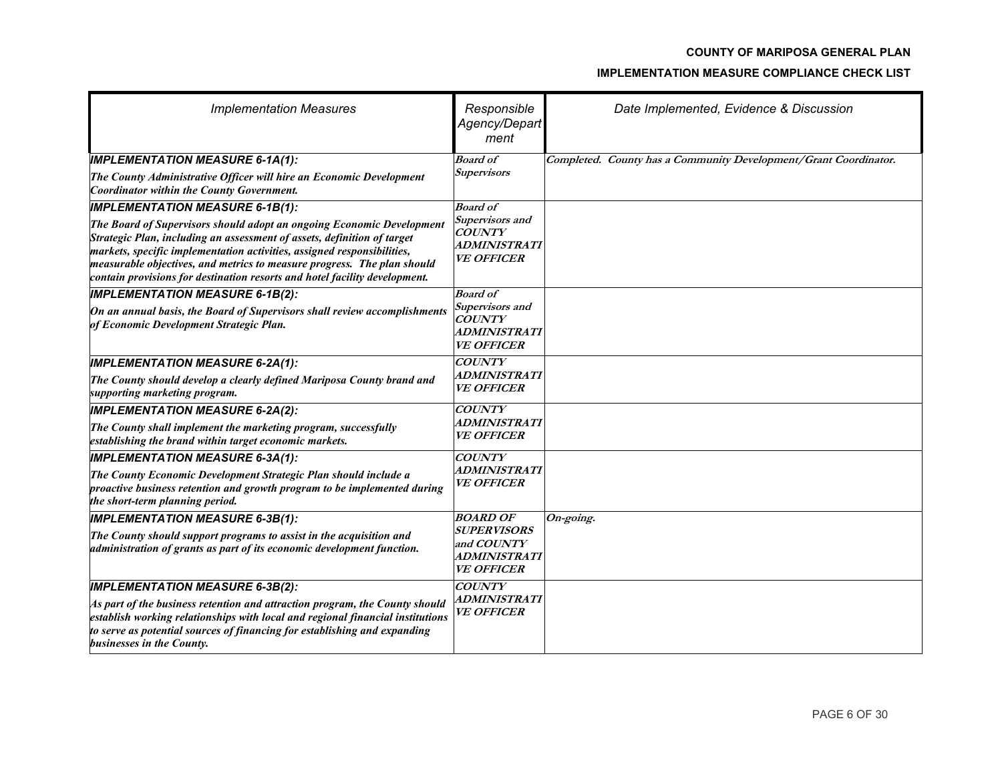| <b>Implementation Measures</b>                                                                                                                                                                                                                                                                                                                                                       | Responsible<br>Agency/Depart<br>ment                                         | Date Implemented, Evidence & Discussion                          |
|--------------------------------------------------------------------------------------------------------------------------------------------------------------------------------------------------------------------------------------------------------------------------------------------------------------------------------------------------------------------------------------|------------------------------------------------------------------------------|------------------------------------------------------------------|
| <b>IMPLEMENTATION MEASURE 6-1A(1):</b>                                                                                                                                                                                                                                                                                                                                               | <b>Board of</b>                                                              | Completed. County has a Community Development/Grant Coordinator. |
| The County Administrative Officer will hire an Economic Development<br>Coordinator within the County Government.                                                                                                                                                                                                                                                                     | <b>Supervisors</b>                                                           |                                                                  |
| <b>IMPLEMENTATION MEASURE 6-1B(1):</b>                                                                                                                                                                                                                                                                                                                                               | <b>Board of</b>                                                              |                                                                  |
| The Board of Supervisors should adopt an ongoing Economic Development<br>Strategic Plan, including an assessment of assets, definition of target<br>markets, specific implementation activities, assigned responsibilities,<br>measurable objectives, and metrics to measure progress. The plan should<br>contain provisions for destination resorts and hotel facility development. | Supervisors and<br><b>COUNTY</b><br>ADMINISTRATI<br><i><b>VE OFFICER</b></i> |                                                                  |
| <b>IMPLEMENTATION MEASURE 6-1B(2):</b>                                                                                                                                                                                                                                                                                                                                               | <b>Board</b> of                                                              |                                                                  |
| On an annual basis, the Board of Supervisors shall review accomplishments<br>of Economic Development Strategic Plan.                                                                                                                                                                                                                                                                 | Supervisors and<br><b>COUNTY</b><br>ADMINISTRATI<br><i><b>VE OFFICER</b></i> |                                                                  |
| <b>IMPLEMENTATION MEASURE 6-2A(1):</b>                                                                                                                                                                                                                                                                                                                                               | <b>COUNTY</b>                                                                |                                                                  |
| The County should develop a clearly defined Mariposa County brand and<br>supporting marketing program.                                                                                                                                                                                                                                                                               | ADMINISTRATI<br><b>VE OFFICER</b>                                            |                                                                  |
| <b>IMPLEMENTATION MEASURE 6-2A(2):</b>                                                                                                                                                                                                                                                                                                                                               | <b>COUNTY</b>                                                                |                                                                  |
| The County shall implement the marketing program, successfully<br>establishing the brand within target economic markets.                                                                                                                                                                                                                                                             | ADMINISTRATI<br><i><b>VE OFFICER</b></i>                                     |                                                                  |
| <b>IMPLEMENTATION MEASURE 6-3A(1):</b>                                                                                                                                                                                                                                                                                                                                               | <b>COUNTY</b>                                                                |                                                                  |
| The County Economic Development Strategic Plan should include a<br>proactive business retention and growth program to be implemented during<br>the short-term planning period.                                                                                                                                                                                                       | <i><b>ADMINISTRATI</b></i><br><i><b>VE OFFICER</b></i>                       |                                                                  |
| <b>IMPLEMENTATION MEASURE 6-3B(1):</b>                                                                                                                                                                                                                                                                                                                                               | <b>BOARD OF</b>                                                              | On-going.                                                        |
| The County should support programs to assist in the acquisition and<br>administration of grants as part of its economic development function.                                                                                                                                                                                                                                        | <b>SUPERVISORS</b><br>and COUNTY<br>ADMINISTRATI<br><b>VE OFFICER</b>        |                                                                  |
| <b>IMPLEMENTATION MEASURE 6-3B(2):</b>                                                                                                                                                                                                                                                                                                                                               | <b>COUNTY</b>                                                                |                                                                  |
| As part of the business retention and attraction program, the County should<br>establish working relationships with local and regional financial institutions<br>to serve as potential sources of financing for establishing and expanding<br>businesses in the County.                                                                                                              | ADMINISTRATI<br><b>VE OFFICER</b>                                            |                                                                  |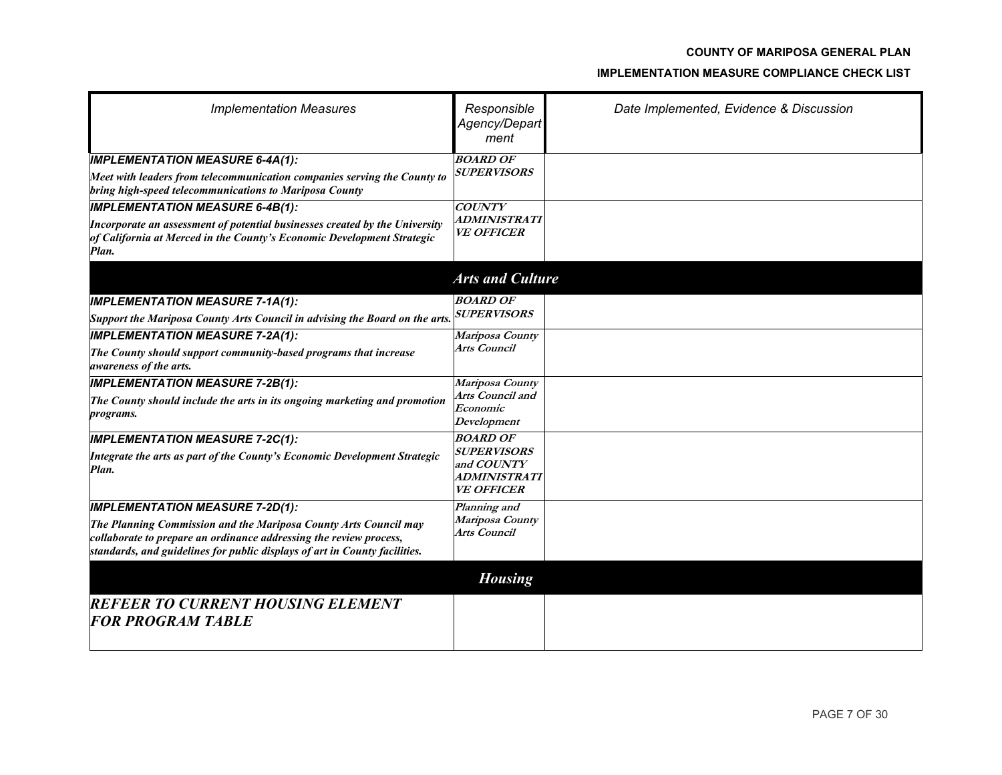| <b>Implementation Measures</b>                                                                                                                                 | Responsible<br>Agency/Depart<br>ment     | Date Implemented, Evidence & Discussion |
|----------------------------------------------------------------------------------------------------------------------------------------------------------------|------------------------------------------|-----------------------------------------|
| <b>IMPLEMENTATION MEASURE 6-4A(1):</b>                                                                                                                         | <b>BOARD OF</b><br><b>SUPERVISORS</b>    |                                         |
| Meet with leaders from telecommunication companies serving the County to<br>bring high-speed telecommunications to Mariposa County                             |                                          |                                         |
| <b>IMPLEMENTATION MEASURE 6-4B(1):</b>                                                                                                                         | <b>COUNTY</b>                            |                                         |
| Incorporate an assessment of potential businesses created by the University<br>of California at Merced in the County's Economic Development Strategic<br>Plan. | ADMINISTRATI<br><b>VE OFFICER</b>        |                                         |
|                                                                                                                                                                | <b>Arts and Culture</b>                  |                                         |
| <b>IMPLEMENTATION MEASURE 7-1A(1):</b>                                                                                                                         | <b>BOARD OF</b>                          |                                         |
| Support the Mariposa County Arts Council in advising the Board on the arts.                                                                                    | <i><b>SUPERVISORS</b></i>                |                                         |
| <b>IMPLEMENTATION MEASURE 7-2A(1):</b>                                                                                                                         | Mariposa County                          |                                         |
| The County should support community-based programs that increase<br><i>awareness of the arts.</i>                                                              | Arts Council                             |                                         |
| <b>IMPLEMENTATION MEASURE 7-2B(1):</b>                                                                                                                         | Mariposa County                          |                                         |
| The County should include the arts in its ongoing marketing and promotion                                                                                      | Arts Council and<br>Economic             |                                         |
| <i>programs.</i>                                                                                                                                               | Development                              |                                         |
| <b>IMPLEMENTATION MEASURE 7-2C(1):</b>                                                                                                                         | <b>BOARD OF</b>                          |                                         |
| Integrate the arts as part of the County's Economic Development Strategic                                                                                      | <b>SUPERVISORS</b>                       |                                         |
| Plan.                                                                                                                                                          | and COUNTY<br><i><b>ADMINISTRATI</b></i> |                                         |
|                                                                                                                                                                | <b>VE OFFICER</b>                        |                                         |
| <b>IMPLEMENTATION MEASURE 7-2D(1):</b>                                                                                                                         | Planning and                             |                                         |
| The Planning Commission and the Mariposa County Arts Council may                                                                                               | Mariposa County<br>Arts Council          |                                         |
| collaborate to prepare an ordinance addressing the review process,<br>standards, and guidelines for public displays of art in County facilities.               |                                          |                                         |
|                                                                                                                                                                | <b>Housing</b>                           |                                         |
| <b>REFEER TO CURRENT HOUSING ELEMENT</b>                                                                                                                       |                                          |                                         |
| <b>FOR PROGRAM TABLE</b>                                                                                                                                       |                                          |                                         |
|                                                                                                                                                                |                                          |                                         |
|                                                                                                                                                                |                                          |                                         |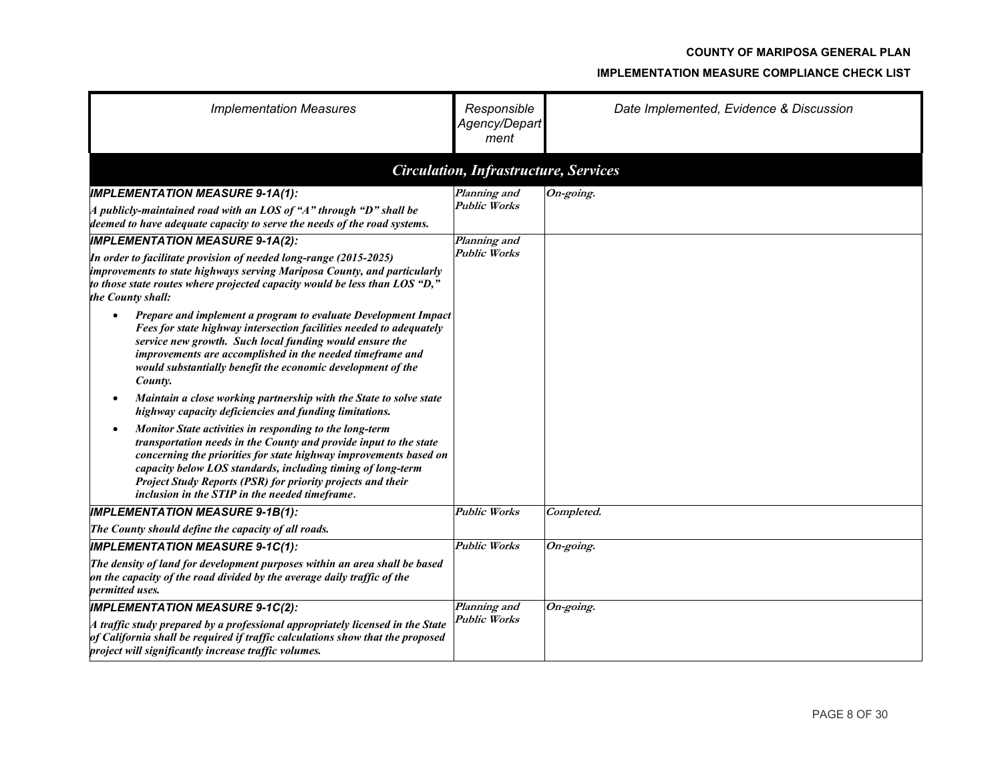| <b>Implementation Measures</b>                                                                                                                                                                                                                                                                                                                                                    | Responsible<br>Agency/Depart<br>ment         | Date Implemented, Evidence & Discussion |
|-----------------------------------------------------------------------------------------------------------------------------------------------------------------------------------------------------------------------------------------------------------------------------------------------------------------------------------------------------------------------------------|----------------------------------------------|-----------------------------------------|
|                                                                                                                                                                                                                                                                                                                                                                                   | <b>Circulation, Infrastructure, Services</b> |                                         |
| <b>IMPLEMENTATION MEASURE 9-1A(1):</b><br>A publicly-maintained road with an LOS of "A" through "D" shall be<br>deemed to have adequate capacity to serve the needs of the road systems.                                                                                                                                                                                          | Planning and<br><b>Public Works</b>          | $\overline{On\text{-}going.}$           |
| <b>IMPLEMENTATION MEASURE 9-1A(2):</b><br>In order to facilitate provision of needed long-range (2015-2025)<br>improvements to state highways serving Mariposa County, and particularly<br>to those state routes where projected capacity would be less than LOS " $D$ ,"<br>the County shall:                                                                                    | Planning and<br><b>Public Works</b>          |                                         |
| Prepare and implement a program to evaluate Development Impact<br>$\bullet$<br>Fees for state highway intersection facilities needed to adequately<br>service new growth. Such local funding would ensure the<br>improvements are accomplished in the needed timeframe and<br>would substantially benefit the economic development of the<br>County.                              |                                              |                                         |
| Maintain a close working partnership with the State to solve state<br>highway capacity deficiencies and funding limitations.                                                                                                                                                                                                                                                      |                                              |                                         |
| Monitor State activities in responding to the long-term<br>transportation needs in the County and provide input to the state<br>concerning the priorities for state highway improvements based on<br>capacity below LOS standards, including timing of long-term<br>Project Study Reports (PSR) for priority projects and their<br>inclusion in the STIP in the needed timeframe. |                                              |                                         |
| <b>IMPLEMENTATION MEASURE 9-1B(1):</b>                                                                                                                                                                                                                                                                                                                                            | <b>Public Works</b>                          | Completed.                              |
| The County should define the capacity of all roads.                                                                                                                                                                                                                                                                                                                               |                                              |                                         |
| <b>IMPLEMENTATION MEASURE 9-1C(1):</b><br>The density of land for development purposes within an area shall be based<br>on the capacity of the road divided by the average daily traffic of the<br>permitted uses.                                                                                                                                                                | <b>Public Works</b>                          | On-going.                               |
| <b>IMPLEMENTATION MEASURE 9-1C(2):</b><br>$A$ traffic study prepared by a professional appropriately licensed in the State<br>of California shall be required if traffic calculations show that the proposed<br>project will significantly increase traffic volumes.                                                                                                              | Planning and<br><b>Public Works</b>          | On-going.                               |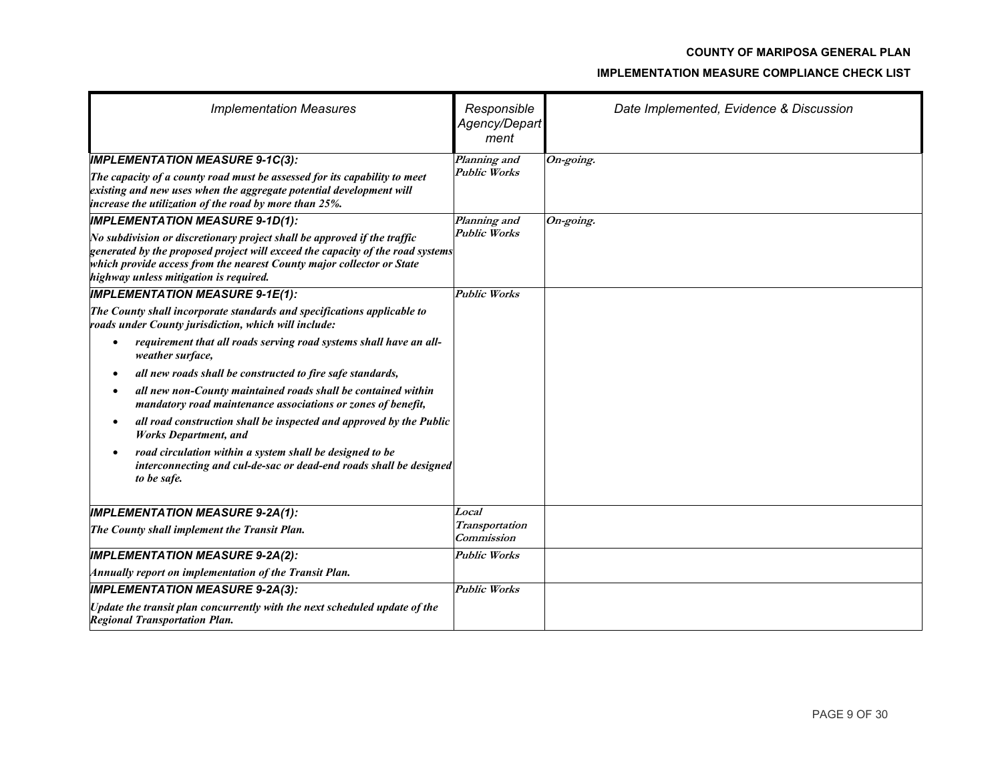| <b>Implementation Measures</b>                                                                                                                                                                                                                                                                                                                                                                                                                                                                                                                             | Responsible<br>Agency/Depart<br>ment         | Date Implemented, Evidence & Discussion |
|------------------------------------------------------------------------------------------------------------------------------------------------------------------------------------------------------------------------------------------------------------------------------------------------------------------------------------------------------------------------------------------------------------------------------------------------------------------------------------------------------------------------------------------------------------|----------------------------------------------|-----------------------------------------|
| <b>IMPLEMENTATION MEASURE 9-1C(3):</b><br>The capacity of a county road must be assessed for its capability to meet<br>existing and new uses when the aggregate potential development will<br>increase the utilization of the road by more than 25%.                                                                                                                                                                                                                                                                                                       | Planning and<br><b>Public Works</b>          | $\overline{On}$ -going.                 |
| <b>IMPLEMENTATION MEASURE 9-1D(1):</b><br>No subdivision or discretionary project shall be approved if the traffic<br>$ g$ enerated by the proposed project will exceed the capacity of the road systems<br>which provide access from the nearest County major collector or State<br>highway unless mitigation is required.                                                                                                                                                                                                                                | Planning and<br><b>Public Works</b>          | On-going.                               |
| <b>IMPLEMENTATION MEASURE 9-1E(1):</b><br>The County shall incorporate standards and specifications applicable to<br>roads under County jurisdiction, which will include:                                                                                                                                                                                                                                                                                                                                                                                  | <b>Public Works</b>                          |                                         |
| requirement that all roads serving road systems shall have an all-<br>weather surface,<br>all new roads shall be constructed to fire safe standards,<br>$\bullet$<br>all new non-County maintained roads shall be contained within<br>mandatory road maintenance associations or zones of benefit,<br>all road construction shall be inspected and approved by the Public<br><b>Works Department, and</b><br>road circulation within a system shall be designed to be<br>interconnecting and cul-de-sac or dead-end roads shall be designed<br>to be safe. |                                              |                                         |
| <b>IMPLEMENTATION MEASURE 9-2A(1):</b><br>The County shall implement the Transit Plan.                                                                                                                                                                                                                                                                                                                                                                                                                                                                     | Local<br><b>Transportation</b><br>Commission |                                         |
| <b>IMPLEMENTATION MEASURE 9-2A(2):</b><br>Annually report on implementation of the Transit Plan.                                                                                                                                                                                                                                                                                                                                                                                                                                                           | <b>Public Works</b>                          |                                         |
| <b>IMPLEMENTATION MEASURE 9-2A(3):</b><br>Update the transit plan concurrently with the next scheduled update of the<br><b>Regional Transportation Plan.</b>                                                                                                                                                                                                                                                                                                                                                                                               | <b>Public Works</b>                          |                                         |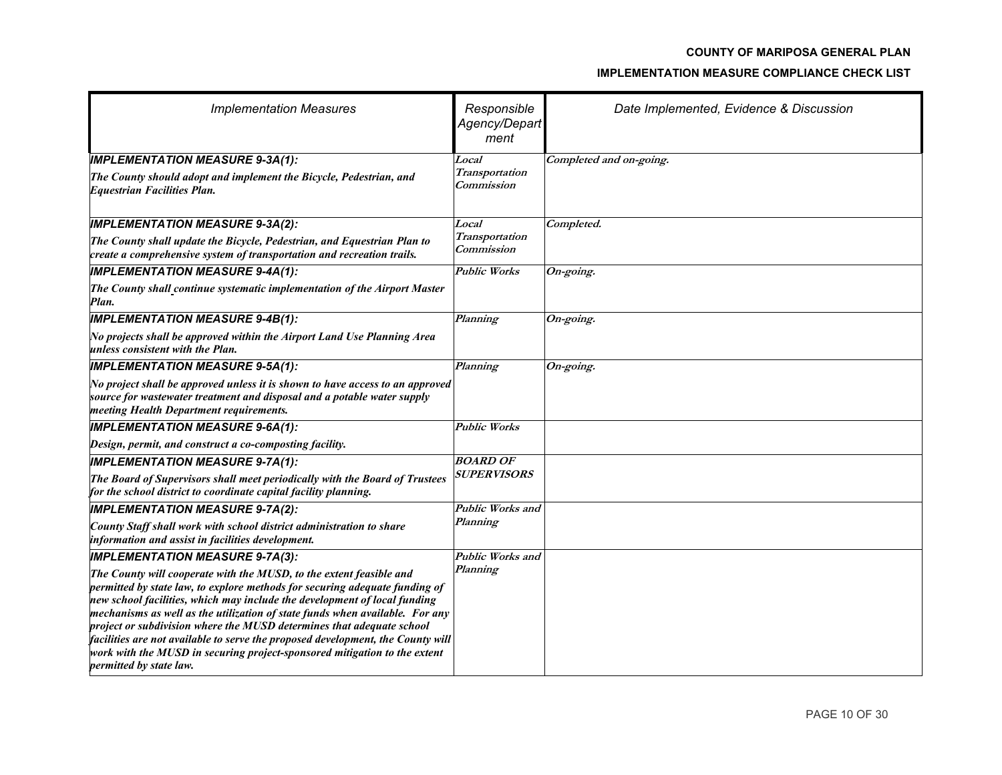| <b>Implementation Measures</b>                                                                                                                                                                                                                                                                                                                                                                                                                                                                                                                                                             | Responsible<br>Agency/Depart<br>ment | Date Implemented, Evidence & Discussion |
|--------------------------------------------------------------------------------------------------------------------------------------------------------------------------------------------------------------------------------------------------------------------------------------------------------------------------------------------------------------------------------------------------------------------------------------------------------------------------------------------------------------------------------------------------------------------------------------------|--------------------------------------|-----------------------------------------|
| <b>IMPLEMENTATION MEASURE 9-3A(1):</b><br>The County should adopt and implement the Bicycle, Pedestrian, and                                                                                                                                                                                                                                                                                                                                                                                                                                                                               | Local<br>Transportation              | Completed and on-going.                 |
| <b>Equestrian Facilities Plan.</b>                                                                                                                                                                                                                                                                                                                                                                                                                                                                                                                                                         | <b>Commission</b>                    |                                         |
| <b>IMPLEMENTATION MEASURE 9-3A(2):</b>                                                                                                                                                                                                                                                                                                                                                                                                                                                                                                                                                     | Local                                | Completed.                              |
| The County shall update the Bicycle, Pedestrian, and Equestrian Plan to<br>create a comprehensive system of transportation and recreation trails.                                                                                                                                                                                                                                                                                                                                                                                                                                          | <b>Transportation</b><br>Commission  |                                         |
| <b>IMPLEMENTATION MEASURE 9-4A(1):</b>                                                                                                                                                                                                                                                                                                                                                                                                                                                                                                                                                     | <b>Public Works</b>                  | On-going.                               |
| The County shall continue systematic implementation of the Airport Master<br>Plan.                                                                                                                                                                                                                                                                                                                                                                                                                                                                                                         |                                      |                                         |
| <b>IMPLEMENTATION MEASURE 9-4B(1):</b>                                                                                                                                                                                                                                                                                                                                                                                                                                                                                                                                                     | Planning                             | On-going.                               |
| No projects shall be approved within the Airport Land Use Planning Area<br>unless consistent with the Plan.                                                                                                                                                                                                                                                                                                                                                                                                                                                                                |                                      |                                         |
| <b>IMPLEMENTATION MEASURE 9-5A(1):</b>                                                                                                                                                                                                                                                                                                                                                                                                                                                                                                                                                     | Planning                             | On-going.                               |
| No project shall be approved unless it is shown to have access to an approved<br>source for wastewater treatment and disposal and a potable water supply<br>meeting Health Department requirements.                                                                                                                                                                                                                                                                                                                                                                                        |                                      |                                         |
| <b>IMPLEMENTATION MEASURE 9-6A(1):</b>                                                                                                                                                                                                                                                                                                                                                                                                                                                                                                                                                     | <b>Public Works</b>                  |                                         |
| Design, permit, and construct a co-composting facility.                                                                                                                                                                                                                                                                                                                                                                                                                                                                                                                                    |                                      |                                         |
| <b>IMPLEMENTATION MEASURE 9-7A(1):</b>                                                                                                                                                                                                                                                                                                                                                                                                                                                                                                                                                     | <b>BOARD OF</b>                      |                                         |
| The Board of Supervisors shall meet periodically with the Board of Trustees<br>for the school district to coordinate capital facility planning.                                                                                                                                                                                                                                                                                                                                                                                                                                            | <i><b>SUPERVISORS</b></i>            |                                         |
| <b>IMPLEMENTATION MEASURE 9-7A(2):</b>                                                                                                                                                                                                                                                                                                                                                                                                                                                                                                                                                     | Public Works and                     |                                         |
| County Staff shall work with school district administration to share<br>information and assist in facilities development.                                                                                                                                                                                                                                                                                                                                                                                                                                                                  | Planning                             |                                         |
| <b>IMPLEMENTATION MEASURE 9-7A(3):</b>                                                                                                                                                                                                                                                                                                                                                                                                                                                                                                                                                     | Public Works and                     |                                         |
| The County will cooperate with the MUSD, to the extent feasible and<br>permitted by state law, to explore methods for securing adequate funding of<br>new school facilities, which may include the development of local funding<br>mechanisms as well as the utilization of state funds when available. For any<br>project or subdivision where the MUSD determines that adequate school<br>facilities are not available to serve the proposed development, the County will<br>work with the MUSD in securing project-sponsored mitigation to the extent<br><i>permitted by state law.</i> | Planning                             |                                         |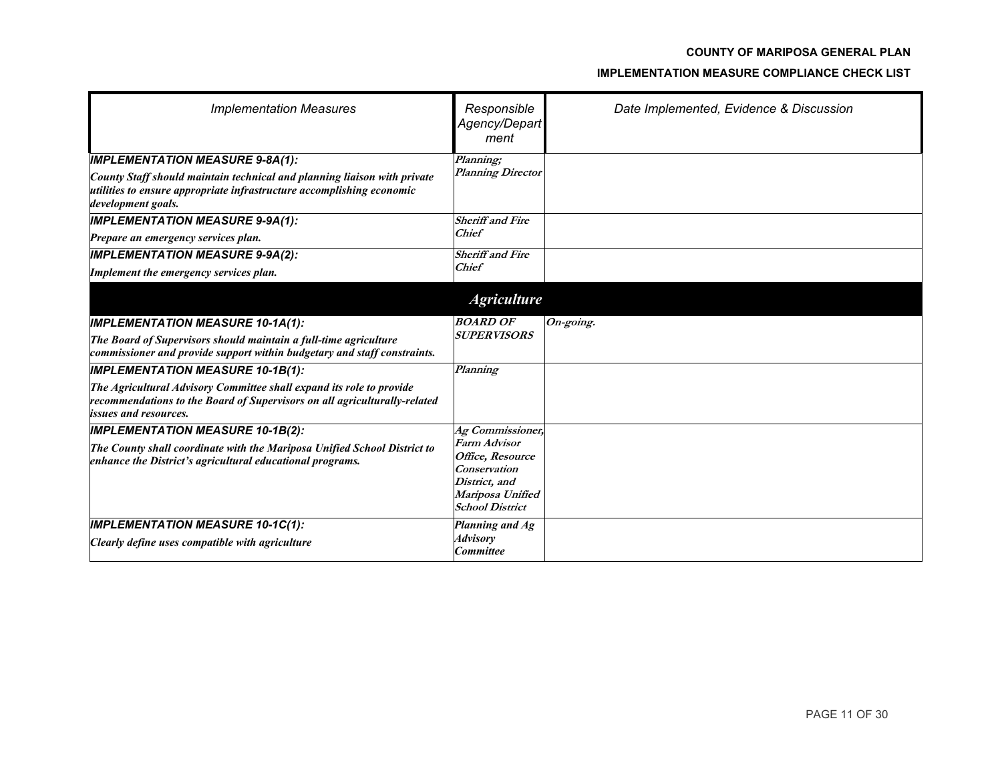| <b>Implementation Measures</b>                                                                                                                                                    | Responsible<br>Agency/Depart<br>ment       | Date Implemented, Evidence & Discussion |
|-----------------------------------------------------------------------------------------------------------------------------------------------------------------------------------|--------------------------------------------|-----------------------------------------|
| <b>IMPLEMENTATION MEASURE 9-8A(1):</b>                                                                                                                                            | Planning;                                  |                                         |
| County Staff should maintain technical and planning liaison with private<br>utilities to ensure appropriate infrastructure accomplishing economic<br>development goals.           | <b>Planning Director</b>                   |                                         |
| <b>IMPLEMENTATION MEASURE 9-9A(1):</b>                                                                                                                                            | <b>Sheriff and Fire</b>                    |                                         |
| Prepare an emergency services plan.                                                                                                                                               | <b>Chief</b>                               |                                         |
| <b>IMPLEMENTATION MEASURE 9-9A(2):</b>                                                                                                                                            | <b>Sheriff and Fire</b>                    |                                         |
| Implement the emergency services plan.                                                                                                                                            | <b>Chief</b>                               |                                         |
|                                                                                                                                                                                   | <b>Agriculture</b>                         |                                         |
| <b>IMPLEMENTATION MEASURE 10-1A(1):</b>                                                                                                                                           | <b>BOARD OF</b>                            | On-going.                               |
| The Board of Supervisors should maintain a full-time agriculture<br>commissioner and provide support within budgetary and staff constraints.                                      | <b>SUPERVISORS</b>                         |                                         |
| <b>IMPLEMENTATION MEASURE 10-1B(1):</b>                                                                                                                                           | Planning                                   |                                         |
| The Agricultural Advisory Committee shall expand its role to provide<br>recommendations to the Board of Supervisors on all agriculturally-related<br><i>issues and resources.</i> |                                            |                                         |
| <b>IMPLEMENTATION MEASURE 10-1B(2):</b>                                                                                                                                           | Ag Commissioner,                           |                                         |
| The County shall coordinate with the Mariposa Unified School District to                                                                                                          | Farm Advisor                               |                                         |
| enhance the District's agricultural educational programs.                                                                                                                         | Office, Resource<br><b>Conservation</b>    |                                         |
|                                                                                                                                                                                   | District, and                              |                                         |
|                                                                                                                                                                                   | Mariposa Unified<br><b>School District</b> |                                         |
| <b>IMPLEMENTATION MEASURE 10-1C(1):</b>                                                                                                                                           | Planning and Ag                            |                                         |
| Clearly define uses compatible with agriculture                                                                                                                                   | <b>Advisory</b><br><b>Committee</b>        |                                         |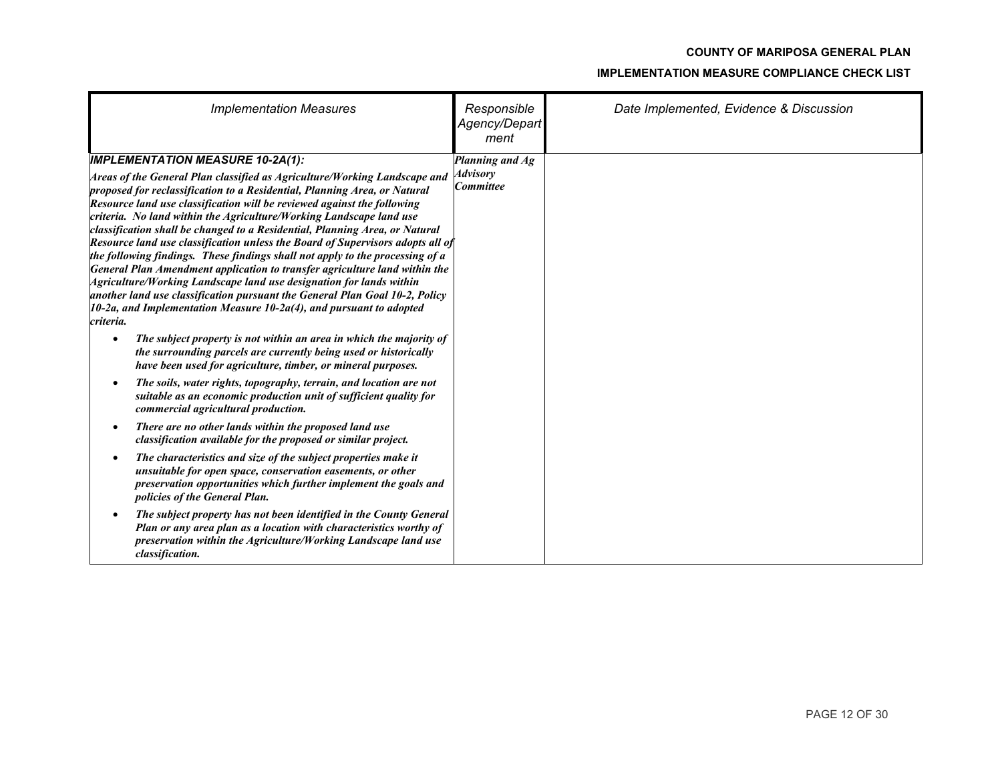| <b>Implementation Measures</b>                                                                                                                                                                                                                                                                                                                                                                                                                                                                                                                                                                                                                                                                                                                                                                                                                                                                                                                                                                          | Responsible<br>Agency/Depart<br>ment            | Date Implemented, Evidence & Discussion |
|---------------------------------------------------------------------------------------------------------------------------------------------------------------------------------------------------------------------------------------------------------------------------------------------------------------------------------------------------------------------------------------------------------------------------------------------------------------------------------------------------------------------------------------------------------------------------------------------------------------------------------------------------------------------------------------------------------------------------------------------------------------------------------------------------------------------------------------------------------------------------------------------------------------------------------------------------------------------------------------------------------|-------------------------------------------------|-----------------------------------------|
| <b>IMPLEMENTATION MEASURE 10-2A(1):</b><br>Areas of the General Plan classified as Agriculture/Working Landscape and<br>proposed for reclassification to a Residential, Planning Area, or Natural<br>Resource land use classification will be reviewed against the following<br>criteria. No land within the Agriculture/Working Landscape land use<br>classification shall be changed to a Residential, Planning Area, or Natural<br>Resource land use classification unless the Board of Supervisors adopts all of<br>the following findings. These findings shall not apply to the processing of a<br>General Plan Amendment application to transfer agriculture land within the<br>Agriculture/Working Landscape land use designation for lands within<br>another land use classification pursuant the General Plan Goal 10-2, Policy<br>$10$ -2a, and Implementation Measure 10-2a(4), and pursuant to adopted<br>criteria.<br>The subject property is not within an area in which the majority of | Planning and Ag<br><b>Advisory</b><br>Committee |                                         |
| the surrounding parcels are currently being used or historically<br>have been used for agriculture, timber, or mineral purposes.<br>The soils, water rights, topography, terrain, and location are not<br>suitable as an economic production unit of sufficient quality for<br>commercial agricultural production.                                                                                                                                                                                                                                                                                                                                                                                                                                                                                                                                                                                                                                                                                      |                                                 |                                         |
| There are no other lands within the proposed land use<br>classification available for the proposed or similar project.                                                                                                                                                                                                                                                                                                                                                                                                                                                                                                                                                                                                                                                                                                                                                                                                                                                                                  |                                                 |                                         |
| The characteristics and size of the subject properties make it<br>unsuitable for open space, conservation easements, or other<br>preservation opportunities which further implement the goals and<br>policies of the General Plan.                                                                                                                                                                                                                                                                                                                                                                                                                                                                                                                                                                                                                                                                                                                                                                      |                                                 |                                         |
| The subject property has not been identified in the County General<br>Plan or any area plan as a location with characteristics worthy of<br>preservation within the Agriculture/Working Landscape land use<br>classification.                                                                                                                                                                                                                                                                                                                                                                                                                                                                                                                                                                                                                                                                                                                                                                           |                                                 |                                         |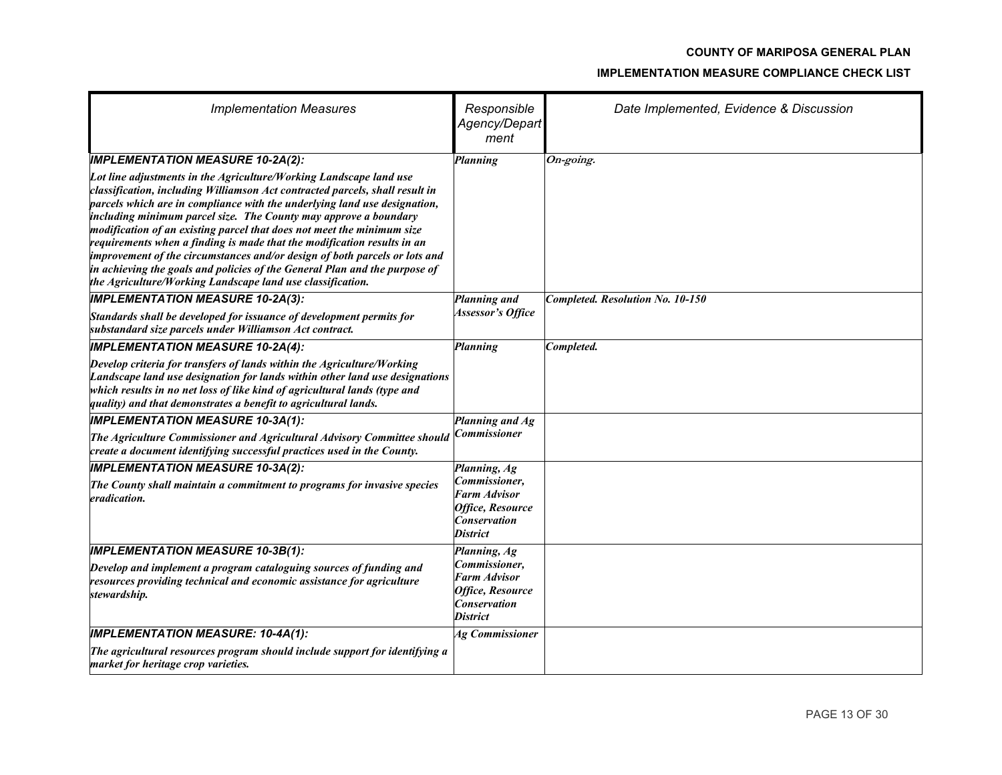| <b>Implementation Measures</b>                                                                                                                                                                                                                                                                                                                                                                                                                                                                                                                                                                                                                                                     | Responsible<br>Agency/Depart<br>ment                                                               | Date Implemented, Evidence & Discussion |
|------------------------------------------------------------------------------------------------------------------------------------------------------------------------------------------------------------------------------------------------------------------------------------------------------------------------------------------------------------------------------------------------------------------------------------------------------------------------------------------------------------------------------------------------------------------------------------------------------------------------------------------------------------------------------------|----------------------------------------------------------------------------------------------------|-----------------------------------------|
| <b>IMPLEMENTATION MEASURE 10-2A(2):</b>                                                                                                                                                                                                                                                                                                                                                                                                                                                                                                                                                                                                                                            | Planning                                                                                           | On-going.                               |
| Lot line adjustments in the Agriculture/Working Landscape land use<br>classification, including Williamson Act contracted parcels, shall result in<br>parcels which are in compliance with the underlying land use designation,<br>including minimum parcel size. The County may approve a boundary<br>modification of an existing parcel that does not meet the minimum size<br>requirements when a finding is made that the modification results in an<br>improvement of the circumstances and/or design of both parcels or lots and<br>in achieving the goals and policies of the General Plan and the purpose of<br>the Agriculture/Working Landscape land use classification. |                                                                                                    |                                         |
| <b>IMPLEMENTATION MEASURE 10-2A(3):</b><br>Standards shall be developed for issuance of development permits for                                                                                                                                                                                                                                                                                                                                                                                                                                                                                                                                                                    | Planning and<br><b>Assessor's Office</b>                                                           | Completed. Resolution No. 10-150        |
| substandard size parcels under Williamson Act contract.                                                                                                                                                                                                                                                                                                                                                                                                                                                                                                                                                                                                                            |                                                                                                    |                                         |
| <b>IMPLEMENTATION MEASURE 10-2A(4):</b>                                                                                                                                                                                                                                                                                                                                                                                                                                                                                                                                                                                                                                            | Planning                                                                                           | Completed.                              |
| Develop criteria for transfers of lands within the Agriculture/Working<br>Landscape land use designation for lands within other land use designations<br>which results in no net loss of like kind of agricultural lands (type and<br>quality) and that demonstrates a benefit to agricultural lands.                                                                                                                                                                                                                                                                                                                                                                              |                                                                                                    |                                         |
| <b>IMPLEMENTATION MEASURE 10-3A(1):</b>                                                                                                                                                                                                                                                                                                                                                                                                                                                                                                                                                                                                                                            | Planning and Ag                                                                                    |                                         |
| The Agriculture Commissioner and Agricultural Advisory Committee should<br>create a document identifying successful practices used in the County.                                                                                                                                                                                                                                                                                                                                                                                                                                                                                                                                  | Commissioner                                                                                       |                                         |
| <b>IMPLEMENTATION MEASURE 10-3A(2):</b>                                                                                                                                                                                                                                                                                                                                                                                                                                                                                                                                                                                                                                            | Planning, Ag                                                                                       |                                         |
| The County shall maintain a commitment to programs for invasive species<br>eradication.                                                                                                                                                                                                                                                                                                                                                                                                                                                                                                                                                                                            | Commissioner,<br>Farm Advisor<br>Office, Resource<br><b>Conservation</b><br><b>District</b>        |                                         |
| <b>IMPLEMENTATION MEASURE 10-3B(1):</b>                                                                                                                                                                                                                                                                                                                                                                                                                                                                                                                                                                                                                                            | Planning, Ag                                                                                       |                                         |
| Develop and implement a program cataloguing sources of funding and<br>resources providing technical and economic assistance for agriculture<br>stewardship.                                                                                                                                                                                                                                                                                                                                                                                                                                                                                                                        | Commissioner,<br><b>Farm Advisor</b><br>Office, Resource<br><b>Conservation</b><br><b>District</b> |                                         |
| <b>IMPLEMENTATION MEASURE: 10-4A(1):</b>                                                                                                                                                                                                                                                                                                                                                                                                                                                                                                                                                                                                                                           | <b>Ag Commissioner</b>                                                                             |                                         |
| The agricultural resources program should include support for identifying a<br>market for heritage crop varieties.                                                                                                                                                                                                                                                                                                                                                                                                                                                                                                                                                                 |                                                                                                    |                                         |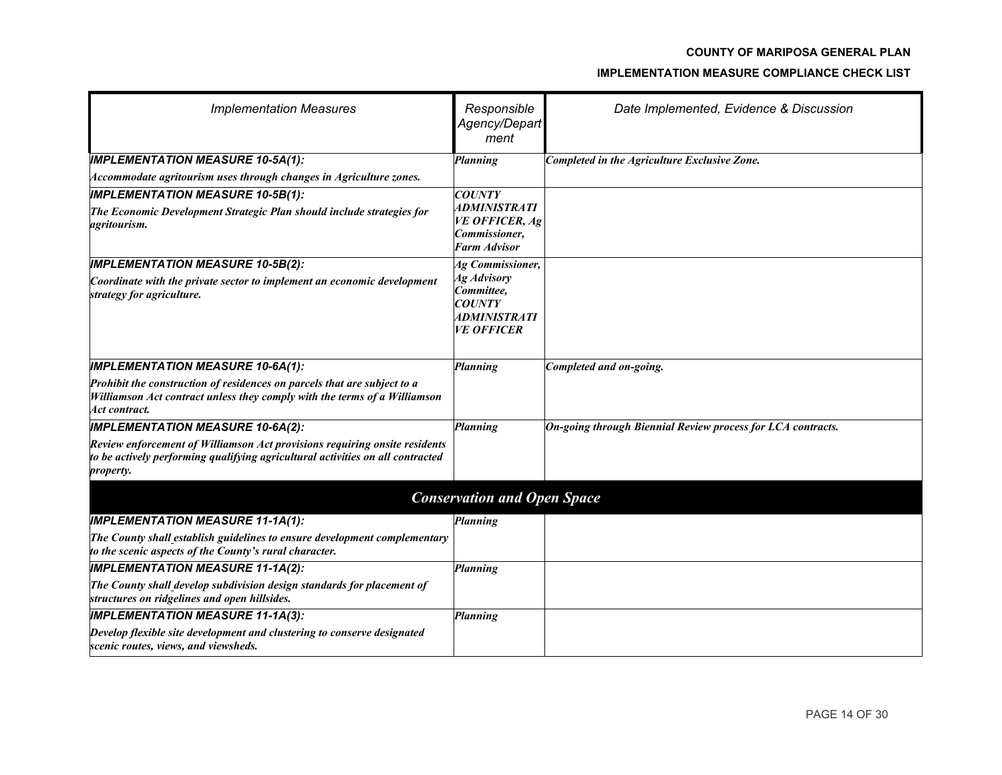| <b>Implementation Measures</b>                                                                                                                                            | Responsible<br>Agency/Depart<br>ment                                                          | Date Implemented, Evidence & Discussion                     |
|---------------------------------------------------------------------------------------------------------------------------------------------------------------------------|-----------------------------------------------------------------------------------------------|-------------------------------------------------------------|
| <b>IMPLEMENTATION MEASURE 10-5A(1):</b>                                                                                                                                   | Planning                                                                                      | Completed in the Agriculture Exclusive Zone.                |
| Accommodate agritourism uses through changes in Agriculture zones.                                                                                                        |                                                                                               |                                                             |
| <b>IMPLEMENTATION MEASURE 10-5B(1):</b>                                                                                                                                   | <b>COUNTY</b>                                                                                 |                                                             |
| The Economic Development Strategic Plan should include strategies for<br>agritourism.                                                                                     | <i><b>ADMINISTRATI</b></i><br><b>VE OFFICER, Ag</b><br>Commissioner,<br><b>Farm Advisor</b>   |                                                             |
| <b>IMPLEMENTATION MEASURE 10-5B(2):</b>                                                                                                                                   | <b>Ag Commissioner,</b>                                                                       |                                                             |
| Coordinate with the private sector to implement an economic development<br>strategy for agriculture.                                                                      | Ag Advisory<br>Committee,<br><b>COUNTY</b><br><i><b>ADMINISTRATI</b></i><br><b>VE OFFICER</b> |                                                             |
| <b>IMPLEMENTATION MEASURE 10-6A(1):</b>                                                                                                                                   | <b>Planning</b>                                                                               | Completed and on-going.                                     |
| Prohibit the construction of residences on parcels that are subject to a<br>Williamson Act contract unless they comply with the terms of a Williamson<br>Act contract.    |                                                                                               |                                                             |
| <b>IMPLEMENTATION MEASURE 10-6A(2):</b>                                                                                                                                   | Planning                                                                                      | On-going through Biennial Review process for LCA contracts. |
| Review enforcement of Williamson Act provisions requiring onsite residents<br>to be actively performing qualifying agricultural activities on all contracted<br>property. |                                                                                               |                                                             |
|                                                                                                                                                                           | <b>Conservation and Open Space</b>                                                            |                                                             |
| <b>IMPLEMENTATION MEASURE 11-1A(1):</b>                                                                                                                                   | Planning                                                                                      |                                                             |
| The County shall establish guidelines to ensure development complementary<br>to the scenic aspects of the County's rural character.                                       |                                                                                               |                                                             |
| <b>IMPLEMENTATION MEASURE 11-1A(2):</b>                                                                                                                                   | Planning                                                                                      |                                                             |
| The County shall develop subdivision design standards for placement of<br>structures on ridgelines and open hillsides.                                                    |                                                                                               |                                                             |
| <b>IMPLEMENTATION MEASURE 11-1A(3):</b>                                                                                                                                   | Planning                                                                                      |                                                             |
| Develop flexible site development and clustering to conserve designated<br>scenic routes, views, and viewsheds.                                                           |                                                                                               |                                                             |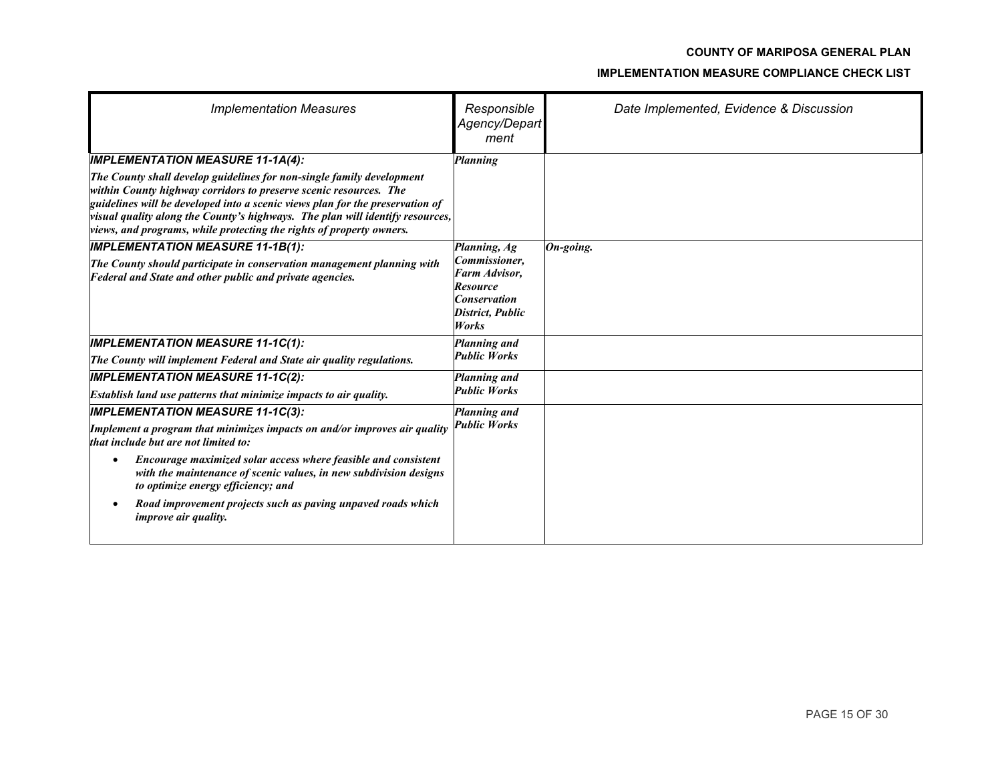| <b>Implementation Measures</b>                                                                                                                                                                                                                                                                                                                                                              | Responsible<br>Agency/Depart<br>ment                                                                  | Date Implemented, Evidence & Discussion |
|---------------------------------------------------------------------------------------------------------------------------------------------------------------------------------------------------------------------------------------------------------------------------------------------------------------------------------------------------------------------------------------------|-------------------------------------------------------------------------------------------------------|-----------------------------------------|
| <b>IMPLEMENTATION MEASURE 11-1A(4):</b>                                                                                                                                                                                                                                                                                                                                                     | <b>Planning</b>                                                                                       |                                         |
| The County shall develop guidelines for non-single family development<br>within County highway corridors to preserve scenic resources. The<br>guidelines will be developed into a scenic views plan for the preservation of<br>visual quality along the County's highways. The plan will identify resources,<br><i>views, and programs, while protecting the rights of property owners.</i> |                                                                                                       |                                         |
| <b>IMPLEMENTATION MEASURE 11-1B(1):</b>                                                                                                                                                                                                                                                                                                                                                     | Planning, Ag                                                                                          | On-going.                               |
| The County should participate in conservation management planning with<br>Federal and State and other public and private agencies.                                                                                                                                                                                                                                                          | Commissioner,<br>Farm Advisor,<br><b>Resource</b><br><b>Conservation</b><br>District, Public<br>Works |                                         |
| <b>IMPLEMENTATION MEASURE 11-1C(1):</b>                                                                                                                                                                                                                                                                                                                                                     | Planning and                                                                                          |                                         |
| The County will implement Federal and State air quality regulations.                                                                                                                                                                                                                                                                                                                        | <b>Public Works</b>                                                                                   |                                         |
| <b>IMPLEMENTATION MEASURE 11-1C(2):</b>                                                                                                                                                                                                                                                                                                                                                     | Planning and                                                                                          |                                         |
| Establish land use patterns that minimize impacts to air quality.                                                                                                                                                                                                                                                                                                                           | <b>Public Works</b>                                                                                   |                                         |
| <b>IMPLEMENTATION MEASURE 11-1C(3):</b>                                                                                                                                                                                                                                                                                                                                                     | Planning and                                                                                          |                                         |
| Implement a program that minimizes impacts on and/or improves air quality<br>that include but are not limited to:                                                                                                                                                                                                                                                                           | <b>Public Works</b>                                                                                   |                                         |
| Encourage maximized solar access where feasible and consistent<br>with the maintenance of scenic values, in new subdivision designs<br>to optimize energy efficiency; and                                                                                                                                                                                                                   |                                                                                                       |                                         |
| Road improvement projects such as paving unpaved roads which<br><i>improve air quality.</i>                                                                                                                                                                                                                                                                                                 |                                                                                                       |                                         |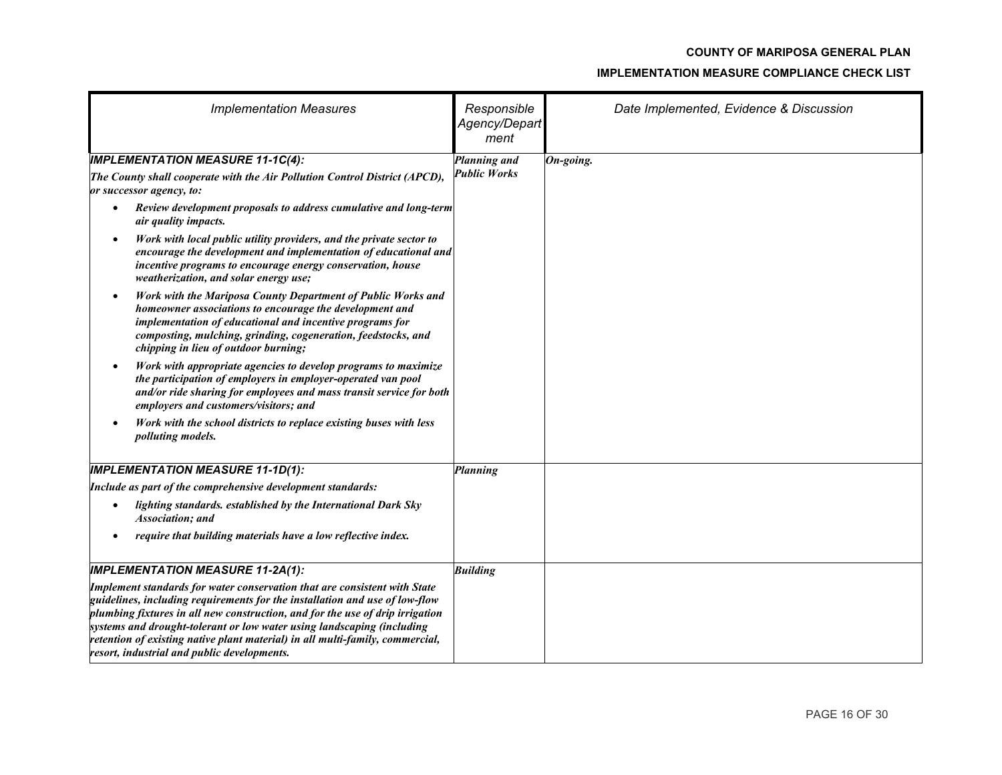| <b>Implementation Measures</b>                                                                                                                                                                                                                                                                                                                                                                                                                      | Responsible<br>Agency/Depart<br>ment | Date Implemented, Evidence & Discussion |  |
|-----------------------------------------------------------------------------------------------------------------------------------------------------------------------------------------------------------------------------------------------------------------------------------------------------------------------------------------------------------------------------------------------------------------------------------------------------|--------------------------------------|-----------------------------------------|--|
| <b>IMPLEMENTATION MEASURE 11-1C(4):</b>                                                                                                                                                                                                                                                                                                                                                                                                             | Planning and                         | On-going.                               |  |
| The County shall cooperate with the Air Pollution Control District (APCD),<br>or successor agency, to:                                                                                                                                                                                                                                                                                                                                              | <b>Public Works</b>                  |                                         |  |
| Review development proposals to address cumulative and long-term<br>$\bullet$<br>air quality impacts.                                                                                                                                                                                                                                                                                                                                               |                                      |                                         |  |
| Work with local public utility providers, and the private sector to<br>$\bullet$<br>encourage the development and implementation of educational and<br>incentive programs to encourage energy conservation, house<br>weatherization, and solar energy use;                                                                                                                                                                                          |                                      |                                         |  |
| Work with the Mariposa County Department of Public Works and<br>$\bullet$<br>homeowner associations to encourage the development and<br>implementation of educational and incentive programs for<br>composting, mulching, grinding, cogeneration, feedstocks, and<br>chipping in lieu of outdoor burning;                                                                                                                                           |                                      |                                         |  |
| Work with appropriate agencies to develop programs to maximize<br>the participation of employers in employer-operated van pool<br>and/or ride sharing for employees and mass transit service for both<br>employers and customers/visitors; and                                                                                                                                                                                                      |                                      |                                         |  |
| Work with the school districts to replace existing buses with less<br><i>polluting models.</i>                                                                                                                                                                                                                                                                                                                                                      |                                      |                                         |  |
| <b>IMPLEMENTATION MEASURE 11-1D(1):</b>                                                                                                                                                                                                                                                                                                                                                                                                             | <b>Planning</b>                      |                                         |  |
| Include as part of the comprehensive development standards:                                                                                                                                                                                                                                                                                                                                                                                         |                                      |                                         |  |
| lighting standards. established by the International Dark Sky<br>Association; and                                                                                                                                                                                                                                                                                                                                                                   |                                      |                                         |  |
| require that building materials have a low reflective index.                                                                                                                                                                                                                                                                                                                                                                                        |                                      |                                         |  |
| <b>IMPLEMENTATION MEASURE 11-2A(1):</b>                                                                                                                                                                                                                                                                                                                                                                                                             | <b>Building</b>                      |                                         |  |
| Implement standards for water conservation that are consistent with State<br>guidelines, including requirements for the installation and use of low-flow<br>plumbing fixtures in all new construction, and for the use of drip irrigation<br>systems and drought-tolerant or low water using landscaping (including<br>retention of existing native plant material) in all multi-family, commercial,<br>resort, industrial and public developments. |                                      |                                         |  |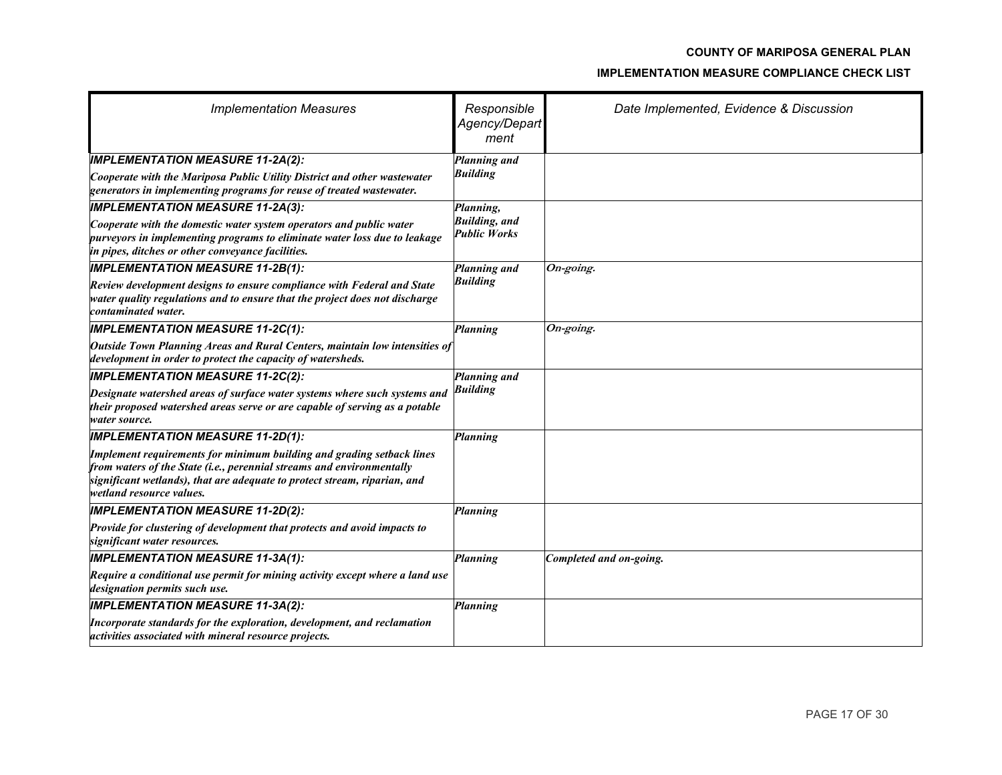| <b>Implementation Measures</b>                                                                                                                                                                                                                          | Responsible<br>Agency/Depart<br>ment         | Date Implemented, Evidence & Discussion |
|---------------------------------------------------------------------------------------------------------------------------------------------------------------------------------------------------------------------------------------------------------|----------------------------------------------|-----------------------------------------|
| <b>IMPLEMENTATION MEASURE 11-2A(2):</b>                                                                                                                                                                                                                 | Planning and                                 |                                         |
| Cooperate with the Mariposa Public Utility District and other wastewater<br>generators in implementing programs for reuse of treated wastewater.                                                                                                        | <b>Building</b>                              |                                         |
| <b>IMPLEMENTATION MEASURE 11-2A(3):</b>                                                                                                                                                                                                                 | Planning,                                    |                                         |
| Cooperate with the domestic water system operators and public water<br>purveyors in implementing programs to eliminate water loss due to leakage<br>in pipes, ditches or other conveyance facilities.                                                   | <b>Building</b> , and<br><b>Public Works</b> |                                         |
| <b>IMPLEMENTATION MEASURE 11-2B(1):</b>                                                                                                                                                                                                                 | Planning and                                 | $On\text{-going}.$                      |
| Review development designs to ensure compliance with Federal and State<br>water quality regulations and to ensure that the project does not discharge<br>contaminated water.                                                                            | <b>Building</b>                              |                                         |
| <b>IMPLEMENTATION MEASURE 11-2C(1):</b>                                                                                                                                                                                                                 | <b>Planning</b>                              | On-going.                               |
| Outside Town Planning Areas and Rural Centers, maintain low intensities of<br>development in order to protect the capacity of watersheds.                                                                                                               |                                              |                                         |
| <b>IMPLEMENTATION MEASURE 11-2C(2):</b>                                                                                                                                                                                                                 | Planning and                                 |                                         |
| Designate watershed areas of surface water systems where such systems and<br>their proposed watershed areas serve or are capable of serving as a potable<br>water source.                                                                               | <b>Building</b>                              |                                         |
| <b>IMPLEMENTATION MEASURE 11-2D(1):</b>                                                                                                                                                                                                                 | Planning                                     |                                         |
| Implement requirements for minimum building and grading setback lines<br>from waters of the State (i.e., perennial streams and environmentally<br>significant wetlands), that are adequate to protect stream, riparian, and<br>wetland resource values. |                                              |                                         |
| <b>IMPLEMENTATION MEASURE 11-2D(2):</b>                                                                                                                                                                                                                 | <b>Planning</b>                              |                                         |
| Provide for clustering of development that protects and avoid impacts to<br>significant water resources.                                                                                                                                                |                                              |                                         |
| <b>IMPLEMENTATION MEASURE 11-3A(1):</b>                                                                                                                                                                                                                 | Planning                                     | Completed and on-going.                 |
| Require a conditional use permit for mining activity except where a land use<br>designation permits such use.                                                                                                                                           |                                              |                                         |
| <b>IMPLEMENTATION MEASURE 11-3A(2):</b>                                                                                                                                                                                                                 | Planning                                     |                                         |
| Incorporate standards for the exploration, development, and reclamation<br>activities associated with mineral resource projects.                                                                                                                        |                                              |                                         |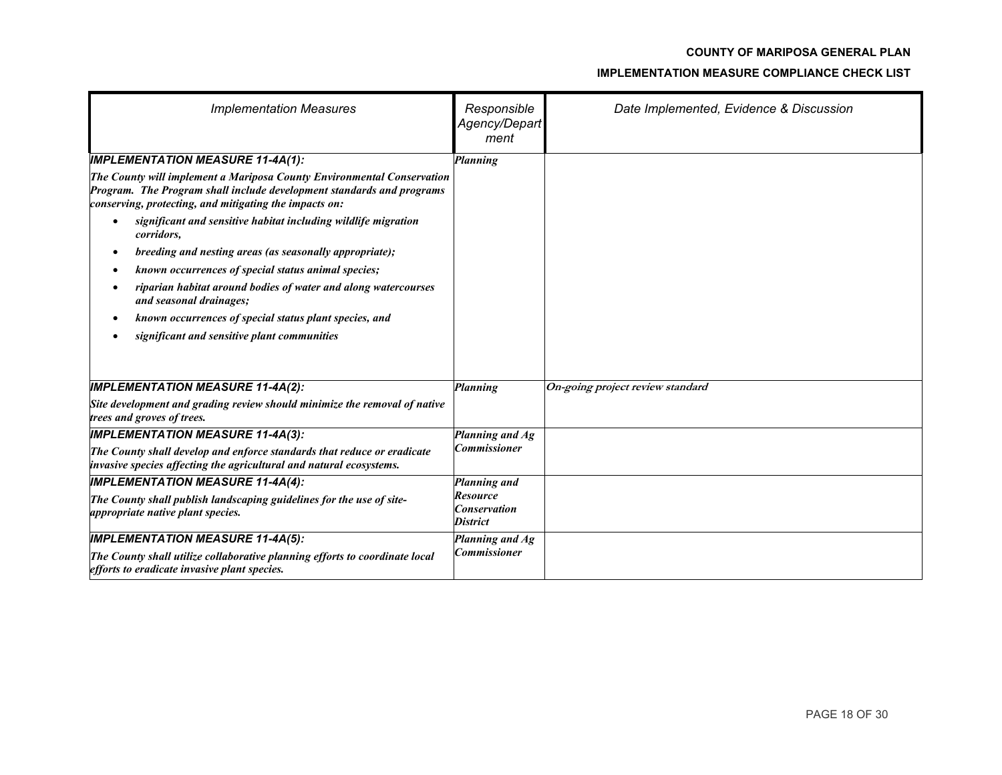| <b>Implementation Measures</b>                                                                                                                                                                            | Responsible<br>Agency/Depart<br>ment                      | Date Implemented, Evidence & Discussion |
|-----------------------------------------------------------------------------------------------------------------------------------------------------------------------------------------------------------|-----------------------------------------------------------|-----------------------------------------|
| <b>IMPLEMENTATION MEASURE 11-4A(1):</b>                                                                                                                                                                   | Planning                                                  |                                         |
| The County will implement a Mariposa County Environmental Conservation<br>Program. The Program shall include development standards and programs<br>conserving, protecting, and mitigating the impacts on: |                                                           |                                         |
| significant and sensitive habitat including wildlife migration<br>corridors,                                                                                                                              |                                                           |                                         |
| breeding and nesting areas (as seasonally appropriate);<br>$\bullet$                                                                                                                                      |                                                           |                                         |
| known occurrences of special status animal species;                                                                                                                                                       |                                                           |                                         |
| riparian habitat around bodies of water and along watercourses<br>and seasonal drainages;                                                                                                                 |                                                           |                                         |
| known occurrences of special status plant species, and                                                                                                                                                    |                                                           |                                         |
| significant and sensitive plant communities                                                                                                                                                               |                                                           |                                         |
|                                                                                                                                                                                                           |                                                           |                                         |
| <b>IMPLEMENTATION MEASURE 11-4A(2):</b>                                                                                                                                                                   | Planning                                                  | On-going project review standard        |
| Site development and grading review should minimize the removal of native<br>trees and groves of trees.                                                                                                   |                                                           |                                         |
| <b>IMPLEMENTATION MEASURE 11-4A(3):</b>                                                                                                                                                                   | Planning and Ag                                           |                                         |
| The County shall develop and enforce standards that reduce or eradicate<br>invasive species affecting the agricultural and natural ecosystems.                                                            | <b>Commissioner</b>                                       |                                         |
| <b>IMPLEMENTATION MEASURE 11-4A(4):</b>                                                                                                                                                                   | Planning and                                              |                                         |
| The County shall publish landscaping guidelines for the use of site-<br>appropriate native plant species.                                                                                                 | <b>Resource</b><br><b>Conservation</b><br><b>District</b> |                                         |
| <b>IMPLEMENTATION MEASURE 11-4A(5):</b>                                                                                                                                                                   | Planning and Ag                                           |                                         |
| The County shall utilize collaborative planning efforts to coordinate local<br>efforts to eradicate invasive plant species.                                                                               | <b>Commissioner</b>                                       |                                         |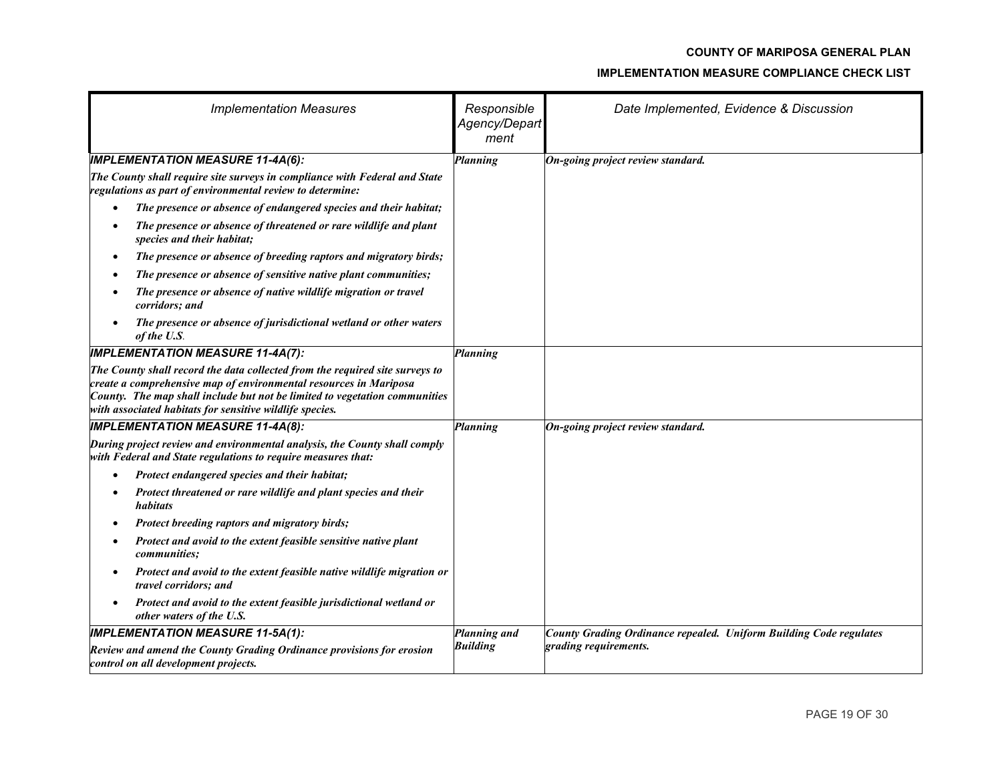| <b>Implementation Measures</b>                                                                                                                                                                                                                                                              | Responsible<br>Agency/Depart<br>ment | Date Implemented, Evidence & Discussion                            |
|---------------------------------------------------------------------------------------------------------------------------------------------------------------------------------------------------------------------------------------------------------------------------------------------|--------------------------------------|--------------------------------------------------------------------|
| <b>IMPLEMENTATION MEASURE 11-4A(6):</b>                                                                                                                                                                                                                                                     | Planning                             | On-going project review standard.                                  |
| The County shall require site surveys in compliance with Federal and State<br>regulations as part of environmental review to determine:                                                                                                                                                     |                                      |                                                                    |
| The presence or absence of endangered species and their habitat;<br>$\bullet$                                                                                                                                                                                                               |                                      |                                                                    |
| The presence or absence of threatened or rare wildlife and plant<br>$\bullet$<br>species and their habitat;                                                                                                                                                                                 |                                      |                                                                    |
| The presence or absence of breeding raptors and migratory birds;<br>$\bullet$                                                                                                                                                                                                               |                                      |                                                                    |
| The presence or absence of sensitive native plant communities;<br>$\bullet$                                                                                                                                                                                                                 |                                      |                                                                    |
| The presence or absence of native wildlife migration or travel<br>corridors; and                                                                                                                                                                                                            |                                      |                                                                    |
| The presence or absence of jurisdictional wetland or other waters<br>$\bullet$<br>of the U.S.                                                                                                                                                                                               |                                      |                                                                    |
| <b>IMPLEMENTATION MEASURE 11-4A(7):</b>                                                                                                                                                                                                                                                     | <b>Planning</b>                      |                                                                    |
| The County shall record the data collected from the required site surveys to<br>create a comprehensive map of environmental resources in Mariposa<br>County. The map shall include but not be limited to vegetation communities<br>with associated habitats for sensitive wildlife species. |                                      |                                                                    |
| <b>IMPLEMENTATION MEASURE 11-4A(8):</b>                                                                                                                                                                                                                                                     | <b>Planning</b>                      | On-going project review standard.                                  |
| During project review and environmental analysis, the County shall comply<br>with Federal and State regulations to require measures that:                                                                                                                                                   |                                      |                                                                    |
| Protect endangered species and their habitat;                                                                                                                                                                                                                                               |                                      |                                                                    |
| Protect threatened or rare wildlife and plant species and their<br>٠<br>habitats                                                                                                                                                                                                            |                                      |                                                                    |
| Protect breeding raptors and migratory birds;<br>$\bullet$                                                                                                                                                                                                                                  |                                      |                                                                    |
| Protect and avoid to the extent feasible sensitive native plant<br>٠<br><i>communities:</i>                                                                                                                                                                                                 |                                      |                                                                    |
| Protect and avoid to the extent feasible native wildlife migration or<br>٠<br>travel corridors; and                                                                                                                                                                                         |                                      |                                                                    |
| Protect and avoid to the extent feasible jurisdictional wetland or<br>$\bullet$<br>other waters of the U.S.                                                                                                                                                                                 |                                      |                                                                    |
| <b>IMPLEMENTATION MEASURE 11-5A(1):</b>                                                                                                                                                                                                                                                     | Planning and                         | County Grading Ordinance repealed. Uniform Building Code regulates |
| Review and amend the County Grading Ordinance provisions for erosion<br>control on all development projects.                                                                                                                                                                                | <b>Building</b>                      | grading requirements.                                              |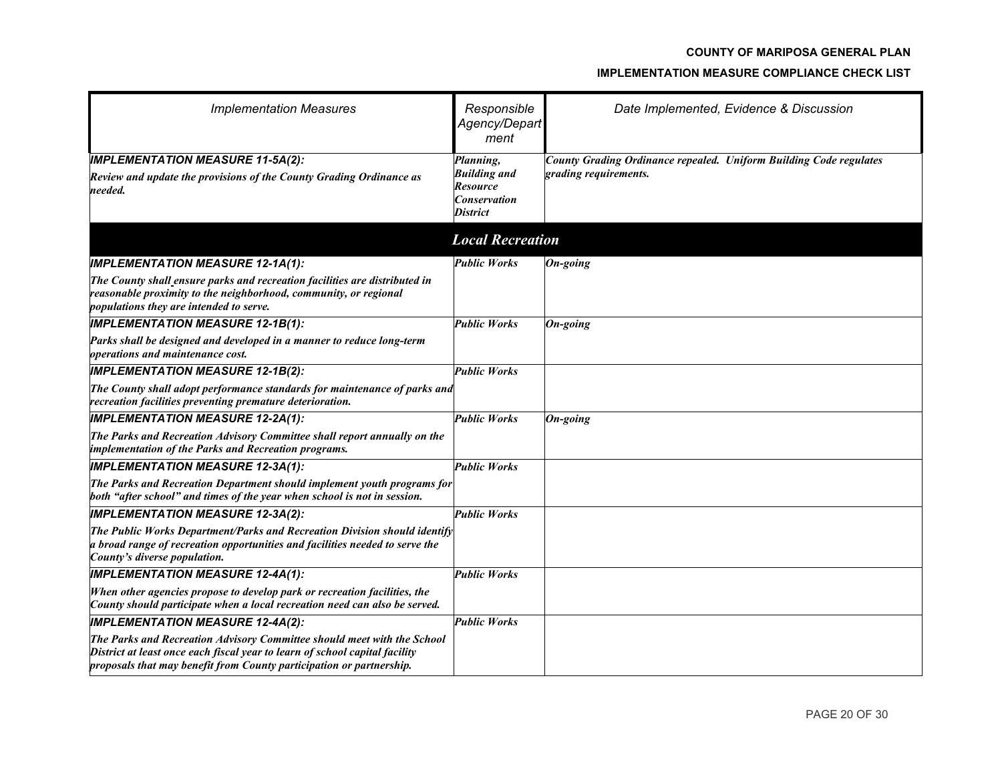| <b>Implementation Measures</b>                                                                                                                                                                                                 | Responsible<br>Agency/Depart<br>ment                                                   | Date Implemented, Evidence & Discussion                                                     |
|--------------------------------------------------------------------------------------------------------------------------------------------------------------------------------------------------------------------------------|----------------------------------------------------------------------------------------|---------------------------------------------------------------------------------------------|
| <b>IMPLEMENTATION MEASURE 11-5A(2):</b><br>Review and update the provisions of the County Grading Ordinance as<br>needed.                                                                                                      | Planning,<br><b>Building and</b><br><b>Resource</b><br><b>Conservation</b><br>District | County Grading Ordinance repealed. Uniform Building Code regulates<br>grading requirements. |
|                                                                                                                                                                                                                                | <b>Local Recreation</b>                                                                |                                                                                             |
| <b>IMPLEMENTATION MEASURE 12-1A(1):</b>                                                                                                                                                                                        | <b>Public Works</b>                                                                    | $On-going$                                                                                  |
| The County shall ensure parks and recreation facilities are distributed in<br>reasonable proximity to the neighborhood, community, or regional<br>populations they are intended to serve.                                      |                                                                                        |                                                                                             |
| <b>IMPLEMENTATION MEASURE 12-1B(1):</b>                                                                                                                                                                                        | <b>Public Works</b>                                                                    | $On-going$                                                                                  |
| Parks shall be designed and developed in a manner to reduce long-term<br><i>operations and maintenance cost.</i>                                                                                                               |                                                                                        |                                                                                             |
| <b>IMPLEMENTATION MEASURE 12-1B(2):</b>                                                                                                                                                                                        | <b>Public Works</b>                                                                    |                                                                                             |
| The County shall adopt performance standards for maintenance of parks and<br>recreation facilities preventing premature deterioration.                                                                                         |                                                                                        |                                                                                             |
| <b>IMPLEMENTATION MEASURE 12-2A(1):</b>                                                                                                                                                                                        | <b>Public Works</b>                                                                    | $On-going$                                                                                  |
| The Parks and Recreation Advisory Committee shall report annually on the<br>implementation of the Parks and Recreation programs.                                                                                               |                                                                                        |                                                                                             |
| <b>IMPLEMENTATION MEASURE 12-3A(1):</b>                                                                                                                                                                                        | <b>Public Works</b>                                                                    |                                                                                             |
| The Parks and Recreation Department should implement youth programs for<br>both "after school" and times of the year when school is not in session.                                                                            |                                                                                        |                                                                                             |
| <b>IMPLEMENTATION MEASURE 12-3A(2):</b>                                                                                                                                                                                        | <b>Public Works</b>                                                                    |                                                                                             |
| The Public Works Department/Parks and Recreation Division should identify<br>a broad range of recreation opportunities and facilities needed to serve the<br>County's diverse population.                                      |                                                                                        |                                                                                             |
| <b>IMPLEMENTATION MEASURE 12-4A(1):</b>                                                                                                                                                                                        | <b>Public Works</b>                                                                    |                                                                                             |
| When other agencies propose to develop park or recreation facilities, the<br>County should participate when a local recreation need can also be served.                                                                        |                                                                                        |                                                                                             |
| <b>IMPLEMENTATION MEASURE 12-4A(2):</b>                                                                                                                                                                                        | <b>Public Works</b>                                                                    |                                                                                             |
| The Parks and Recreation Advisory Committee should meet with the School<br>District at least once each fiscal year to learn of school capital facility<br>proposals that may benefit from County participation or partnership. |                                                                                        |                                                                                             |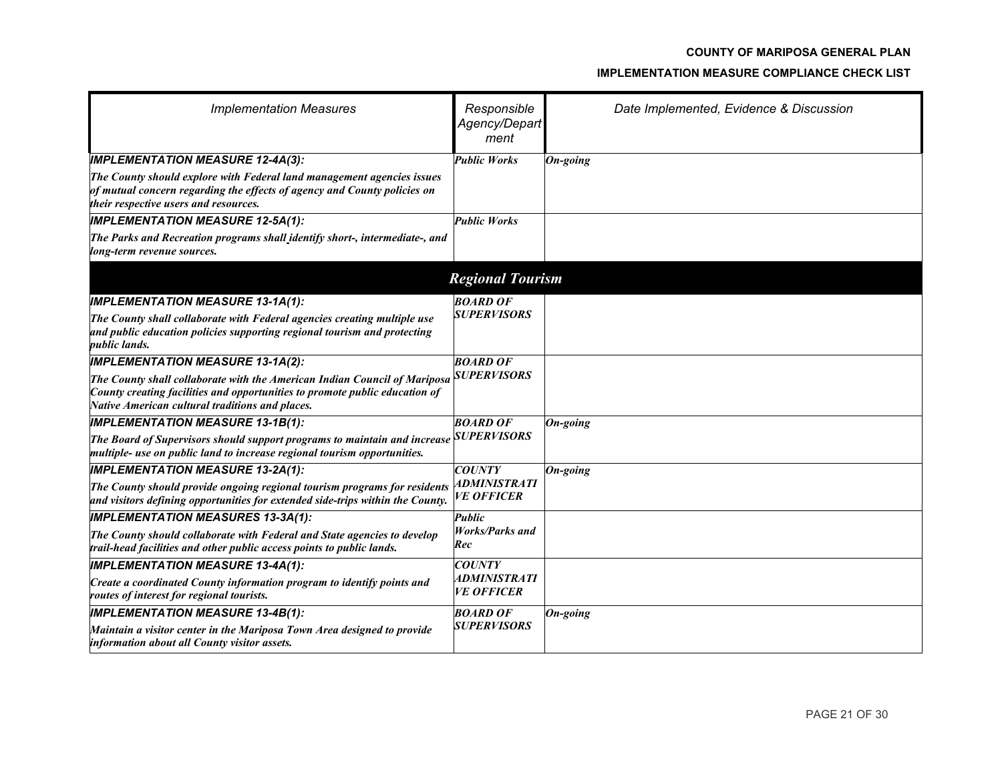| <b>Implementation Measures</b>                                                                                                                                                                              | Responsible<br>Agency/Depart<br>ment            | Date Implemented, Evidence & Discussion |
|-------------------------------------------------------------------------------------------------------------------------------------------------------------------------------------------------------------|-------------------------------------------------|-----------------------------------------|
| <b>IMPLEMENTATION MEASURE 12-4A(3):</b>                                                                                                                                                                     | <b>Public Works</b>                             | On-going                                |
| The County should explore with Federal land management agencies issues<br>of mutual concern regarding the effects of agency and County policies on<br>their respective users and resources.                 |                                                 |                                         |
| <b>IMPLEMENTATION MEASURE 12-5A(1):</b>                                                                                                                                                                     | <b>Public Works</b>                             |                                         |
| The Parks and Recreation programs shall identify short-, intermediate-, and<br>long-term revenue sources.                                                                                                   |                                                 |                                         |
|                                                                                                                                                                                                             | <b>Regional Tourism</b>                         |                                         |
| <b>IMPLEMENTATION MEASURE 13-1A(1):</b>                                                                                                                                                                     | <b>BOARD OF</b>                                 |                                         |
| The County shall collaborate with Federal agencies creating multiple use<br>and public education policies supporting regional tourism and protecting<br><i>public lands.</i>                                | <b>SUPERVISORS</b>                              |                                         |
| <b>IMPLEMENTATION MEASURE 13-1A(2):</b>                                                                                                                                                                     | <b>BOARD OF</b>                                 |                                         |
| The County shall collaborate with the American Indian Council of Mariposa<br>County creating facilities and opportunities to promote public education of<br>Native American cultural traditions and places. | <b>SUPERVISORS</b>                              |                                         |
| <b>IMPLEMENTATION MEASURE 13-1B(1):</b>                                                                                                                                                                     | <b>BOARD OF</b>                                 | On-going                                |
| The Board of Supervisors should support programs to maintain and increase<br>multiple- use on public land to increase regional tourism opportunities.                                                       | <b>SUPERVISORS</b>                              |                                         |
| <b>IMPLEMENTATION MEASURE 13-2A(1):</b>                                                                                                                                                                     | <b>COUNTY</b>                                   | On-going                                |
| The County should provide ongoing regional tourism programs for residents<br>and visitors defining opportunities for extended side-trips within the County.                                                 | ADMINISTRATI<br><b>VE OFFICER</b>               |                                         |
| <b>IMPLEMENTATION MEASURES 13-3A(1):</b>                                                                                                                                                                    | Public                                          |                                         |
| The County should collaborate with Federal and State agencies to develop<br>trail-head facilities and other public access points to public lands.                                                           | <b>Works/Parks and</b><br>Rec                   |                                         |
| <b>IMPLEMENTATION MEASURE 13-4A(1):</b>                                                                                                                                                                     | <b>COUNTY</b>                                   |                                         |
| Create a coordinated County information program to identify points and<br>routes of interest for regional tourists.                                                                                         | <i><b>ADMINISTRATI</b></i><br><b>VE OFFICER</b> |                                         |
| <b>IMPLEMENTATION MEASURE 13-4B(1):</b>                                                                                                                                                                     | <b>BOARD OF</b>                                 | On-going                                |
| Maintain a visitor center in the Mariposa Town Area designed to provide<br>information about all County visitor assets.                                                                                     | <b>SUPERVISORS</b>                              |                                         |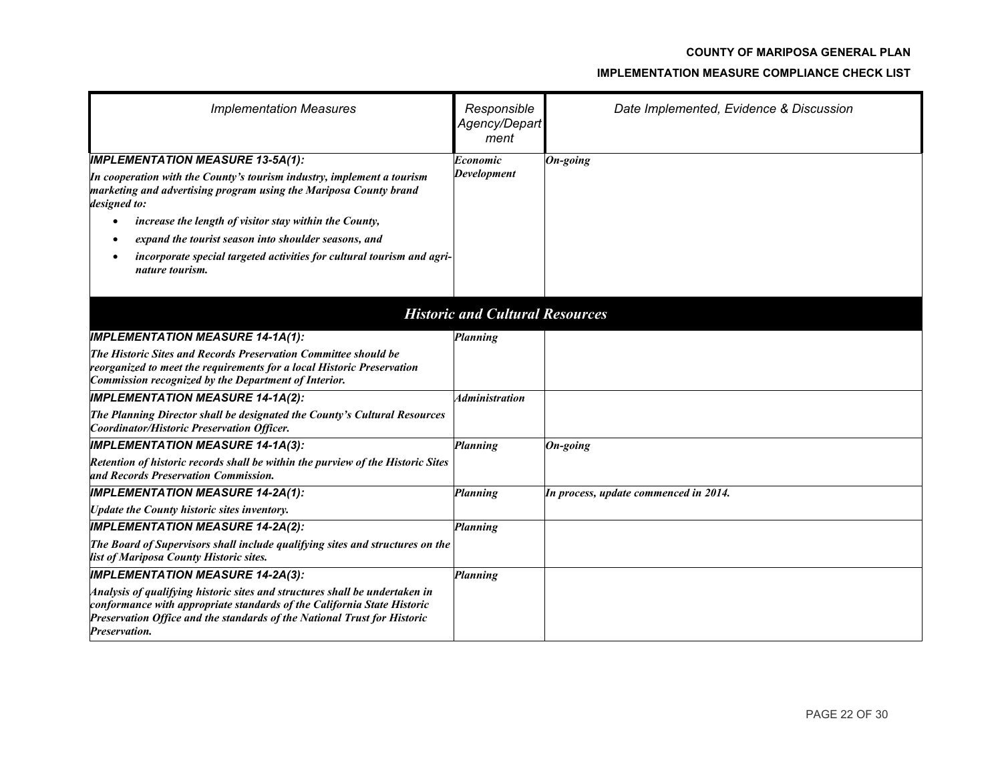| <b>Implementation Measures</b>                                                                                                                                                                                                                      | Responsible<br>Agency/Depart<br>ment   | Date Implemented, Evidence & Discussion |
|-----------------------------------------------------------------------------------------------------------------------------------------------------------------------------------------------------------------------------------------------------|----------------------------------------|-----------------------------------------|
| <b>IMPLEMENTATION MEASURE 13-5A(1):</b>                                                                                                                                                                                                             | Economic                               | On-going                                |
| In cooperation with the County's tourism industry, implement a tourism<br>marketing and advertising program using the Mariposa County brand<br>designed to:                                                                                         | <b>Development</b>                     |                                         |
| increase the length of visitor stay within the County,<br>$\bullet$                                                                                                                                                                                 |                                        |                                         |
| expand the tourist season into shoulder seasons, and                                                                                                                                                                                                |                                        |                                         |
| incorporate special targeted activities for cultural tourism and agri-<br>nature tourism.                                                                                                                                                           |                                        |                                         |
|                                                                                                                                                                                                                                                     |                                        |                                         |
|                                                                                                                                                                                                                                                     | <b>Historic and Cultural Resources</b> |                                         |
| <b>IMPLEMENTATION MEASURE 14-1A(1):</b>                                                                                                                                                                                                             | Planning                               |                                         |
| The Historic Sites and Records Preservation Committee should be                                                                                                                                                                                     |                                        |                                         |
| reorganized to meet the requirements for a local Historic Preservation<br>Commission recognized by the Department of Interior.                                                                                                                      |                                        |                                         |
| <b>IMPLEMENTATION MEASURE 14-1A(2):</b>                                                                                                                                                                                                             | <i><b>Administration</b></i>           |                                         |
| The Planning Director shall be designated the County's Cultural Resources<br>Coordinator/Historic Preservation Officer.                                                                                                                             |                                        |                                         |
| <b>IMPLEMENTATION MEASURE 14-1A(3):</b>                                                                                                                                                                                                             | Planning                               | $On\text{-}going$                       |
| Retention of historic records shall be within the purview of the Historic Sites<br>and Records Preservation Commission.                                                                                                                             |                                        |                                         |
| <b>IMPLEMENTATION MEASURE 14-2A(1):</b>                                                                                                                                                                                                             | <b>Planning</b>                        | In process, update commenced in 2014.   |
| Update the County historic sites inventory.                                                                                                                                                                                                         |                                        |                                         |
| <b>IMPLEMENTATION MEASURE 14-2A(2):</b>                                                                                                                                                                                                             | Planning                               |                                         |
| The Board of Supervisors shall include qualifying sites and structures on the<br>list of Mariposa County Historic sites.                                                                                                                            |                                        |                                         |
| <b>IMPLEMENTATION MEASURE 14-2A(3):</b>                                                                                                                                                                                                             | Planning                               |                                         |
| Analysis of qualifying historic sites and structures shall be undertaken in<br>conformance with appropriate standards of the California State Historic<br>Preservation Office and the standards of the National Trust for Historic<br>Preservation. |                                        |                                         |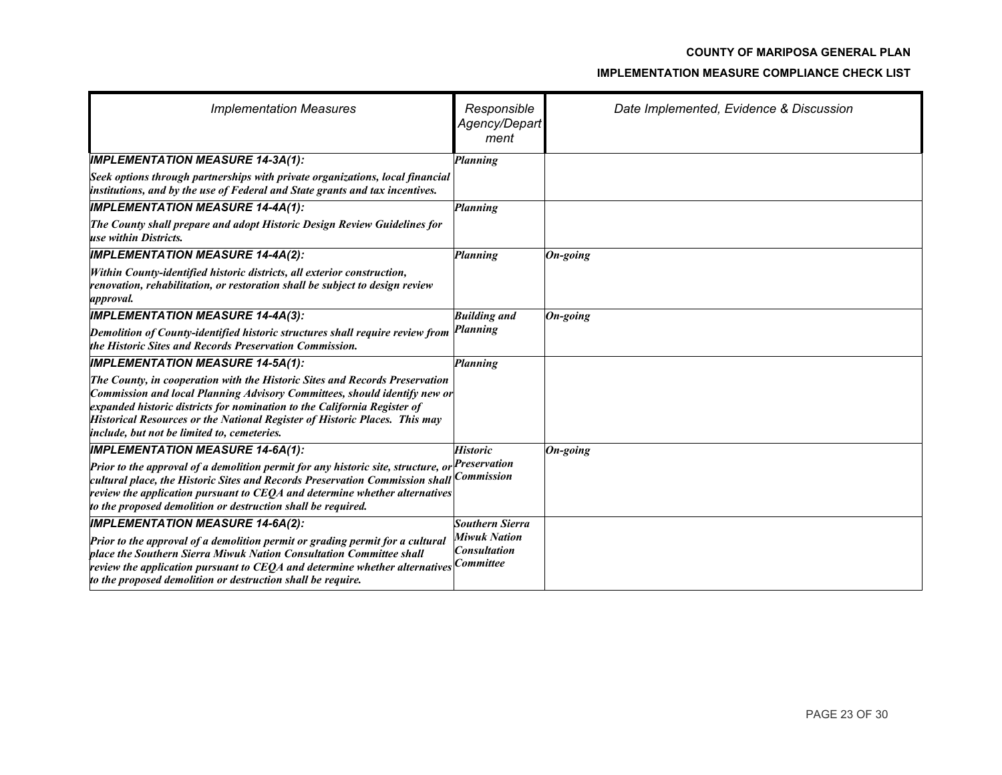| <b>Implementation Measures</b>                                                                                                                                                                                                                                                                                                                                           | Responsible<br>Agency/Depart<br>ment       | Date Implemented, Evidence & Discussion |
|--------------------------------------------------------------------------------------------------------------------------------------------------------------------------------------------------------------------------------------------------------------------------------------------------------------------------------------------------------------------------|--------------------------------------------|-----------------------------------------|
| <b>IMPLEMENTATION MEASURE 14-3A(1):</b>                                                                                                                                                                                                                                                                                                                                  | <b>Planning</b>                            |                                         |
| Seek options through partnerships with private organizations, local financial<br>institutions, and by the use of Federal and State grants and tax incentives.                                                                                                                                                                                                            |                                            |                                         |
| <b>IMPLEMENTATION MEASURE 14-4A(1):</b>                                                                                                                                                                                                                                                                                                                                  | <b>Planning</b>                            |                                         |
| The County shall prepare and adopt Historic Design Review Guidelines for<br>use within Districts.                                                                                                                                                                                                                                                                        |                                            |                                         |
| <b>IMPLEMENTATION MEASURE 14-4A(2):</b>                                                                                                                                                                                                                                                                                                                                  | Planning                                   | On-going                                |
| Within County-identified historic districts, all exterior construction,<br>renovation, rehabilitation, or restoration shall be subject to design review<br><i>approval.</i>                                                                                                                                                                                              |                                            |                                         |
| <b>IMPLEMENTATION MEASURE 14-4A(3):</b>                                                                                                                                                                                                                                                                                                                                  | <b>Building and</b>                        | On-going                                |
| Demolition of County-identified historic structures shall require review from<br>the Historic Sites and Records Preservation Commission.                                                                                                                                                                                                                                 | Planning                                   |                                         |
| <b>IMPLEMENTATION MEASURE 14-5A(1):</b>                                                                                                                                                                                                                                                                                                                                  | Planning                                   |                                         |
| The County, in cooperation with the Historic Sites and Records Preservation<br>Commission and local Planning Advisory Committees, should identify new or<br>expanded historic districts for nomination to the California Register of<br><b>Historical Resources or the National Register of Historic Places. This may</b><br>include, but not be limited to, cemeteries. |                                            |                                         |
| <b>IMPLEMENTATION MEASURE 14-6A(1):</b>                                                                                                                                                                                                                                                                                                                                  | <b>Historic</b>                            | On-going                                |
| Prior to the approval of a demolition permit for any historic site, structure, of<br>cultural place, the Historic Sites and Records Preservation Commission shall<br>review the application pursuant to CEQA and determine whether alternatives<br>to the proposed demolition or destruction shall be required.                                                          | Preservation<br><b>Commission</b>          |                                         |
| <b>IMPLEMENTATION MEASURE 14-6A(2):</b>                                                                                                                                                                                                                                                                                                                                  | Southern Sierra                            |                                         |
| Prior to the approval of a demolition permit or grading permit for a cultural<br>place the Southern Sierra Miwuk Nation Consultation Committee shall<br>review the application pursuant to CEQA and determine whether alternatives $ Commitee $<br>to the proposed demolition or destruction shall be require.                                                           | <b>Miwuk Nation</b><br><b>Consultation</b> |                                         |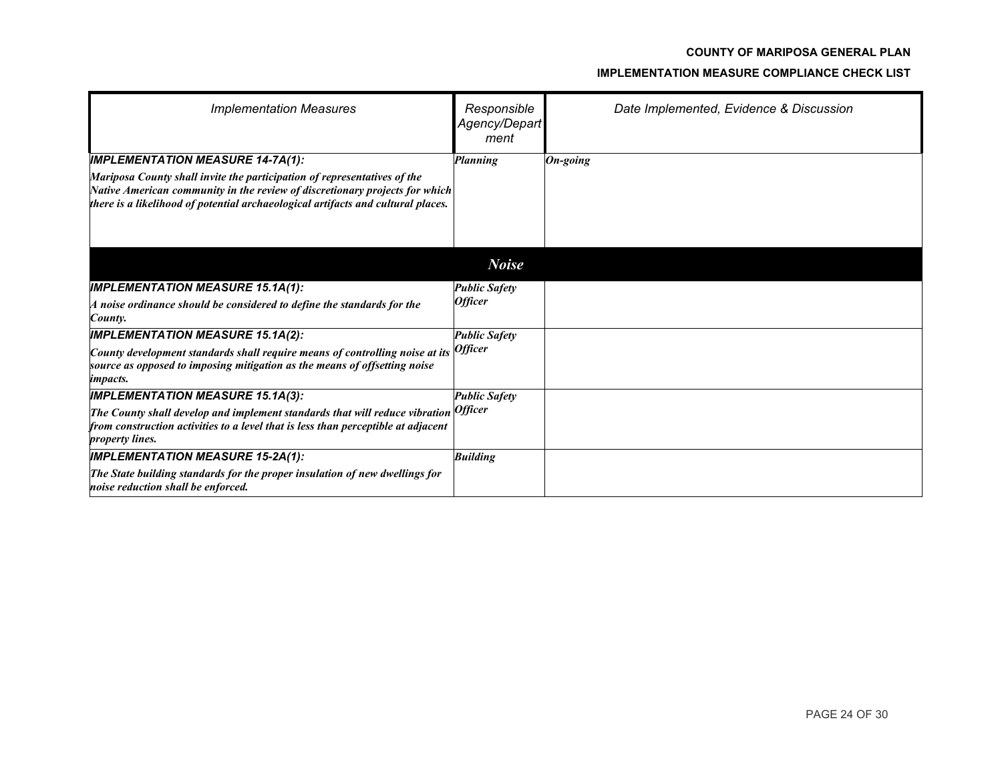| <b>Implementation Measures</b>                                                                                                                                                                                                              | Responsible<br>Agency/Depart<br>ment | Date Implemented, Evidence & Discussion |
|---------------------------------------------------------------------------------------------------------------------------------------------------------------------------------------------------------------------------------------------|--------------------------------------|-----------------------------------------|
| <b>IMPLEMENTATION MEASURE 14-7A(1):</b>                                                                                                                                                                                                     | Planning                             | $On\text{-going}$                       |
| Mariposa County shall invite the participation of representatives of the<br>Native American community in the review of discretionary projects for which<br>there is a likelihood of potential archaeological artifacts and cultural places. |                                      |                                         |
|                                                                                                                                                                                                                                             | <b>Noise</b>                         |                                         |
| <b>IMPLEMENTATION MEASURE 15.1A(1):</b>                                                                                                                                                                                                     | <b>Public Safety</b>                 |                                         |
| $A$ noise ordinance should be considered to define the standards for the<br>County.                                                                                                                                                         | <b>Officer</b>                       |                                         |
| <b>IMPLEMENTATION MEASURE 15.1A(2):</b>                                                                                                                                                                                                     | <b>Public Safety</b>                 |                                         |
| County development standards shall require means of controlling noise at its<br>source as opposed to imposing mitigation as the means of offsetting noise<br><i>impacts.</i>                                                                | <i><b>Officer</b></i>                |                                         |
| <b>IMPLEMENTATION MEASURE 15.1A(3):</b>                                                                                                                                                                                                     | <b>Public Safety</b>                 |                                         |
| The County shall develop and implement standards that will reduce vibration $ {\rm Officer} $<br>from construction activities to a level that is less than perceptible at adjacent<br><i>property lines.</i>                                |                                      |                                         |
| <b>IMPLEMENTATION MEASURE 15-2A(1):</b>                                                                                                                                                                                                     | <b>Building</b>                      |                                         |
| The State building standards for the proper insulation of new dwellings for<br>noise reduction shall be enforced.                                                                                                                           |                                      |                                         |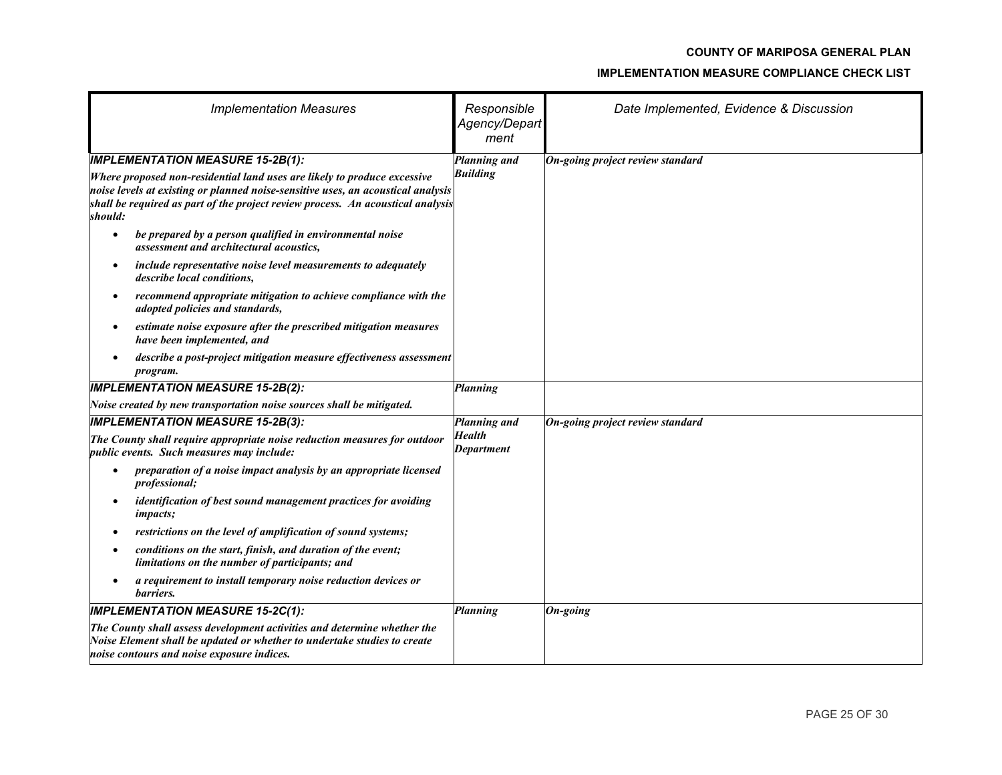| <b>Implementation Measures</b>                                                                                                                                                                                                                                                                                                                                                                                    | Responsible<br>Agency/Depart<br>ment | Date Implemented, Evidence & Discussion |
|-------------------------------------------------------------------------------------------------------------------------------------------------------------------------------------------------------------------------------------------------------------------------------------------------------------------------------------------------------------------------------------------------------------------|--------------------------------------|-----------------------------------------|
| <b>IMPLEMENTATION MEASURE 15-2B(1):</b><br>Where proposed non-residential land uses are likely to produce excessive<br>noise levels at existing or planned noise-sensitive uses, an acoustical analysis<br>shall be required as part of the project review process. An acoustical analysis<br>should:<br>be prepared by a person qualified in environmental noise<br>٠<br>assessment and architectural acoustics, | Planning and<br><b>Building</b>      | On-going project review standard        |
| include representative noise level measurements to adequately<br>$\bullet$<br>describe local conditions,<br>recommend appropriate mitigation to achieve compliance with the<br>$\bullet$<br>adopted policies and standards,                                                                                                                                                                                       |                                      |                                         |
| estimate noise exposure after the prescribed mitigation measures<br>$\bullet$<br>have been implemented, and<br>describe a post-project mitigation measure effectiveness assessment<br>program.                                                                                                                                                                                                                    |                                      |                                         |
| <b>IMPLEMENTATION MEASURE 15-2B(2):</b>                                                                                                                                                                                                                                                                                                                                                                           | Planning                             |                                         |
| Noise created by new transportation noise sources shall be mitigated.                                                                                                                                                                                                                                                                                                                                             |                                      |                                         |
| <b>IMPLEMENTATION MEASURE 15-2B(3):</b>                                                                                                                                                                                                                                                                                                                                                                           | Planning and                         | On-going project review standard        |
| The County shall require appropriate noise reduction measures for outdoor<br>public events. Such measures may include:                                                                                                                                                                                                                                                                                            | <b>Health</b><br>Department          |                                         |
| preparation of a noise impact analysis by an appropriate licensed<br>$\bullet$<br><i>professional;</i>                                                                                                                                                                                                                                                                                                            |                                      |                                         |
| identification of best sound management practices for avoiding<br>$\bullet$<br><i>impacts;</i>                                                                                                                                                                                                                                                                                                                    |                                      |                                         |
| restrictions on the level of amplification of sound systems;                                                                                                                                                                                                                                                                                                                                                      |                                      |                                         |
| conditions on the start, finish, and duration of the event;<br>limitations on the number of participants; and                                                                                                                                                                                                                                                                                                     |                                      |                                         |
| a requirement to install temporary noise reduction devices or<br>barriers.                                                                                                                                                                                                                                                                                                                                        |                                      |                                         |
| <b>IMPLEMENTATION MEASURE 15-2C(1):</b>                                                                                                                                                                                                                                                                                                                                                                           | <b>Planning</b>                      | On-going                                |
| The County shall assess development activities and determine whether the<br>Noise Element shall be updated or whether to undertake studies to create<br>noise contours and noise exposure indices.                                                                                                                                                                                                                |                                      |                                         |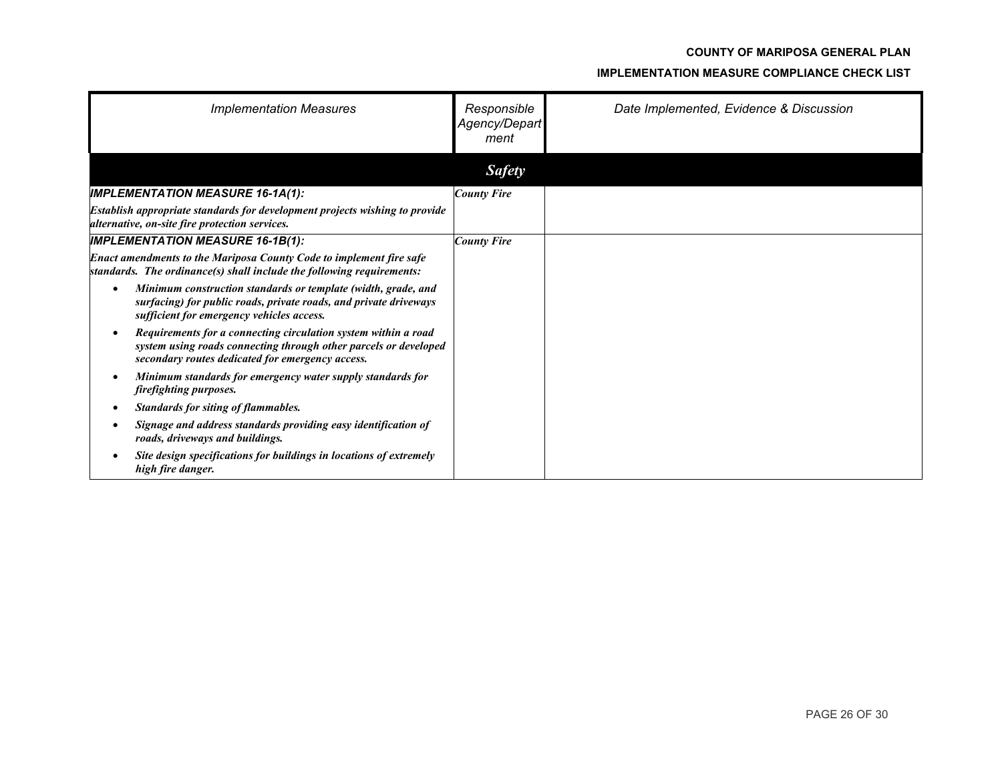| <b>Implementation Measures</b>                                                                                                                                                               | Responsible<br>Agency/Depart<br>ment | Date Implemented, Evidence & Discussion |
|----------------------------------------------------------------------------------------------------------------------------------------------------------------------------------------------|--------------------------------------|-----------------------------------------|
|                                                                                                                                                                                              | <b>Safety</b>                        |                                         |
| <b>IMPLEMENTATION MEASURE 16-1A(1):</b>                                                                                                                                                      | <b>County Fire</b>                   |                                         |
| Establish appropriate standards for development projects wishing to provide<br>alternative, on-site fire protection services.                                                                |                                      |                                         |
| <b>IMPLEMENTATION MEASURE 16-1B(1):</b>                                                                                                                                                      | <b>County Fire</b>                   |                                         |
| Enact amendments to the Mariposa County Code to implement fire safe<br>standards. The ordinance(s) shall include the following requirements:                                                 |                                      |                                         |
| Minimum construction standards or template (width, grade, and<br>$\bullet$<br>surfacing) for public roads, private roads, and private driveways<br>sufficient for emergency vehicles access. |                                      |                                         |
| Requirements for a connecting circulation system within a road<br>٠<br>system using roads connecting through other parcels or developed<br>secondary routes dedicated for emergency access.  |                                      |                                         |
| Minimum standards for emergency water supply standards for<br>$\bullet$<br>firefighting purposes.                                                                                            |                                      |                                         |
| <b>Standards for siting of flammables.</b><br>$\bullet$                                                                                                                                      |                                      |                                         |
| Signage and address standards providing easy identification of<br>roads, driveways and buildings.                                                                                            |                                      |                                         |
| Site design specifications for buildings in locations of extremely<br>high fire danger.                                                                                                      |                                      |                                         |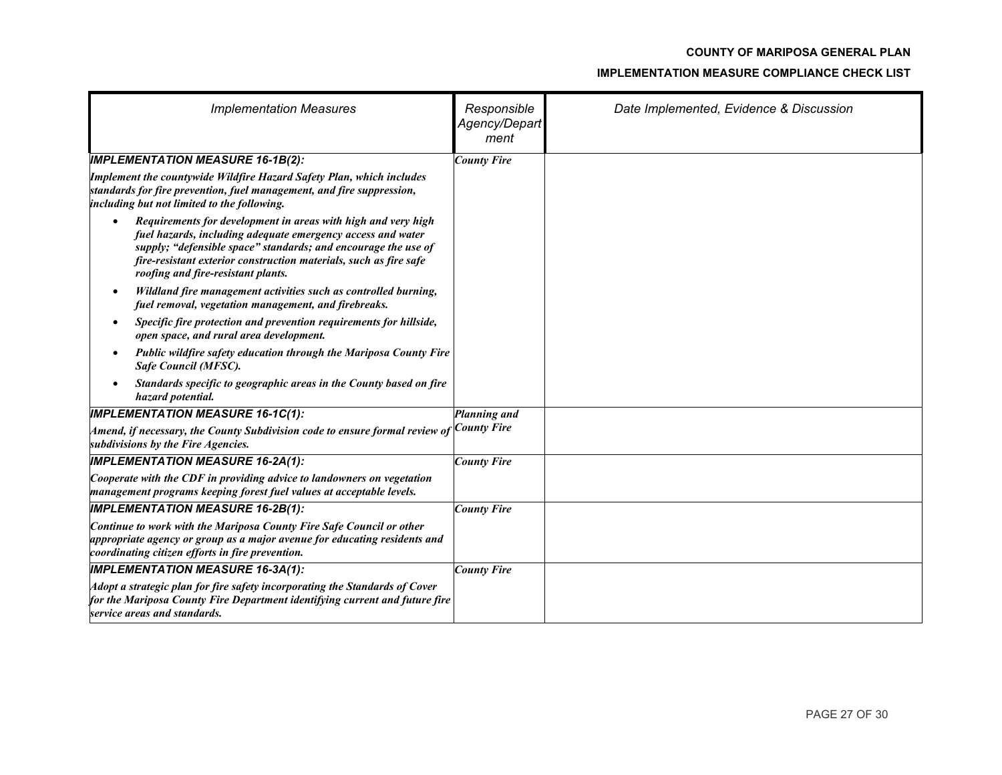| <b>Implementation Measures</b>                                                                                                                                                                                                                                                                                         | Responsible<br>Agency/Depart<br>ment | Date Implemented, Evidence & Discussion |
|------------------------------------------------------------------------------------------------------------------------------------------------------------------------------------------------------------------------------------------------------------------------------------------------------------------------|--------------------------------------|-----------------------------------------|
| <b>IMPLEMENTATION MEASURE 16-1B(2):</b>                                                                                                                                                                                                                                                                                | <b>County Fire</b>                   |                                         |
| Implement the countywide Wildfire Hazard Safety Plan, which includes<br>standards for fire prevention, fuel management, and fire suppression,<br>including but not limited to the following.                                                                                                                           |                                      |                                         |
| Requirements for development in areas with high and very high<br>$\bullet$<br>fuel hazards, including adequate emergency access and water<br>supply; "defensible space" standards; and encourage the use of<br>fire-resistant exterior construction materials, such as fire safe<br>roofing and fire-resistant plants. |                                      |                                         |
| Wildland fire management activities such as controlled burning,<br>fuel removal, vegetation management, and firebreaks.                                                                                                                                                                                                |                                      |                                         |
| Specific fire protection and prevention requirements for hillside,<br>$\bullet$<br>open space, and rural area development.                                                                                                                                                                                             |                                      |                                         |
| Public wildfire safety education through the Mariposa County Fire<br>$\bullet$<br>Safe Council (MFSC).                                                                                                                                                                                                                 |                                      |                                         |
| Standards specific to geographic areas in the County based on fire<br>hazard potential.                                                                                                                                                                                                                                |                                      |                                         |
| <b>IMPLEMENTATION MEASURE 16-1C(1):</b>                                                                                                                                                                                                                                                                                | Planning and                         |                                         |
| Amend, if necessary, the County Subdivision code to ensure formal review of $\vert$ County Fire<br>subdivisions by the Fire Agencies.                                                                                                                                                                                  |                                      |                                         |
| <b>IMPLEMENTATION MEASURE 16-2A(1):</b>                                                                                                                                                                                                                                                                                | <b>County Fire</b>                   |                                         |
| Cooperate with the CDF in providing advice to landowners on vegetation<br>management programs keeping forest fuel values at acceptable levels.                                                                                                                                                                         |                                      |                                         |
| <b>IMPLEMENTATION MEASURE 16-2B(1):</b>                                                                                                                                                                                                                                                                                | <b>County Fire</b>                   |                                         |
| Continue to work with the Mariposa County Fire Safe Council or other<br>appropriate agency or group as a major avenue for educating residents and<br>coordinating citizen efforts in fire prevention.                                                                                                                  |                                      |                                         |
| <b>IMPLEMENTATION MEASURE 16-3A(1):</b>                                                                                                                                                                                                                                                                                | <b>County Fire</b>                   |                                         |
| Adopt a strategic plan for fire safety incorporating the Standards of Cover<br>for the Mariposa County Fire Department identifying current and future fire<br>service areas and standards.                                                                                                                             |                                      |                                         |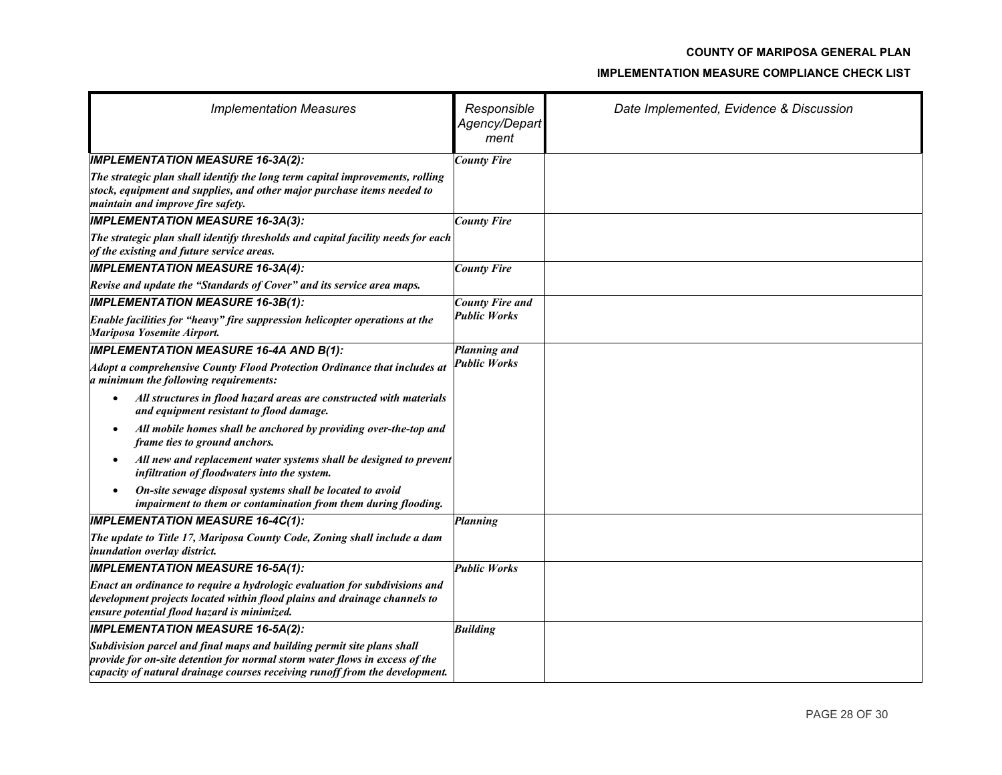| <b>Implementation Measures</b>                                                                                                                                                                                                       | Responsible<br>Agency/Depart<br>ment | Date Implemented, Evidence & Discussion |
|--------------------------------------------------------------------------------------------------------------------------------------------------------------------------------------------------------------------------------------|--------------------------------------|-----------------------------------------|
| <b>IMPLEMENTATION MEASURE 16-3A(2):</b>                                                                                                                                                                                              | <b>County Fire</b>                   |                                         |
| The strategic plan shall identify the long term capital improvements, rolling<br>stock, equipment and supplies, and other major purchase items needed to<br>maintain and improve fire safety.                                        |                                      |                                         |
| <b>IMPLEMENTATION MEASURE 16-3A(3):</b>                                                                                                                                                                                              | <b>County Fire</b>                   |                                         |
| The strategic plan shall identify thresholds and capital facility needs for each<br>of the existing and future service areas.                                                                                                        |                                      |                                         |
| <b>IMPLEMENTATION MEASURE 16-3A(4):</b>                                                                                                                                                                                              | <b>County Fire</b>                   |                                         |
| Revise and update the "Standards of Cover" and its service area maps.                                                                                                                                                                |                                      |                                         |
| <b>IMPLEMENTATION MEASURE 16-3B(1):</b>                                                                                                                                                                                              | <b>County Fire and</b>               |                                         |
| Enable facilities for "heavy" fire suppression helicopter operations at the<br>Mariposa Yosemite Airport.                                                                                                                            | <b>Public Works</b>                  |                                         |
| <b>IMPLEMENTATION MEASURE 16-4A AND B(1):</b>                                                                                                                                                                                        | Planning and                         |                                         |
| Adopt a comprehensive County Flood Protection Ordinance that includes at<br>a minimum the following requirements:                                                                                                                    | <b>Public Works</b>                  |                                         |
| All structures in flood hazard areas are constructed with materials<br>and equipment resistant to flood damage.                                                                                                                      |                                      |                                         |
| All mobile homes shall be anchored by providing over-the-top and<br>$\bullet$<br>frame ties to ground anchors.                                                                                                                       |                                      |                                         |
| All new and replacement water systems shall be designed to prevent<br>$\bullet$<br>infiltration of floodwaters into the system.                                                                                                      |                                      |                                         |
| On-site sewage disposal systems shall be located to avoid<br>$\bullet$<br>impairment to them or contamination from them during flooding.                                                                                             |                                      |                                         |
| <b>IMPLEMENTATION MEASURE 16-4C(1):</b>                                                                                                                                                                                              | Planning                             |                                         |
| The update to Title 17, Mariposa County Code, Zoning shall include a dam<br>inundation overlay district.                                                                                                                             |                                      |                                         |
| <b>IMPLEMENTATION MEASURE 16-5A(1):</b>                                                                                                                                                                                              | <b>Public Works</b>                  |                                         |
| Enact an ordinance to require a hydrologic evaluation for subdivisions and<br>development projects located within flood plains and drainage channels to<br>ensure potential flood hazard is minimized.                               |                                      |                                         |
| <b>IMPLEMENTATION MEASURE 16-5A(2):</b>                                                                                                                                                                                              | <b>Building</b>                      |                                         |
| Subdivision parcel and final maps and building permit site plans shall<br>provide for on-site detention for normal storm water flows in excess of the<br>capacity of natural drainage courses receiving runoff from the development. |                                      |                                         |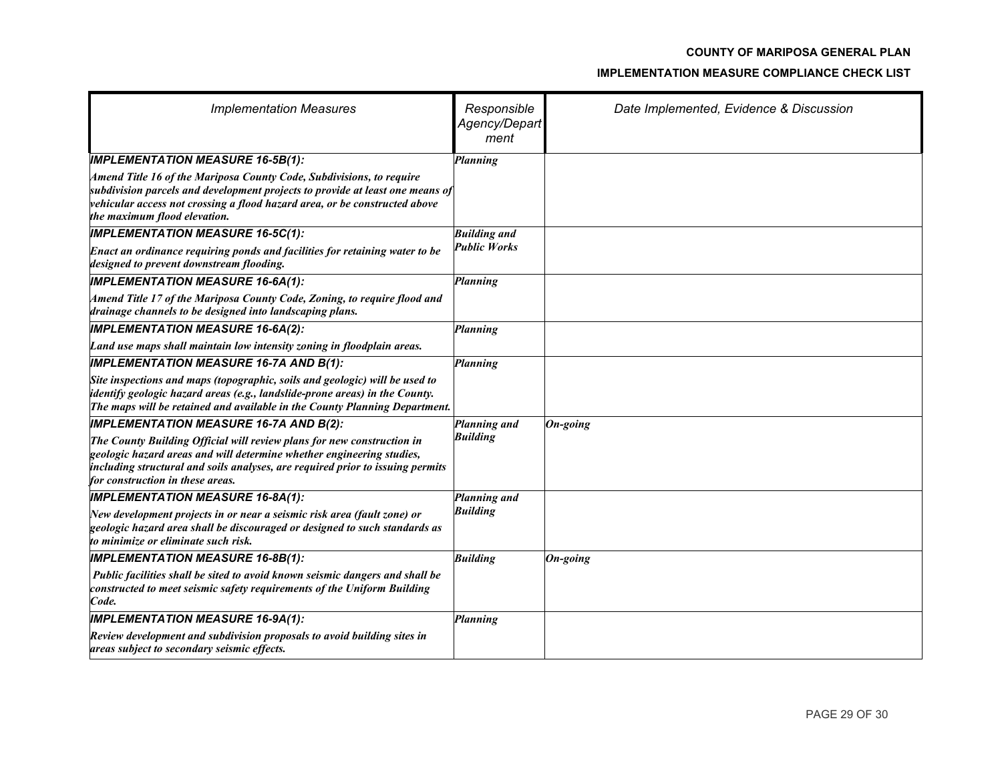### **COUNTY OF MARIPOSA GENERAL PLAN**

#### **IMPLEMENTATION MEASURE COMPLIANCE CHECK LIST**

| <b>Implementation Measures</b>                                                                                                                                                                                                                                        | Responsible<br>Agency/Depart<br>ment | Date Implemented, Evidence & Discussion |
|-----------------------------------------------------------------------------------------------------------------------------------------------------------------------------------------------------------------------------------------------------------------------|--------------------------------------|-----------------------------------------|
| <b>IMPLEMENTATION MEASURE 16-5B(1):</b>                                                                                                                                                                                                                               | Planning                             |                                         |
| Amend Title 16 of the Mariposa County Code, Subdivisions, to require<br>subdivision parcels and development projects to provide at least one means of<br>vehicular access not crossing a flood hazard area, or be constructed above<br>the maximum flood elevation.   |                                      |                                         |
| <b>IMPLEMENTATION MEASURE 16-5C(1):</b>                                                                                                                                                                                                                               | <b>Building and</b>                  |                                         |
| Enact an ordinance requiring ponds and facilities for retaining water to be<br>designed to prevent downstream flooding.                                                                                                                                               | <b>Public Works</b>                  |                                         |
| <b>IMPLEMENTATION MEASURE 16-6A(1):</b>                                                                                                                                                                                                                               | <b>Planning</b>                      |                                         |
| Amend Title 17 of the Mariposa County Code, Zoning, to require flood and<br>drainage channels to be designed into landscaping plans.                                                                                                                                  |                                      |                                         |
| <b>IMPLEMENTATION MEASURE 16-6A(2):</b>                                                                                                                                                                                                                               | <b>Planning</b>                      |                                         |
| Land use maps shall maintain low intensity zoning in floodplain areas.                                                                                                                                                                                                |                                      |                                         |
| <b>IMPLEMENTATION MEASURE 16-7A AND B(1):</b>                                                                                                                                                                                                                         | Planning                             |                                         |
| Site inspections and maps (topographic, soils and geologic) will be used to<br>identify geologic hazard areas (e.g., landslide-prone areas) in the County.<br>The maps will be retained and available in the County Planning Department.                              |                                      |                                         |
| <b>IMPLEMENTATION MEASURE 16-7A AND B(2):</b>                                                                                                                                                                                                                         | Planning and                         | $On-going$                              |
| The County Building Official will review plans for new construction in<br>geologic hazard areas and will determine whether engineering studies,<br>including structural and soils analyses, are required prior to issuing permits<br>for construction in these areas. | <b>Building</b>                      |                                         |
| <b>IMPLEMENTATION MEASURE 16-8A(1):</b>                                                                                                                                                                                                                               | Planning and                         |                                         |
| New development projects in or near a seismic risk area (fault zone) or<br>geologic hazard area shall be discouraged or designed to such standards as<br>to minimize or eliminate such risk.                                                                          | <b>Building</b>                      |                                         |
| <b>IMPLEMENTATION MEASURE 16-8B(1):</b>                                                                                                                                                                                                                               | <b>Building</b>                      | On-going                                |
| Public facilities shall be sited to avoid known seismic dangers and shall be<br>constructed to meet seismic safety requirements of the Uniform Building<br>Code.                                                                                                      |                                      |                                         |
| <b>IMPLEMENTATION MEASURE 16-9A(1):</b>                                                                                                                                                                                                                               | Planning                             |                                         |
| Review development and subdivision proposals to avoid building sites in<br>areas subject to secondary seismic effects.                                                                                                                                                |                                      |                                         |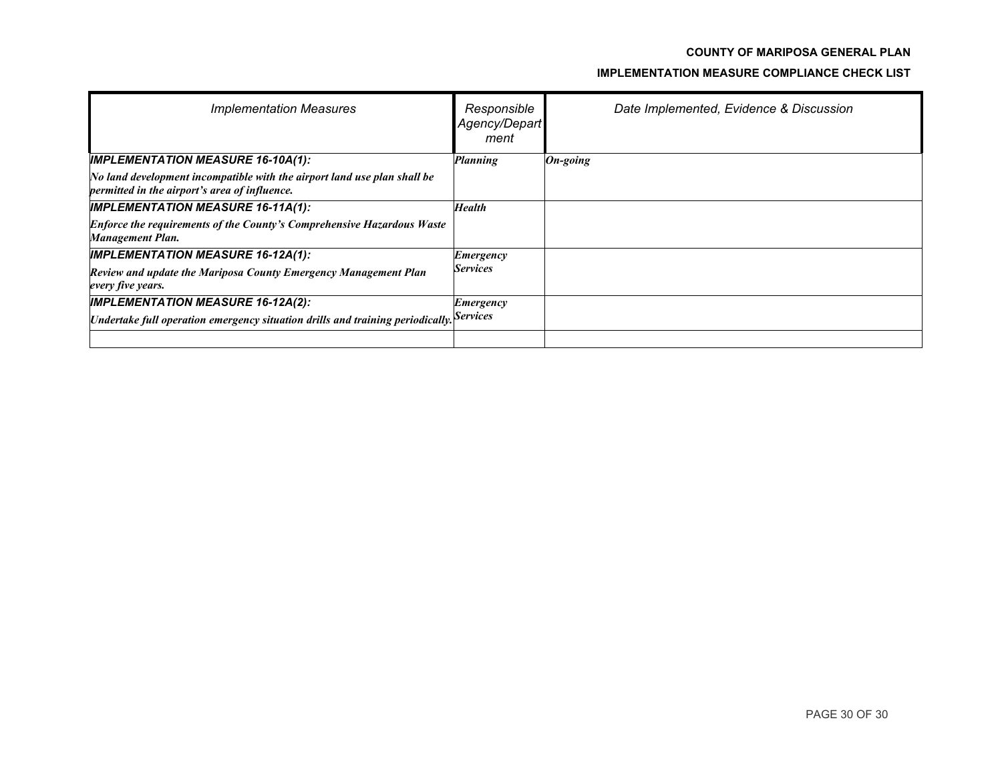### **COUNTY OF MARIPOSA GENERAL PLAN**

#### **IMPLEMENTATION MEASURE COMPLIANCE CHECK LIST**

| <b>Implementation Measures</b>                                                                                                      | Responsible<br>Agency/Depart<br>ment | Date Implemented, Evidence & Discussion |
|-------------------------------------------------------------------------------------------------------------------------------------|--------------------------------------|-----------------------------------------|
| <b>IMPLEMENTATION MEASURE 16-10A(1):</b>                                                                                            | Planning                             | $On$ -going                             |
| No land development incompatible with the airport land use plan shall be<br>permitted in the airport's area of influence.           |                                      |                                         |
| <b>IMPLEMENTATION MEASURE 16-11A(1):</b>                                                                                            | <b>Health</b>                        |                                         |
| <b>Enforce the requirements of the County's Comprehensive Hazardous Waste</b><br>Management Plan.                                   |                                      |                                         |
| <b>IMPLEMENTATION MEASURE 16-12A(1):</b>                                                                                            | Emergency                            |                                         |
| Review and update the Mariposa County Emergency Management Plan<br>every five years.                                                | <b>Services</b>                      |                                         |
| <b>IMPLEMENTATION MEASURE 16-12A(2):</b><br>Undertake full operation emergency situation drills and training periodically. Services | Emergency                            |                                         |
|                                                                                                                                     |                                      |                                         |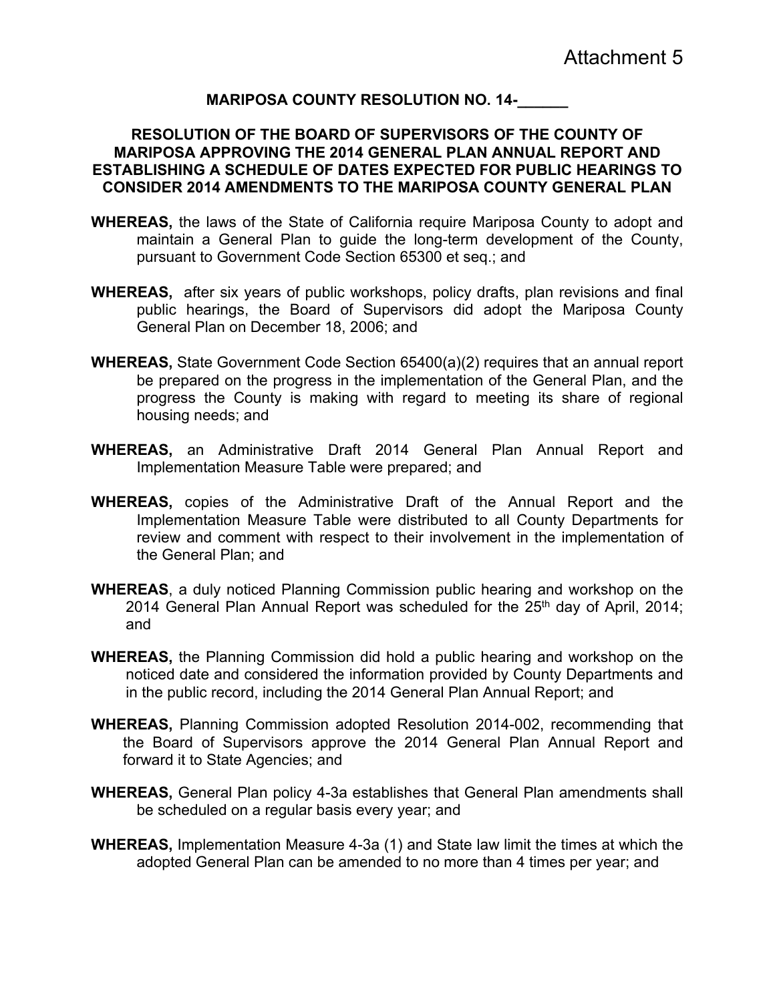### **MARIPOSA COUNTY RESOLUTION NO. 14-\_\_\_\_\_\_**

### **RESOLUTION OF THE BOARD OF SUPERVISORS OF THE COUNTY OF MARIPOSA APPROVING THE 2014 GENERAL PLAN ANNUAL REPORT AND ESTABLISHING A SCHEDULE OF DATES EXPECTED FOR PUBLIC HEARINGS TO CONSIDER 2014 AMENDMENTS TO THE MARIPOSA COUNTY GENERAL PLAN**

- **WHEREAS,** the laws of the State of California require Mariposa County to adopt and maintain a General Plan to guide the long-term development of the County, pursuant to Government Code Section 65300 et seq.; and
- **WHEREAS,** after six years of public workshops, policy drafts, plan revisions and final public hearings, the Board of Supervisors did adopt the Mariposa County General Plan on December 18, 2006; and
- **WHEREAS,** State Government Code Section 65400(a)(2) requires that an annual report be prepared on the progress in the implementation of the General Plan, and the progress the County is making with regard to meeting its share of regional housing needs; and
- **WHEREAS,** an Administrative Draft 2014 General Plan Annual Report and Implementation Measure Table were prepared; and
- **WHEREAS,** copies of the Administrative Draft of the Annual Report and the Implementation Measure Table were distributed to all County Departments for review and comment with respect to their involvement in the implementation of the General Plan; and
- **WHEREAS**, a duly noticed Planning Commission public hearing and workshop on the 2014 General Plan Annual Report was scheduled for the 25<sup>th</sup> day of April, 2014; and
- **WHEREAS,** the Planning Commission did hold a public hearing and workshop on the noticed date and considered the information provided by County Departments and in the public record, including the 2014 General Plan Annual Report; and
- **WHEREAS,** Planning Commission adopted Resolution 2014-002, recommending that the Board of Supervisors approve the 2014 General Plan Annual Report and forward it to State Agencies; and
- **WHEREAS,** General Plan policy 4-3a establishes that General Plan amendments shall be scheduled on a regular basis every year; and
- **WHEREAS,** Implementation Measure 4-3a (1) and State law limit the times at which the adopted General Plan can be amended to no more than 4 times per year; and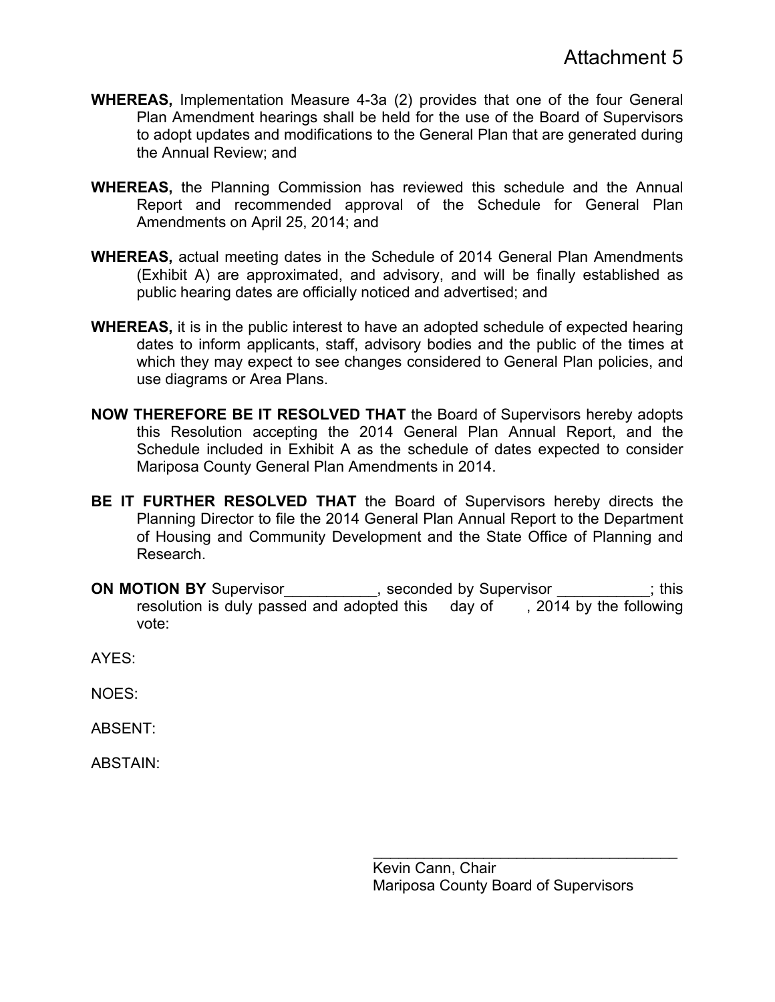- **WHEREAS,** Implementation Measure 4-3a (2) provides that one of the four General Plan Amendment hearings shall be held for the use of the Board of Supervisors to adopt updates and modifications to the General Plan that are generated during the Annual Review; and
- **WHEREAS,** the Planning Commission has reviewed this schedule and the Annual Report and recommended approval of the Schedule for General Plan Amendments on April 25, 2014; and
- **WHEREAS,** actual meeting dates in the Schedule of 2014 General Plan Amendments (Exhibit A) are approximated, and advisory, and will be finally established as public hearing dates are officially noticed and advertised; and
- **WHEREAS,** it is in the public interest to have an adopted schedule of expected hearing dates to inform applicants, staff, advisory bodies and the public of the times at which they may expect to see changes considered to General Plan policies, and use diagrams or Area Plans.
- **NOW THEREFORE BE IT RESOLVED THAT** the Board of Supervisors hereby adopts this Resolution accepting the 2014 General Plan Annual Report, and the Schedule included in Exhibit A as the schedule of dates expected to consider Mariposa County General Plan Amendments in 2014.
- **BE IT FURTHER RESOLVED THAT** the Board of Supervisors hereby directs the Planning Director to file the 2014 General Plan Annual Report to the Department of Housing and Community Development and the State Office of Planning and Research.
- **ON MOTION BY** Supervisor **CON**, seconded by Supervisor  $\cdot$ ; this resolution is duly passed and adopted this day of , 2014 by the following vote:

AYES:

NOES:

ABSENT:

ABSTAIN:

 $\mathcal{L}_\text{max} = \frac{1}{2} \sum_{i=1}^{n} \frac{1}{2} \sum_{i=1}^{n} \frac{1}{2} \sum_{i=1}^{n} \frac{1}{2} \sum_{i=1}^{n} \frac{1}{2} \sum_{i=1}^{n} \frac{1}{2} \sum_{i=1}^{n} \frac{1}{2} \sum_{i=1}^{n} \frac{1}{2} \sum_{i=1}^{n} \frac{1}{2} \sum_{i=1}^{n} \frac{1}{2} \sum_{i=1}^{n} \frac{1}{2} \sum_{i=1}^{n} \frac{1}{2} \sum_{i=1}^{n} \frac{1$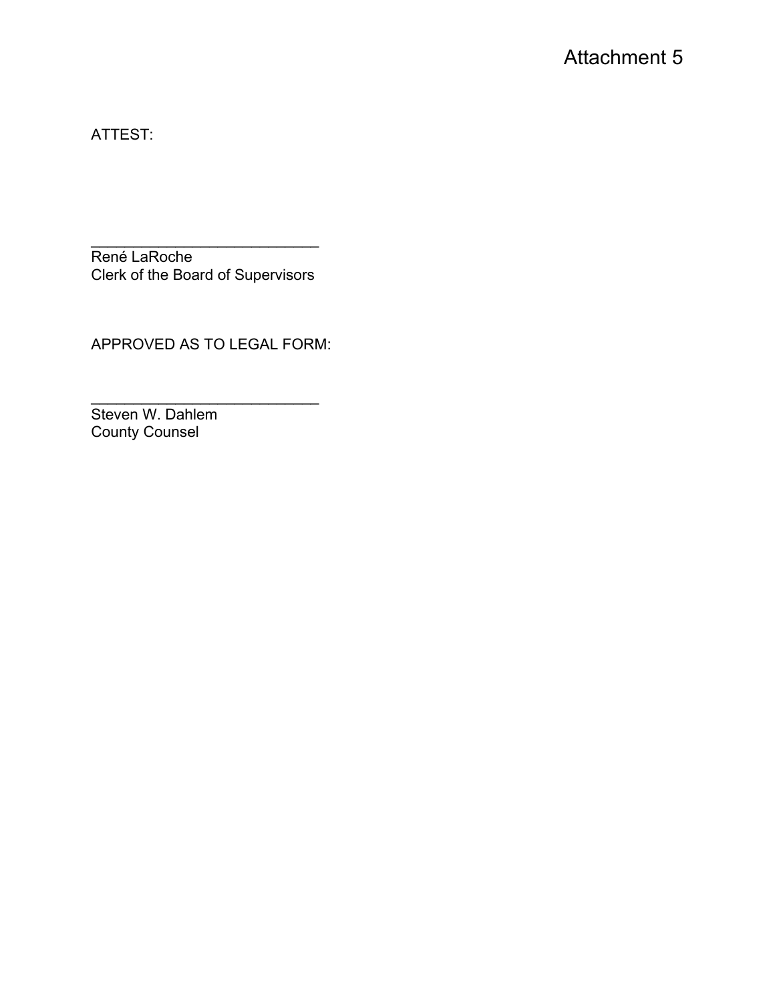ATTEST:

 $\mathcal{L}=\{1,2,3,4,5\}$ René LaRoche Clerk of the Board of Supervisors

APPROVED AS TO LEGAL FORM:

 $\mathcal{L}_\text{max}$  , where  $\mathcal{L}_\text{max}$  is the set of the set of the set of the set of the set of the set of the set of the set of the set of the set of the set of the set of the set of the set of the set of the set of the se Steven W. Dahlem County Counsel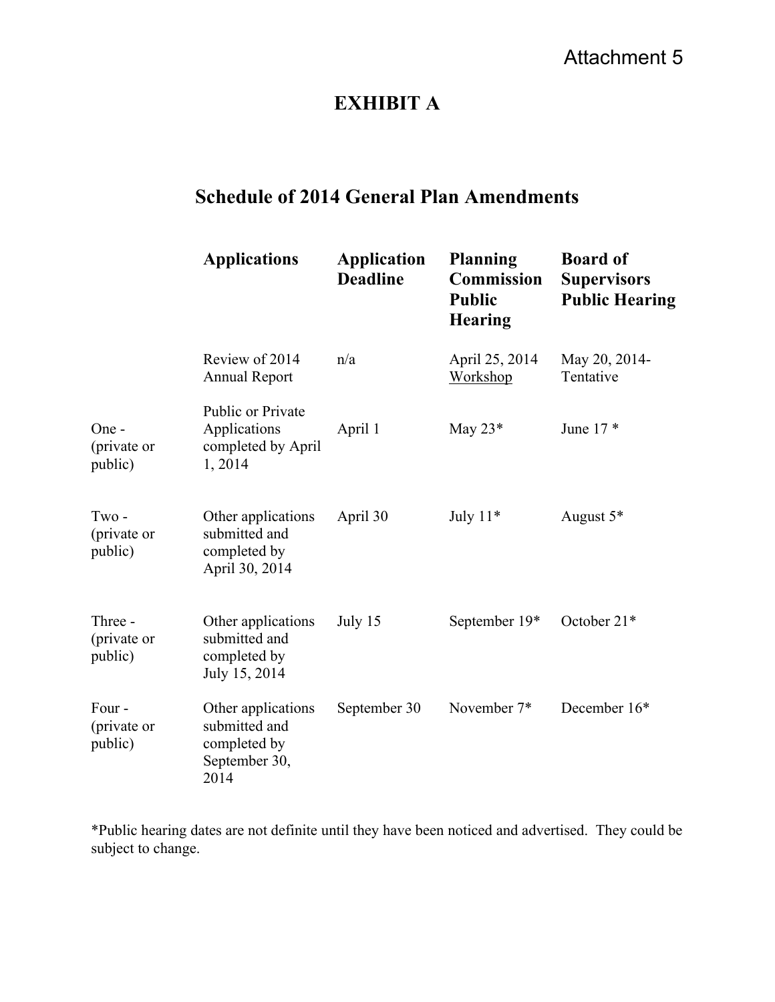# Attachment 5

## **EXHIBIT A**

# **Schedule of 2014 General Plan Amendments**

|                                                              | <b>Applications</b>                                                          | <b>Application</b><br><b>Deadline</b> | <b>Planning</b><br><b>Commission</b><br><b>Public</b><br><b>Hearing</b> | <b>Board of</b><br><b>Supervisors</b><br><b>Public Hearing</b> |
|--------------------------------------------------------------|------------------------------------------------------------------------------|---------------------------------------|-------------------------------------------------------------------------|----------------------------------------------------------------|
|                                                              | Review of 2014<br><b>Annual Report</b>                                       | n/a                                   | April 25, 2014<br>Workshop                                              | May 20, 2014-<br>Tentative                                     |
| One -<br>(private or<br>public)                              | Public or Private<br>Applications<br>completed by April<br>1,2014            | April 1                               | May $23*$                                                               | June $17*$                                                     |
| $Tw$ <sup><math>\circ</math></sup><br>(private or<br>public) | Other applications<br>submitted and<br>completed by<br>April 30, 2014        | April 30                              | July $11*$                                                              | August 5*                                                      |
| Three -<br>(private or<br>public)                            | Other applications<br>submitted and<br>completed by<br>July 15, 2014         | July 15                               | September 19*                                                           | October 21*                                                    |
| Four-<br>(private or<br>public)                              | Other applications<br>submitted and<br>completed by<br>September 30,<br>2014 | September 30                          | November 7*                                                             | December 16*                                                   |

\*Public hearing dates are not definite until they have been noticed and advertised. They could be subject to change.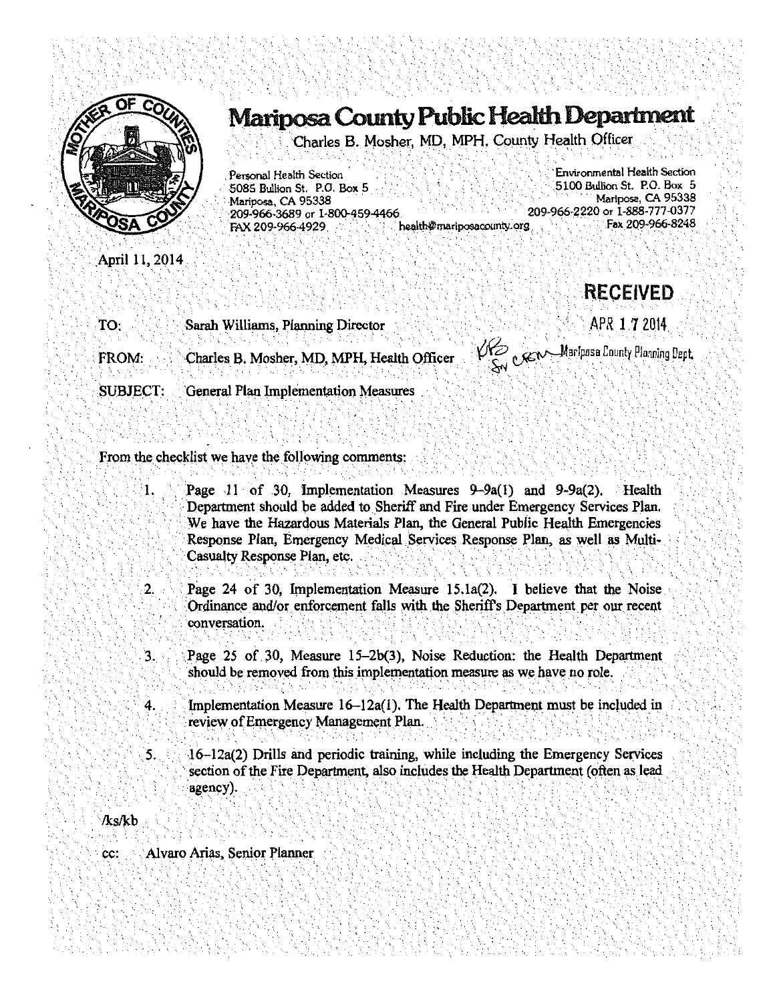

April 11, 2014

# Mariposa County Public Health Department

Charles B. Mosher, MD. MPH, County Health Officer

Personal Health Section 5085 Bullion St. P.O. Box 5 Mariposa, CA 95338 209-966-3689 or 1-800-459-4466 health@mariposacounty.org FAX 209-966-4929

Environmental Health Section 5100 Bullion St. P.O. Box 5 Marlposa, CA 95338 209-966-2220 or 1-888-777-0377 Fax 209-966-8248

TO: Sarah Williams, Planning Director

Charles B. Mosher, MD, MPH, Health Officer FROM:

**SUBJECT:** General Plan Implementation Measures

VIE CEN Mariposa County Planning Dept.

**RECEIVED** 

APR 1 7 2014

From the checklist we have the following comments:

- $\mathbf{1}$ . Page 11 of 30, Implementation Measures  $9-9a(1)$  and  $9-9a(2)$ . Health Department should be added to Sheriff and Fire under Emergency Services Plan. We have the Hazardous Materials Plan, the General Public Health Emergencies Response Plan, Emergency Medical Services Response Plan, as well as Multi-Casualty Response Plan, etc.
- $2.$ Page 24 of 30, Implementation Measure 15.1a(2). I believe that the Noise Ordinance and/or enforcement falls with the Sheriff's Department per our recent conversation.
- $\mathbf{3}$ . Page 25 of 30, Measure 15-2b(3), Noise Reduction; the Health Department should be removed from this implementation measure as we have no role.
- Implementation Measure 16–12a(1). The Health Department must be included in 4. review of Emergency Management Plan.
- 3. 16–12a(2) Drills and periodic training, while including the Emergency Services section of the Fire Department, also includes the Health Department (often as lead agency).

**/ks/kb** 

Alvaro Arias, Senior Planner cc: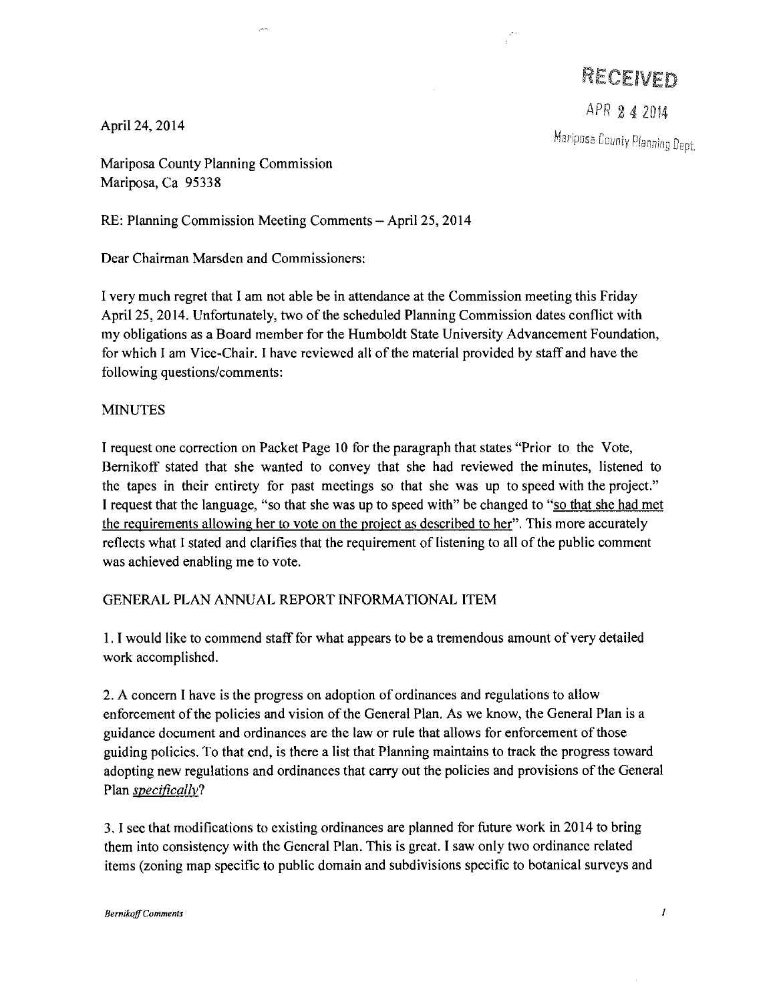RECEIVED

APR 2 4 2014

Mariposa County Planning

April 24, 2014

Mariposa County Planning Commission Mariposa, Ca 95338

RE: Planning Commission Meeting Comments - April 25, 2014

Dear Chairman Marsden and Commissioners:

I very much regret that I am not able be in attendance at the Commission meeting this Friday April 25, 2014. Unfortunately, two of the scheduled Planning Commission dates conflict with my obligations as a Board member for the Humboldt State University Advancement Foundation, for which I am Vice-Chair. I have reviewed all of the material provided by staff and have the following questions/comments:

### MINUTES

I request one correction on Packet Page 10 for the paragraph that states "Prior to the Vote, Bemikoff stated that she wanted to convey that she had reviewed the minutes, listened to the tapes in their entirety for past meetings so that she was up to speed with the project." I request that the language, "so that she was up to speed with" be changed to "so that she had met the requirements allowing her to vote on the project as described to her". This more accurately reflects what I stated and clarifies that the requirement of listening to all of the public comment was achieved enabling me to vote.

### GENERAL PLAN ANNUAL REPORT INFORMATIONAL ITEM

I. I would like to commend staff for what appears to be a tremendous amount of very detailed work accomplished.

2. A concern I have is the progress on adoption of ordinances and regulations to allow enforcement of the policies and vision of the General Plan. As we know, the General Plan is a guidance document and ordinances are the law or rule that allows for enforcement of those guiding policies. To that end, is there a list that Planning maintains to track the progress toward adopting new regulations and ordinances that carry out the policies and provisions of the General Plan *specifically?* 

3. I see that modifications to existing ordinances are planned for future work in 2014 to bring them into consistency with the General Plan. This is great. I saw only two ordinance related items (zoning map specific to public domain and subdivisions specific to botanical surveys and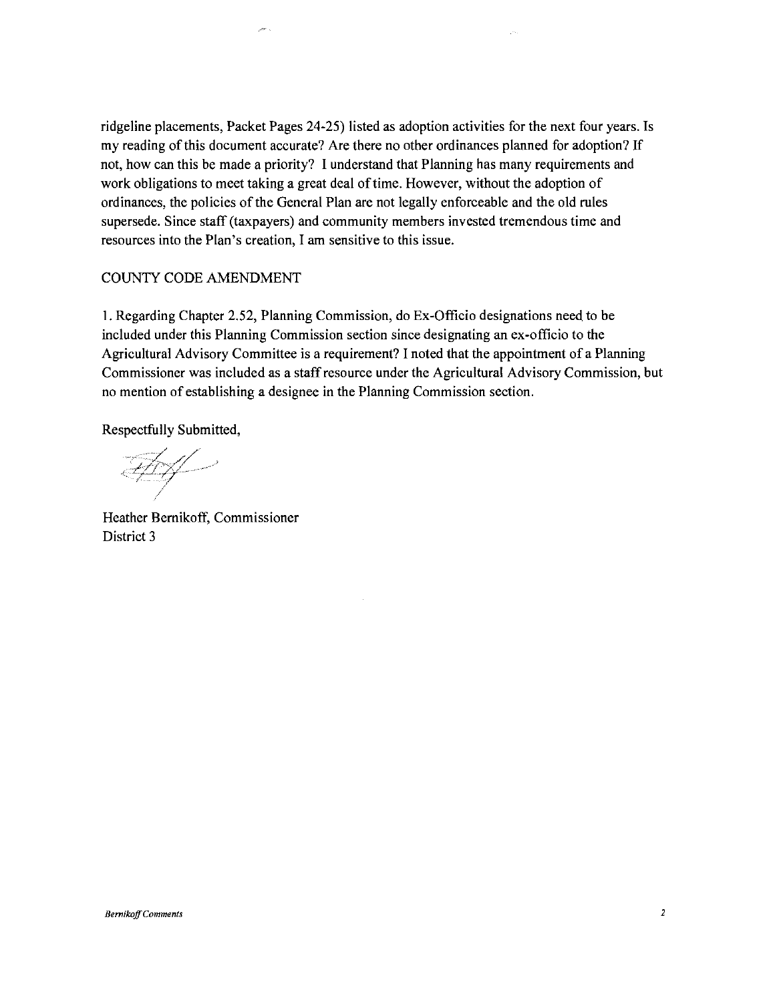ridgeline placements, Packet Pages 24-25) listed as adoption activities for the next four years. Is my reading of this document accurate? Are there no other ordinances planned for adoption? If not, how can this be made a priority? I understand that Planning has many requirements and work obligations to meet taking a great deal of time. However, without the adoption of ordinances, the policies of the General Plan are not legally enforceable and the old rules supersede. Since staff (taxpayers) and community members invested tremendous time and resources into the Plan's creation, I am sensitive to this issue.

#### COUNTY CODE AMENDMENT

1. Regarding Chapter 2.52, Planning Commission, do Ex-Officio designations need to be included under this Planning Commission section since designating an ex-officio to the Agricultural Advisory Committee is a requirement? I noted that the appointment of a Planning Commissioner was included as a staff resource under the Agricultural Advisory Commission, but no mention of establishing a designee in the Planning Commission section.

Respectfully Submitted,

<u>Ary</u>

Heather Bernikoff, Commissioner District 3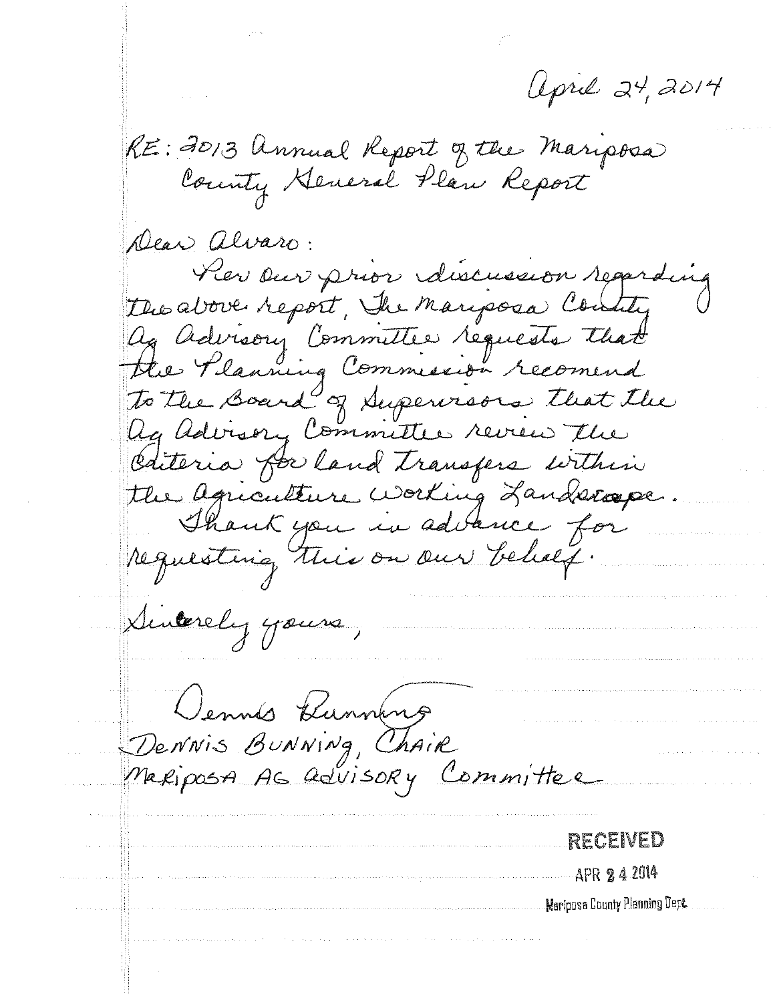april 24, 2014

RE: 2013 Annual Report of the Mariposa

Dear alvaro: Pier Dur prior discussion regarding the above report, The manposa Contity ag advisory Committee requests that the Planning Commission recomend<br>To the Board of Supervisors that the Ag advisory Committee review the Cateria for land transfers within the agriculture working Landscope. Thank you in advance for requesting this on our behalf Suverely yours,

Dennis Bunning<br>Dennis Bunning, Chair<br>Mariposa As Govisory Committee

RECEIVED APR 24 2014 Mariposa County Planning Dept.